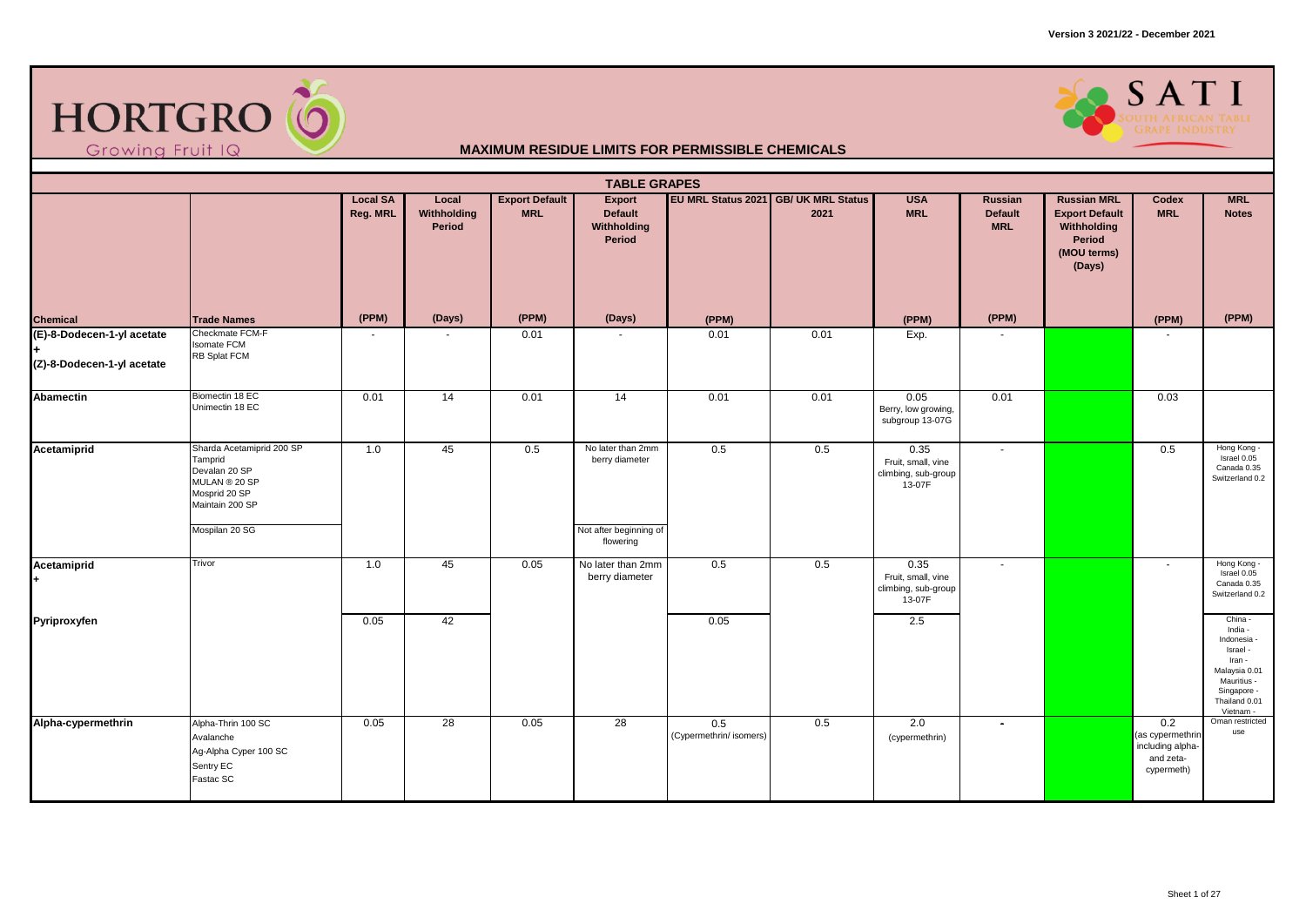



|                                                                 | <b>TABLE GRAPES</b><br>EU MRL Status 2021 GB/ UK MRL Status<br><b>MRL</b><br><b>Local SA</b><br><b>Export Default</b><br><b>Export</b><br><b>USA</b><br><b>Russian MRL</b><br>Local<br>Russian<br>Codex |          |                       |            |                                                               |                                |      |                                                             |                              |                                                                         |                                                                        |                                                                                                                                      |  |  |
|-----------------------------------------------------------------|---------------------------------------------------------------------------------------------------------------------------------------------------------------------------------------------------------|----------|-----------------------|------------|---------------------------------------------------------------|--------------------------------|------|-------------------------------------------------------------|------------------------------|-------------------------------------------------------------------------|------------------------------------------------------------------------|--------------------------------------------------------------------------------------------------------------------------------------|--|--|
|                                                                 |                                                                                                                                                                                                         | Reg. MRL | Withholding<br>Period | <b>MRL</b> | <b>Default</b><br>Withholding<br>Period                       |                                | 2021 | <b>MRL</b>                                                  | <b>Default</b><br><b>MRL</b> | <b>Export Default</b><br>Withholding<br>Period<br>(MOU terms)<br>(Days) | <b>MRL</b>                                                             | <b>Notes</b>                                                                                                                         |  |  |
| <b>Chemical</b>                                                 | <b>Trade Names</b>                                                                                                                                                                                      | (PPM)    | (Days)                | (PPM)      | (Days)                                                        | (PPM)                          |      | (PPM)                                                       | (PPM)                        |                                                                         | (PPM)                                                                  | (PPM)                                                                                                                                |  |  |
| (E)-8-Dodecen-1-yl acetate<br>l÷.<br>(Z)-8-Dodecen-1-yl acetate | Checkmate FCM-F<br><b>Isomate FCM</b><br>RB Splat FCM                                                                                                                                                   |          |                       | 0.01       |                                                               | 0.01                           | 0.01 | Exp.                                                        |                              |                                                                         |                                                                        |                                                                                                                                      |  |  |
| Abamectin                                                       | Biomectin 18 EC<br>Unimectin 18 EC                                                                                                                                                                      | 0.01     | $\overline{14}$       | 0.01       | 14                                                            | 0.01                           | 0.01 | 0.05<br>Berry, low growing,<br>subgroup 13-07G              | 0.01                         |                                                                         | 0.03                                                                   |                                                                                                                                      |  |  |
| Acetamiprid                                                     | Sharda Acetamiprid 200 SP<br>Tamprid<br>Devalan 20 SP<br>MULAN ® 20 SP<br>Mosprid 20 SP<br>Maintain 200 SP<br>Mospilan 20 SG                                                                            | 1.0      | 45                    | 0.5        | No later than 2mm<br>berry diameter<br>Not after beginning of | 0.5                            | 0.5  | 0.35<br>Fruit, small, vine<br>climbing, sub-group<br>13-07F | $\sim$                       |                                                                         | 0.5                                                                    | Hong Kong -<br>Israel 0.05<br>Canada 0.35<br>Switzerland 0.2                                                                         |  |  |
|                                                                 |                                                                                                                                                                                                         |          |                       |            | flowering                                                     |                                |      |                                                             |                              |                                                                         |                                                                        |                                                                                                                                      |  |  |
| Acetamiprid                                                     | Trivor                                                                                                                                                                                                  | 1.0      | 45                    | 0.05       | No later than 2mm<br>berry diameter                           | 0.5                            | 0.5  | 0.35<br>Fruit, small, vine<br>climbing, sub-group<br>13-07F | $\sim$                       |                                                                         | $\sim$                                                                 | Hong Kong -<br>Israel 0.05<br>Canada 0.35<br>Switzerland 0.2                                                                         |  |  |
| Pyriproxyfen                                                    |                                                                                                                                                                                                         | 0.05     | 42                    |            |                                                               | 0.05                           |      | 2.5                                                         |                              |                                                                         |                                                                        | China -<br>India -<br>Indonesia -<br>Israel -<br>Iran -<br>Malaysia 0.01<br>Mauritius -<br>Singapore -<br>Thailand 0.01<br>Vietnam - |  |  |
| Alpha-cypermethrin                                              | Alpha-Thrin 100 SC<br>Avalanche<br>Ag-Alpha Cyper 100 SC<br>Sentry EC<br>Fastac SC                                                                                                                      | 0.05     | 28                    | 0.05       | 28                                                            | 0.5<br>(Cypermethrin/ isomers) | 0.5  | 2.0<br>(cypermethrin)                                       | $\sim$                       |                                                                         | 0.2<br>(as cypermethrin<br>including alpha-<br>and zeta-<br>cypermeth) | Oman restricted<br>use                                                                                                               |  |  |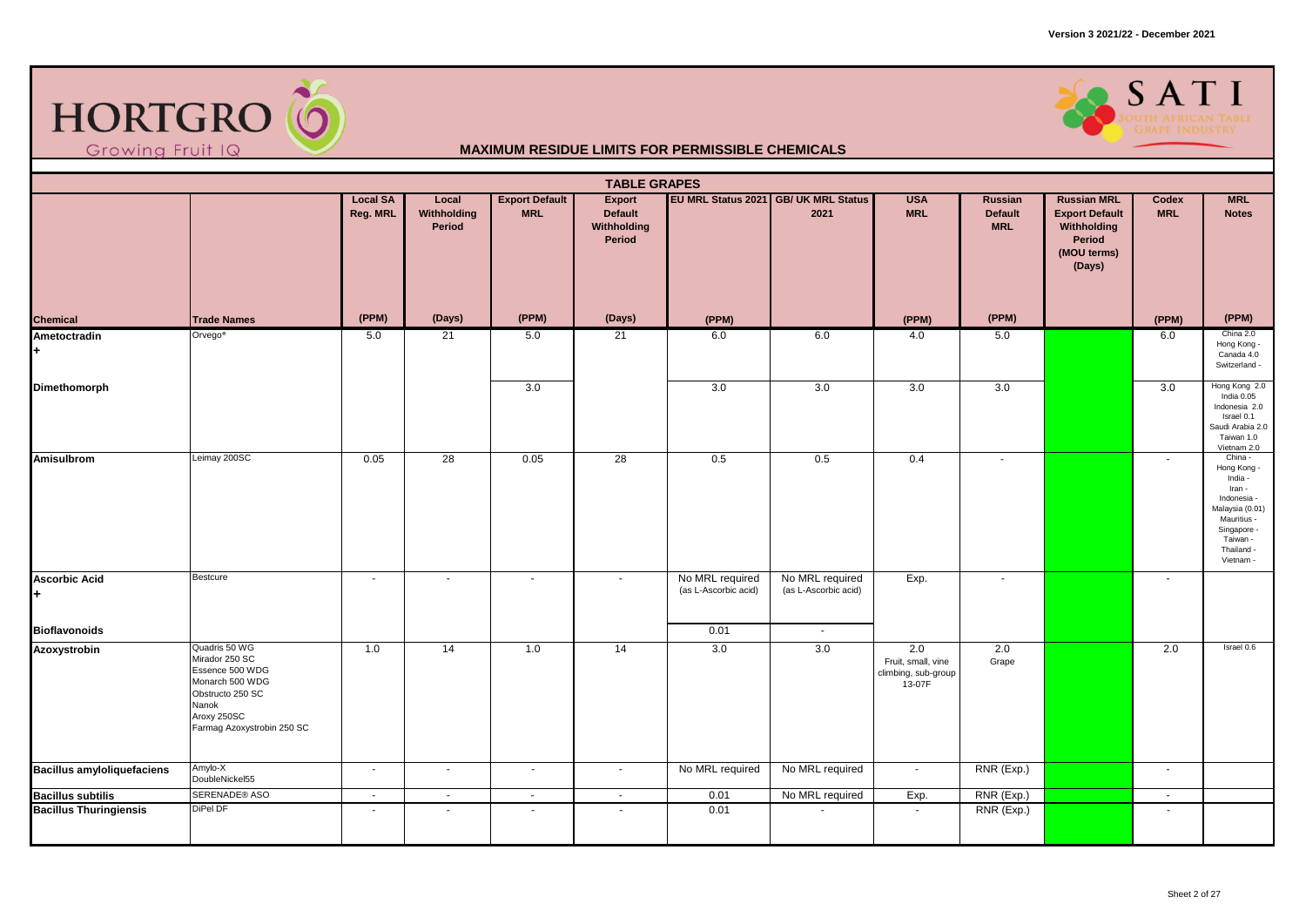

### SATI

| EU MRL Status 2021 GB/ UK MRL Status<br><b>Local SA</b><br>Local<br><b>Export Default</b><br>Export<br><b>USA</b><br><b>Russian MRL</b><br>Russian<br>Codex<br><b>MRL</b><br>Reg. MRL<br>Withholding<br><b>MRL</b><br><b>MRL</b><br><b>Default</b><br>2021<br><b>Default</b><br><b>Export Default</b><br><b>Notes</b><br>Period<br>Withholding<br><b>MRL</b><br>Withholding<br>Period<br>Period<br>(MOU terms)<br>(Days)<br>(PPM)<br>(PPM)<br>(Days)<br>(PPM)<br>(PPM)<br>(Days)<br><b>Chemical</b><br><b>Trade Names</b><br>(PPM)<br>(PPM)<br>(PPM)<br>Orvego <sup>®</sup><br>21<br>6.0<br>China 2.0<br>6.0<br>4.0<br>5.0<br>6.0<br>Ametoctradin<br>5.0<br>21<br>5.0<br>Hong Kong -<br>Canada 4.0<br>Switzerland -<br>3.0<br>3.0<br>3.0<br>3.0<br>3.0<br>3.0<br>Dimethomorph<br>India 0.05<br>Israel 0.1<br>Taiwan 1.0<br>Vietnam 2.0<br>Leimay 200SC<br>$\overline{28}$<br>28<br>Amisulbrom<br>0.05<br>0.05<br>0.5<br>0.5<br>0.4<br>China -<br>$\sim$<br>$\sim$<br>Hong Kong<br>India -<br>Iran -<br>Indonesia -<br>Mauritius -<br>Singapore -<br>Taiwan -<br>Thailand -<br>Vietnam -<br>Bestcure<br>No MRL required<br>No MRL required<br>Exp.<br><b>Ascorbic Acid</b><br>$\sim$<br>$\sim$<br>$\sim$<br>$\sim$<br>$\sim$<br>$\sim$<br>(as L-Ascorbic acid)<br>(as L-Ascorbic acid)<br>÷<br><b>Bioflavonoids</b><br>0.01<br>$\sim$<br>Quadris 50 WG<br>14<br>2.0<br>2.0<br>2.0<br>Israel 0.6<br>$\overline{14}$<br>1.0<br>1.0<br>3.0<br>3.0<br>Azoxystrobin<br>Mirador 250 SC<br>Fruit, small, vine<br>Grape<br>Essence 500 WDG<br>climbing, sub-group<br>Monarch 500 WDG<br>13-07F<br>Obstructo 250 SC<br>Nanok<br>Aroxy 250SC<br>Farmag Azoxystrobin 250 SC<br>Amylo-X<br>No MRL required<br>No MRL required<br>RNR (Exp.)<br><b>Bacillus amyloliquefaciens</b><br>$\sim$<br>$\sim$<br>$\sim$<br>$\sim$<br>$\sim$<br>$\sim$<br>DoubleNickel55<br>SERENADE® ASO<br><b>Bacillus subtilis</b><br>No MRL required<br>RNR (Exp.)<br>0.01<br>Exp.<br>$\mathbf{u}$<br>$\omega$<br>$\sim$<br>$\sim$<br>$\blacksquare$<br>DiPel DF<br><b>Bacillus Thuringiensis</b><br>0.01<br>RNR (Exp.)<br>$\sim$<br>$\overline{\phantom{a}}$<br>$\sim$<br>$\sim$<br>$\sim$ |  |  | <b>TABLE GRAPES</b> |  |  |  |                                                    |
|----------------------------------------------------------------------------------------------------------------------------------------------------------------------------------------------------------------------------------------------------------------------------------------------------------------------------------------------------------------------------------------------------------------------------------------------------------------------------------------------------------------------------------------------------------------------------------------------------------------------------------------------------------------------------------------------------------------------------------------------------------------------------------------------------------------------------------------------------------------------------------------------------------------------------------------------------------------------------------------------------------------------------------------------------------------------------------------------------------------------------------------------------------------------------------------------------------------------------------------------------------------------------------------------------------------------------------------------------------------------------------------------------------------------------------------------------------------------------------------------------------------------------------------------------------------------------------------------------------------------------------------------------------------------------------------------------------------------------------------------------------------------------------------------------------------------------------------------------------------------------------------------------------------------------------------------------------------------------------------------------------------------------------------------------------------------------------------------------------------------------------------------------------|--|--|---------------------|--|--|--|----------------------------------------------------|
|                                                                                                                                                                                                                                                                                                                                                                                                                                                                                                                                                                                                                                                                                                                                                                                                                                                                                                                                                                                                                                                                                                                                                                                                                                                                                                                                                                                                                                                                                                                                                                                                                                                                                                                                                                                                                                                                                                                                                                                                                                                                                                                                                          |  |  |                     |  |  |  | <b>MRL</b>                                         |
|                                                                                                                                                                                                                                                                                                                                                                                                                                                                                                                                                                                                                                                                                                                                                                                                                                                                                                                                                                                                                                                                                                                                                                                                                                                                                                                                                                                                                                                                                                                                                                                                                                                                                                                                                                                                                                                                                                                                                                                                                                                                                                                                                          |  |  |                     |  |  |  |                                                    |
|                                                                                                                                                                                                                                                                                                                                                                                                                                                                                                                                                                                                                                                                                                                                                                                                                                                                                                                                                                                                                                                                                                                                                                                                                                                                                                                                                                                                                                                                                                                                                                                                                                                                                                                                                                                                                                                                                                                                                                                                                                                                                                                                                          |  |  |                     |  |  |  |                                                    |
|                                                                                                                                                                                                                                                                                                                                                                                                                                                                                                                                                                                                                                                                                                                                                                                                                                                                                                                                                                                                                                                                                                                                                                                                                                                                                                                                                                                                                                                                                                                                                                                                                                                                                                                                                                                                                                                                                                                                                                                                                                                                                                                                                          |  |  |                     |  |  |  | Hong Kong 2.0<br>Indonesia 2.0<br>Saudi Arabia 2.0 |
|                                                                                                                                                                                                                                                                                                                                                                                                                                                                                                                                                                                                                                                                                                                                                                                                                                                                                                                                                                                                                                                                                                                                                                                                                                                                                                                                                                                                                                                                                                                                                                                                                                                                                                                                                                                                                                                                                                                                                                                                                                                                                                                                                          |  |  |                     |  |  |  | Malaysia (0.01)                                    |
|                                                                                                                                                                                                                                                                                                                                                                                                                                                                                                                                                                                                                                                                                                                                                                                                                                                                                                                                                                                                                                                                                                                                                                                                                                                                                                                                                                                                                                                                                                                                                                                                                                                                                                                                                                                                                                                                                                                                                                                                                                                                                                                                                          |  |  |                     |  |  |  |                                                    |
|                                                                                                                                                                                                                                                                                                                                                                                                                                                                                                                                                                                                                                                                                                                                                                                                                                                                                                                                                                                                                                                                                                                                                                                                                                                                                                                                                                                                                                                                                                                                                                                                                                                                                                                                                                                                                                                                                                                                                                                                                                                                                                                                                          |  |  |                     |  |  |  |                                                    |
|                                                                                                                                                                                                                                                                                                                                                                                                                                                                                                                                                                                                                                                                                                                                                                                                                                                                                                                                                                                                                                                                                                                                                                                                                                                                                                                                                                                                                                                                                                                                                                                                                                                                                                                                                                                                                                                                                                                                                                                                                                                                                                                                                          |  |  |                     |  |  |  |                                                    |
|                                                                                                                                                                                                                                                                                                                                                                                                                                                                                                                                                                                                                                                                                                                                                                                                                                                                                                                                                                                                                                                                                                                                                                                                                                                                                                                                                                                                                                                                                                                                                                                                                                                                                                                                                                                                                                                                                                                                                                                                                                                                                                                                                          |  |  |                     |  |  |  |                                                    |
|                                                                                                                                                                                                                                                                                                                                                                                                                                                                                                                                                                                                                                                                                                                                                                                                                                                                                                                                                                                                                                                                                                                                                                                                                                                                                                                                                                                                                                                                                                                                                                                                                                                                                                                                                                                                                                                                                                                                                                                                                                                                                                                                                          |  |  |                     |  |  |  |                                                    |
|                                                                                                                                                                                                                                                                                                                                                                                                                                                                                                                                                                                                                                                                                                                                                                                                                                                                                                                                                                                                                                                                                                                                                                                                                                                                                                                                                                                                                                                                                                                                                                                                                                                                                                                                                                                                                                                                                                                                                                                                                                                                                                                                                          |  |  |                     |  |  |  |                                                    |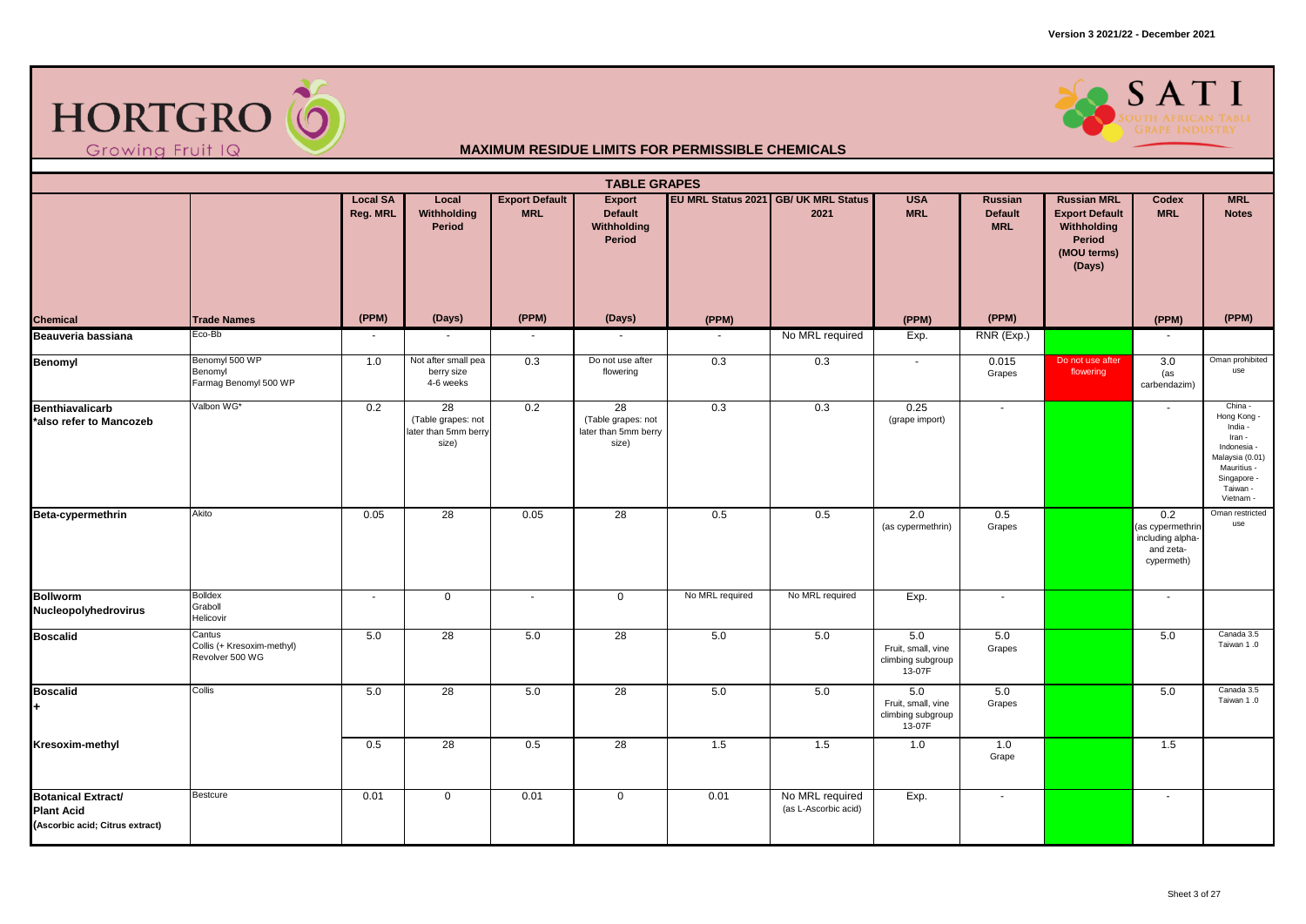



|                                                                                   | <b>TABLE GRAPES</b><br>EU MRL Status 2021 GB/ UK MRL Status<br><b>Local SA</b><br><b>Export Default</b><br><b>MRL</b><br>Local<br><b>Export</b><br><b>USA</b><br>Russian<br><b>Russian MRL</b><br>Codex |                          |                                                           |            |                                                           |                 |                                         |                                                          |                              |                                                                         |                                                                        |                                                                                                                                      |  |  |
|-----------------------------------------------------------------------------------|---------------------------------------------------------------------------------------------------------------------------------------------------------------------------------------------------------|--------------------------|-----------------------------------------------------------|------------|-----------------------------------------------------------|-----------------|-----------------------------------------|----------------------------------------------------------|------------------------------|-------------------------------------------------------------------------|------------------------------------------------------------------------|--------------------------------------------------------------------------------------------------------------------------------------|--|--|
|                                                                                   |                                                                                                                                                                                                         | Reg. MRL                 | Withholding<br>Period                                     | <b>MRL</b> | <b>Default</b><br><b>Withholding</b><br>Period            |                 | 2021                                    | <b>MRL</b>                                               | <b>Default</b><br><b>MRL</b> | <b>Export Default</b><br>Withholding<br>Period<br>(MOU terms)<br>(Days) | <b>MRL</b>                                                             | <b>Notes</b>                                                                                                                         |  |  |
| <b>Chemical</b>                                                                   | <b>Trade Names</b>                                                                                                                                                                                      | (PPM)                    | (Days)                                                    | (PPM)      | (Days)                                                    | (PPM)           |                                         | (PPM)                                                    | (PPM)                        |                                                                         | (PPM)                                                                  | (PPM)                                                                                                                                |  |  |
| Beauveria bassiana                                                                | Eco-Bb                                                                                                                                                                                                  | $\overline{\phantom{a}}$ | $\sim$                                                    | $\sim$     |                                                           | $\sim$          | No MRL required                         | Exp.                                                     | RNR (Exp.)                   |                                                                         | $\sim$                                                                 |                                                                                                                                      |  |  |
| Benomyl                                                                           | Benomyl 500 WP<br>Benomyl<br>Farmag Benomyl 500 WP                                                                                                                                                      | 1.0                      | Not after small pea<br>berry size<br>4-6 weeks            | 0.3        | Do not use after<br>flowering                             | 0.3             | 0.3                                     | $\sim$                                                   | 0.015<br>Grapes              | Do not use after<br>flowering                                           | 3.0<br>(as<br>carbendazim)                                             | Oman prohibited<br>use                                                                                                               |  |  |
| <b>Benthiavalicarb</b><br>*also refer to Mancozeb                                 | Valbon WG*                                                                                                                                                                                              | 0.2                      | 28<br>(Table grapes: not<br>later than 5mm berry<br>size) | 0.2        | 28<br>(Table grapes: not<br>later than 5mm berry<br>size) | 0.3             | 0.3                                     | 0.25<br>(grape import)                                   | $\sim$                       |                                                                         | $\sim$                                                                 | China -<br>Hong Kong -<br>India -<br>Iran -<br>Indonesia -<br>Malaysia (0.01)<br>Mauritius -<br>Singapore -<br>Taiwan -<br>Vietnam - |  |  |
| Beta-cypermethrin                                                                 | Akito                                                                                                                                                                                                   | 0.05                     | 28                                                        | 0.05       | 28                                                        | 0.5             | 0.5                                     | 2.0<br>(as cypermethrin)                                 | 0.5<br>Grapes                |                                                                         | 0.2<br>(as cypermethrin<br>including alpha-<br>and zeta-<br>cypermeth) | Oman restricted<br>use                                                                                                               |  |  |
| <b>Bollworm</b><br>Nucleopolyhedrovirus                                           | <b>Bolldex</b><br>Graboll<br>Helicovir                                                                                                                                                                  | $\sim$                   | $\mathbf 0$                                               | $\sim$     | $\mathbf 0$                                               | No MRL required | No MRL required                         | Exp.                                                     | $\sim$                       |                                                                         | $\sim$                                                                 |                                                                                                                                      |  |  |
| <b>Boscalid</b>                                                                   | Cantus<br>Collis (+ Kresoxim-methyl)<br>Revolver 500 WG                                                                                                                                                 | 5.0                      | 28                                                        | 5.0        | 28                                                        | 5.0             | 5.0                                     | 5.0<br>Fruit, small, vine<br>climbing subgroup<br>13-07F | 5.0<br>Grapes                |                                                                         | 5.0                                                                    | Canada 3.5<br>Taiwan 1.0                                                                                                             |  |  |
| <b>Boscalid</b><br>$+$                                                            | Collis                                                                                                                                                                                                  | 5.0                      | 28                                                        | 5.0        | 28                                                        | 5.0             | 5.0                                     | 5.0<br>Fruit, small, vine<br>climbing subgroup<br>13-07F | 5.0<br>Grapes                |                                                                         | 5.0                                                                    | Canada 3.5<br>Taiwan 1.0                                                                                                             |  |  |
| Kresoxim-methyl                                                                   |                                                                                                                                                                                                         | 0.5                      | 28                                                        | 0.5        | 28                                                        | 1.5             | 1.5                                     | 1.0                                                      | 1.0<br>Grape                 |                                                                         | 1.5                                                                    |                                                                                                                                      |  |  |
| <b>Botanical Extract/</b><br><b>Plant Acid</b><br>(Ascorbic acid; Citrus extract) | Bestcure                                                                                                                                                                                                | 0.01                     | $\mathbf 0$                                               | 0.01       | $\mathbf 0$                                               | 0.01            | No MRL required<br>(as L-Ascorbic acid) | Exp.                                                     | $\sim$                       |                                                                         | $\sim$                                                                 |                                                                                                                                      |  |  |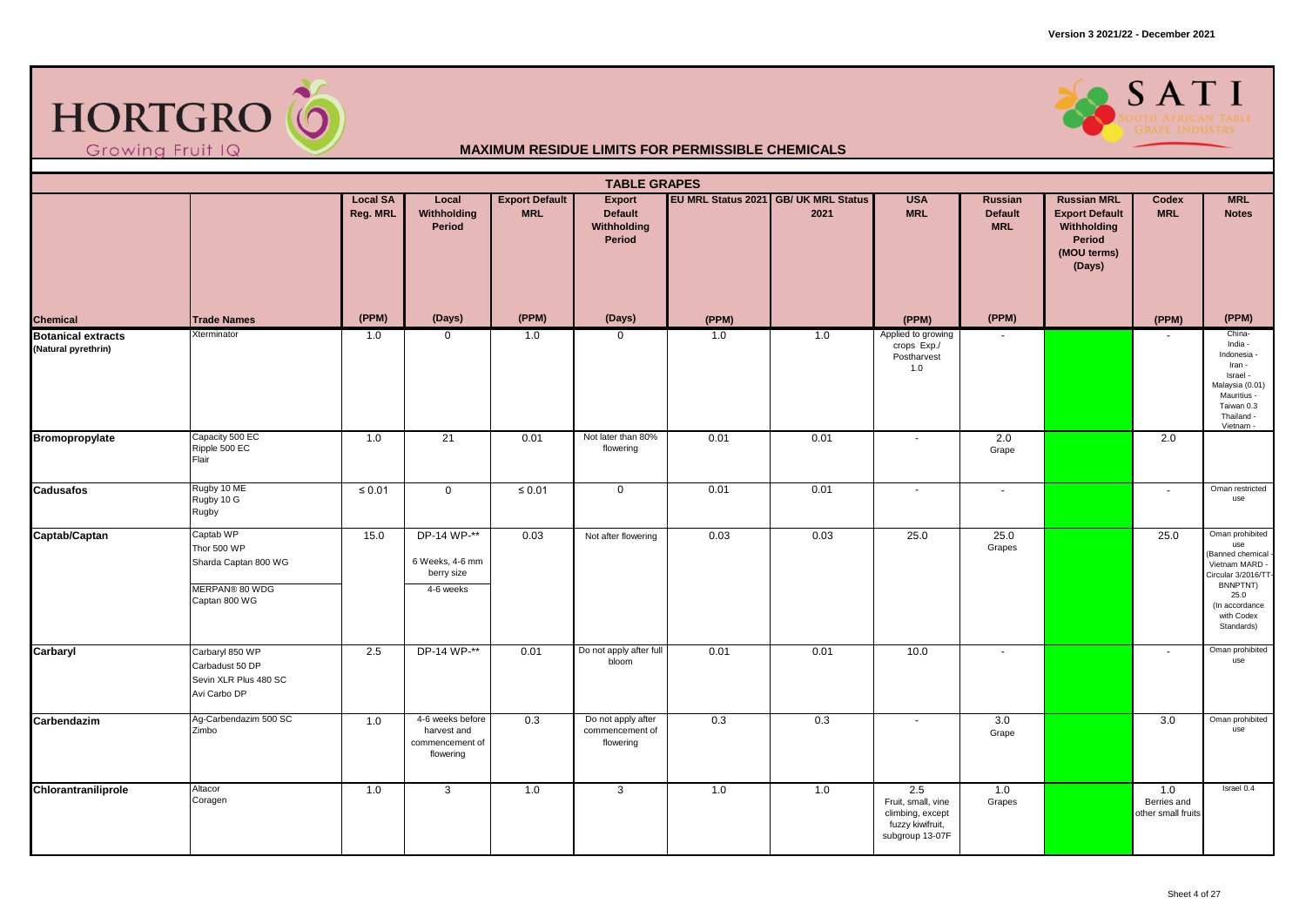



|                                                  | <b>TABLE GRAPES</b><br><b>Export Default</b><br>EU MRL Status 2021 GB/ UK MRL Status<br><b>USA</b><br><b>MRL</b><br><b>Local SA</b><br>Local<br><b>Export</b><br>Russian<br><b>Russian MRL</b><br>Codex |             |                                                                 |             |                                                    |       |      |                                                                                      |                              |                                                                         |                                          |                                                                                                                                                      |  |  |
|--------------------------------------------------|---------------------------------------------------------------------------------------------------------------------------------------------------------------------------------------------------------|-------------|-----------------------------------------------------------------|-------------|----------------------------------------------------|-------|------|--------------------------------------------------------------------------------------|------------------------------|-------------------------------------------------------------------------|------------------------------------------|------------------------------------------------------------------------------------------------------------------------------------------------------|--|--|
|                                                  |                                                                                                                                                                                                         | Reg. MRL    | Withholding<br>Period                                           | <b>MRL</b>  | Default<br>Withholding<br>Period                   |       | 2021 | <b>MRL</b>                                                                           | <b>Default</b><br><b>MRL</b> | <b>Export Default</b><br>Withholding<br>Period<br>(MOU terms)<br>(Days) | <b>MRL</b>                               | <b>Notes</b>                                                                                                                                         |  |  |
| <b>Chemical</b>                                  | <b>Trade Names</b>                                                                                                                                                                                      | (PPM)       | (Days)                                                          | (PPM)       | (Days)                                             | (PPM) |      | (PPM)                                                                                | (PPM)                        |                                                                         | (PPM)                                    | (PPM)                                                                                                                                                |  |  |
| <b>Botanical extracts</b><br>(Natural pyrethrin) | Xterminator                                                                                                                                                                                             | 1.0         | $\mathbf 0$                                                     | 1.0         | $\mathbf 0$                                        | 1.0   | 1.0  | Applied to growing<br>crops Exp./<br>Postharvest<br>1.0                              |                              |                                                                         | $\sim$                                   | China-<br>India -<br>Indonesia -<br>Iran -<br>Israel -<br>Malaysia (0.01)<br>Mauritius -<br>Taiwan 0.3<br>Thailand -<br>Vietnam -                    |  |  |
| Bromopropylate                                   | Capacity 500 EC<br>Ripple 500 EC<br>Flair                                                                                                                                                               | 1.0         | 21                                                              | 0.01        | Not later than 80%<br>flowering                    | 0.01  | 0.01 | $\sim$                                                                               | 2.0<br>Grape                 |                                                                         | 2.0                                      |                                                                                                                                                      |  |  |
| Cadusafos                                        | Rugby 10 ME<br>Rugby 10 G<br>Rugby                                                                                                                                                                      | $\leq 0.01$ | $\mathbf 0$                                                     | $\leq 0.01$ | $\mathbf 0$                                        | 0.01  | 0.01 | $\overline{\phantom{a}}$                                                             | $\tilde{\phantom{a}}$        |                                                                         | $\sim$                                   | Oman restricted<br>use                                                                                                                               |  |  |
| Captab/Captan                                    | Captab WP<br>Thor 500 WP<br>Sharda Captan 800 WG<br>MERPAN® 80 WDG<br>Captan 800 WG                                                                                                                     | 15.0        | DP-14 WP-**<br>6 Weeks, 4-6 mm<br>berry size<br>4-6 weeks       | 0.03        | Not after flowering                                | 0.03  | 0.03 | 25.0                                                                                 | 25.0<br>Grapes               |                                                                         | 25.0                                     | Oman prohibited<br>use<br>(Banned chemical<br>Vietnam MARD -<br>Circular 3/2016/TT<br>BNNPTNT)<br>25.0<br>(In accordance<br>with Codex<br>Standards) |  |  |
| Carbaryl                                         | Carbaryl 850 WP<br>Carbadust 50 DP<br>Sevin XLR Plus 480 SC<br>Avi Carbo DP                                                                                                                             | 2.5         | DP-14 WP-**                                                     | 0.01        | Do not apply after full<br>bloom                   | 0.01  | 0.01 | 10.0                                                                                 | $\overline{\phantom{a}}$     |                                                                         | $\sim$                                   | Oman prohibited<br>use                                                                                                                               |  |  |
| Carbendazim                                      | Ag-Carbendazim 500 SC<br>Zimbo                                                                                                                                                                          | 1.0         | 4-6 weeks before<br>harvest and<br>commencement of<br>flowering | 0.3         | Do not apply after<br>commencement of<br>flowering | 0.3   | 0.3  | $\sim$                                                                               | 3.0<br>Grape                 |                                                                         | 3.0                                      | Oman prohibited<br>use                                                                                                                               |  |  |
| Chlorantraniliprole                              | Altacor<br>Coragen                                                                                                                                                                                      | 1.0         | 3                                                               | 1.0         | 3                                                  | 1.0   | 1.0  | 2.5<br>Fruit, small, vine<br>climbing, except<br>fuzzy kiwifruit,<br>subgroup 13-07F | 1.0<br>Grapes                |                                                                         | 1.0<br>Berries and<br>other small fruits | Israel 0.4                                                                                                                                           |  |  |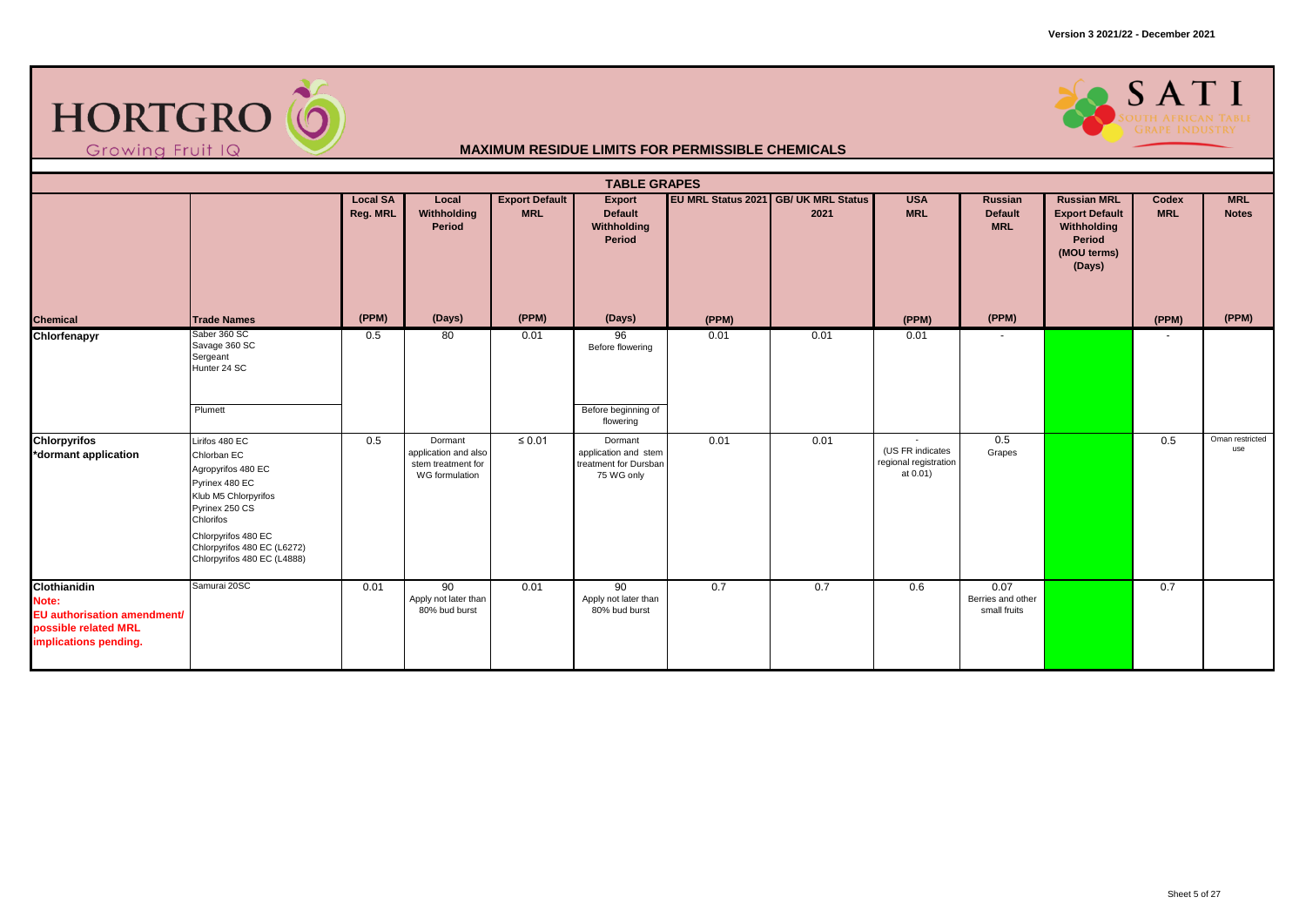



|                                                                                                       |                                                                                                                                                                                                                   |                             |                                                                         |                                     | <b>TABLE GRAPES</b>                                                    |       |                                              |                                                       |                                           |                                                                                               |                     |                            |
|-------------------------------------------------------------------------------------------------------|-------------------------------------------------------------------------------------------------------------------------------------------------------------------------------------------------------------------|-----------------------------|-------------------------------------------------------------------------|-------------------------------------|------------------------------------------------------------------------|-------|----------------------------------------------|-------------------------------------------------------|-------------------------------------------|-----------------------------------------------------------------------------------------------|---------------------|----------------------------|
|                                                                                                       |                                                                                                                                                                                                                   | <b>Local SA</b><br>Reg. MRL | Local<br>Withholding<br>Period                                          | <b>Export Default</b><br><b>MRL</b> | Export<br><b>Default</b><br>Withholding<br>Period                      |       | EU MRL Status 2021 GB/ UK MRL Status<br>2021 | <b>USA</b><br><b>MRL</b>                              | Russian<br><b>Default</b><br><b>MRL</b>   | <b>Russian MRL</b><br><b>Export Default</b><br>Withholding<br>Period<br>(MOU terms)<br>(Days) | Codex<br><b>MRL</b> | <b>MRL</b><br><b>Notes</b> |
| <b>Chemical</b>                                                                                       | <b>Trade Names</b>                                                                                                                                                                                                | (PPM)                       | (Days)                                                                  | (PPM)                               | (Days)                                                                 | (PPM) |                                              | (PPM)                                                 | (PPM)                                     |                                                                                               | (PPM)               | (PPM)                      |
| Chlorfenapyr                                                                                          | Saber 360 SC<br>Savage 360 SC<br>Sergeant<br>Hunter 24 SC                                                                                                                                                         | 0.5                         | 80                                                                      | 0.01                                | 96<br>Before flowering                                                 | 0.01  | 0.01                                         | 0.01                                                  | $\sim$                                    |                                                                                               | ٠                   |                            |
|                                                                                                       | Plumett                                                                                                                                                                                                           |                             |                                                                         |                                     | Before beginning of<br>flowering                                       |       |                                              |                                                       |                                           |                                                                                               |                     |                            |
| <b>Chlorpyrifos</b><br>*dormant application                                                           | Lirifos 480 EC<br>Chlorban EC<br>Agropyrifos 480 EC<br>Pyrinex 480 EC<br>Klub M5 Chlorpyrifos<br>Pyrinex 250 CS<br>Chlorifos<br>Chlorpyrifos 480 EC<br>Chlorpyrifos 480 EC (L6272)<br>Chlorpyrifos 480 EC (L4888) | 0.5                         | Dormant<br>application and also<br>stem treatment for<br>WG formulation | $\leq 0.01$                         | Dormant<br>application and stem<br>treatment for Dursban<br>75 WG only | 0.01  | 0.01                                         | (US FR indicates<br>regional registration<br>at 0.01) | 0.5<br>Grapes                             |                                                                                               | 0.5                 | Oman restricted<br>use     |
| Clothianidin<br>Note:<br>EU authorisation amendment/<br>possible related MRL<br>implications pending. | Samurai 20SC                                                                                                                                                                                                      | 0.01                        | 90<br>Apply not later than<br>80% bud burst                             | 0.01                                | 90<br>Apply not later than<br>80% bud burst                            | 0.7   | 0.7                                          | 0.6                                                   | 0.07<br>Berries and other<br>small fruits |                                                                                               | 0.7                 |                            |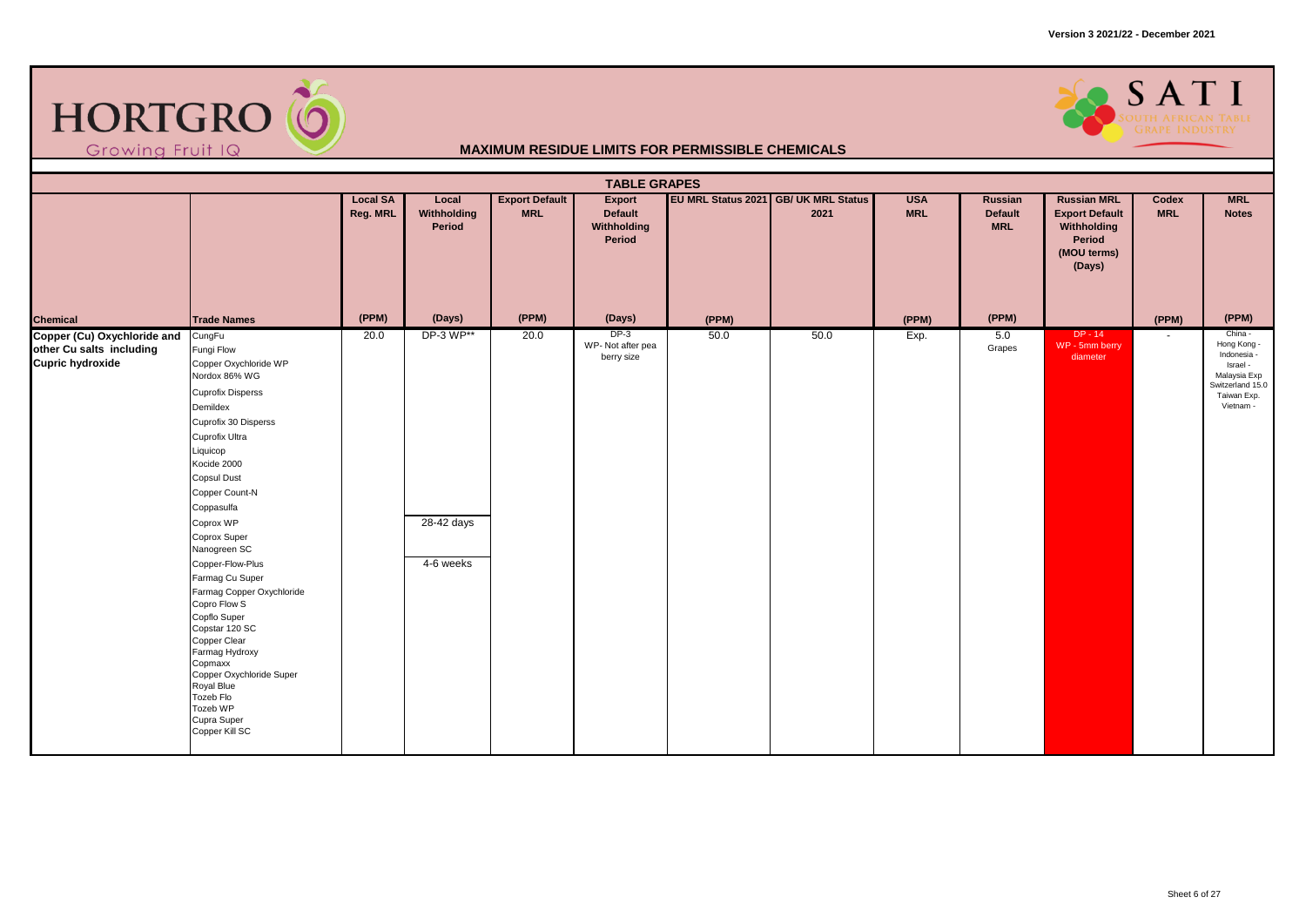

### SATI

|                                                                                    |                                                                                                                                                                                                                                                                                                                                                                                                                                                                                                                                                       |                             |                                      |                                     | <b>TABLE GRAPES</b>                        |       |                                              |                          |                                         |                                                                                               |                     |                                                                                                                   |
|------------------------------------------------------------------------------------|-------------------------------------------------------------------------------------------------------------------------------------------------------------------------------------------------------------------------------------------------------------------------------------------------------------------------------------------------------------------------------------------------------------------------------------------------------------------------------------------------------------------------------------------------------|-----------------------------|--------------------------------------|-------------------------------------|--------------------------------------------|-------|----------------------------------------------|--------------------------|-----------------------------------------|-----------------------------------------------------------------------------------------------|---------------------|-------------------------------------------------------------------------------------------------------------------|
|                                                                                    |                                                                                                                                                                                                                                                                                                                                                                                                                                                                                                                                                       | <b>Local SA</b><br>Reg. MRL | Local<br>Withholding<br>Period       | <b>Export Default</b><br><b>MRL</b> | Export<br>Default<br>Withholding<br>Period |       | EU MRL Status 2021 GB/ UK MRL Status<br>2021 | <b>USA</b><br><b>MRL</b> | Russian<br><b>Default</b><br><b>MRL</b> | <b>Russian MRL</b><br><b>Export Default</b><br>Withholding<br>Period<br>(MOU terms)<br>(Days) | Codex<br><b>MRL</b> | <b>MRL</b><br><b>Notes</b>                                                                                        |
| <b>Chemical</b>                                                                    | <b>Trade Names</b>                                                                                                                                                                                                                                                                                                                                                                                                                                                                                                                                    | (PPM)                       | (Days)                               | (PPM)                               | (Days)                                     | (PPM) |                                              | (PPM)                    | (PPM)                                   |                                                                                               | (PPM)               | (PPM)                                                                                                             |
| Copper (Cu) Oxychloride and<br>other Cu salts including<br><b>Cupric hydroxide</b> | CungFu<br>Fungi Flow<br>Copper Oxychloride WP<br>Nordox 86% WG<br><b>Cuprofix Disperss</b><br>Demildex<br>Cuprofix 30 Disperss<br>Cuprofix Ultra<br>Liquicop<br>Kocide 2000<br><b>Copsul Dust</b><br>Copper Count-N<br>Coppasulfa<br>Coprox WP<br>Coprox Super<br>Nanogreen SC<br>Copper-Flow-Plus<br>Farmag Cu Super<br>Farmag Copper Oxychloride<br>Copro Flow S<br>Copflo Super<br>Copstar 120 SC<br>Copper Clear<br>Farmag Hydroxy<br>Copmaxx<br>Copper Oxychloride Super<br>Royal Blue<br>Tozeb Flo<br>Tozeb WP<br>Cupra Super<br>Copper Kill SC | 20.0                        | DP-3 WP**<br>28-42 days<br>4-6 weeks | 20.0                                | $DP-3$<br>WP-Not after pea<br>berry size   | 50.0  | 50.0                                         | Exp.                     | 5.0<br>Grapes                           | $DP - 14$<br>WP - 5mm berry<br>diameter                                                       | $\sim$              | China -<br>Hong Kong -<br>Indonesia -<br>Israel -<br>Malaysia Exp<br>Switzerland 15.0<br>Taiwan Exp.<br>Vietnam - |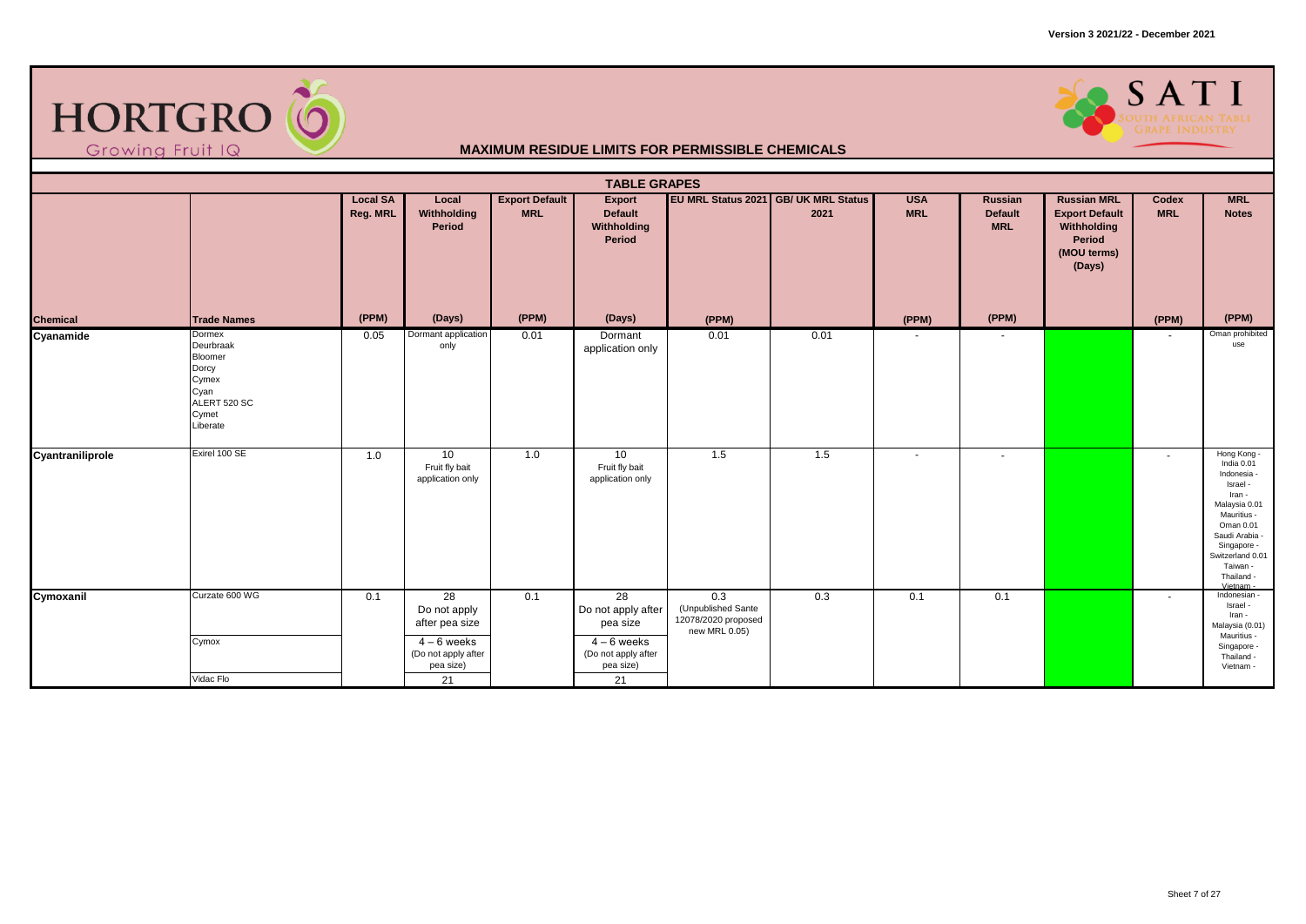



|                  |                                                                                               |                             |                                                                                                      |                                     | <b>TABLE GRAPES</b>                                                                                      |                                                                   |                                                     |                          |                                         |                                                                                               |                          |                                                                                                                                                                                                         |
|------------------|-----------------------------------------------------------------------------------------------|-----------------------------|------------------------------------------------------------------------------------------------------|-------------------------------------|----------------------------------------------------------------------------------------------------------|-------------------------------------------------------------------|-----------------------------------------------------|--------------------------|-----------------------------------------|-----------------------------------------------------------------------------------------------|--------------------------|---------------------------------------------------------------------------------------------------------------------------------------------------------------------------------------------------------|
|                  |                                                                                               | <b>Local SA</b><br>Reg. MRL | Local<br>Withholding<br>Period                                                                       | <b>Export Default</b><br><b>MRL</b> | Export<br><b>Default</b><br>Withholding<br>Period                                                        |                                                                   | <b>EU MRL Status 2021 GB/ UK MRL Status</b><br>2021 | <b>USA</b><br><b>MRL</b> | Russian<br><b>Default</b><br><b>MRL</b> | <b>Russian MRL</b><br><b>Export Default</b><br>Withholding<br>Period<br>(MOU terms)<br>(Days) | Codex<br><b>MRL</b>      | <b>MRL</b><br><b>Notes</b>                                                                                                                                                                              |
| <b>Chemical</b>  | <b>Trade Names</b>                                                                            | (PPM)                       | (Days)                                                                                               | (PPM)                               | (Days)                                                                                                   | (PPM)                                                             |                                                     | (PPM)                    | (PPM)                                   |                                                                                               | (PPM)                    | (PPM)                                                                                                                                                                                                   |
| Cyanamide        | Dormex<br>Deurbraak<br>Bloomer<br>Dorcy<br>Cymex<br>Cyan<br>ALERT 520 SC<br>Cymet<br>Liberate | 0.05                        | Dormant application<br>only                                                                          | 0.01                                | Dormant<br>application only                                                                              | 0.01                                                              | 0.01                                                | $\overline{\phantom{a}}$ | $\sim$                                  |                                                                                               | $\overline{\phantom{a}}$ | Oman prohibited<br>use                                                                                                                                                                                  |
| Cyantraniliprole | Exirel 100 SE                                                                                 | 1.0                         | 10<br>Fruit fly bait<br>application only                                                             | 1.0                                 | 10<br>Fruit fly bait<br>application only                                                                 | 1.5                                                               | 1.5                                                 | ٠                        | $\sim$                                  |                                                                                               | $\sim$                   | Hong Kong -<br>India 0.01<br>Indonesia -<br>Israel -<br>Iran -<br>Malaysia 0.01<br>Mauritius -<br>Oman 0.01<br>Saudi Arabia -<br>Singapore -<br>Switzerland 0.01<br>Taiwan -<br>Thailand -<br>Vietnam - |
| Cymoxanil        | Curzate 600 WG<br>Cymox<br>Vidac Flo                                                          | 0.1                         | 28<br>Do not apply<br>after pea size<br>$\sqrt{4-6}$ weeks<br>(Do not apply after<br>pea size)<br>21 | 0.1                                 | 28<br>Do not apply after<br>pea size<br>$\overline{4-6}$ weeks<br>(Do not apply after<br>pea size)<br>21 | 0.3<br>(Unpublished Sante<br>12078/2020 proposed<br>new MRL 0.05) | 0.3                                                 | 0.1                      | 0.1                                     |                                                                                               | $\sim$                   | Indonesian -<br>Israel -<br>Iran -<br>Malaysia (0.01)<br>Mauritius -<br>Singapore -<br>Thailand -<br>Vietnam -                                                                                          |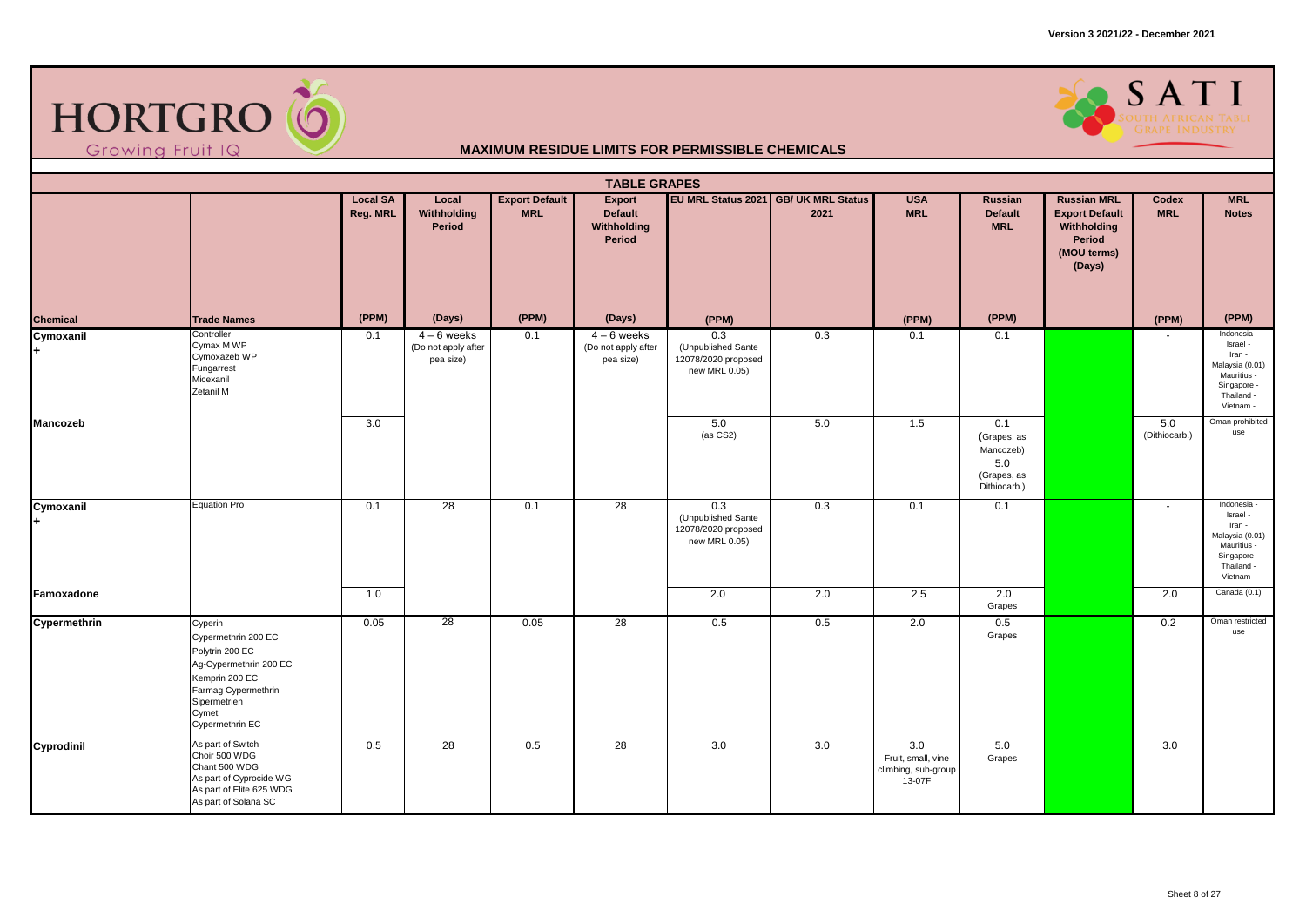

### SATI

|                  | <b>TABLE GRAPES</b><br>EU MRL Status 2021 GB/ UK MRL Status<br><b>Export Default</b><br><b>USA</b><br><b>Russian MRL</b><br><b>MRL</b><br><b>Local SA</b><br>Local<br>Export<br>Russian<br>Codex<br><b>MRL</b><br>Reg. MRL<br>Withholding<br><b>MRL</b><br><b>Default</b><br><b>MRL</b><br>2021<br><b>Default</b><br><b>Export Default</b><br><b>Notes</b> |       |                                                   |       |                                                   |                                                                   |     |                                                            |                                                                       |                                                |                          |                                                                                                               |  |  |
|------------------|------------------------------------------------------------------------------------------------------------------------------------------------------------------------------------------------------------------------------------------------------------------------------------------------------------------------------------------------------------|-------|---------------------------------------------------|-------|---------------------------------------------------|-------------------------------------------------------------------|-----|------------------------------------------------------------|-----------------------------------------------------------------------|------------------------------------------------|--------------------------|---------------------------------------------------------------------------------------------------------------|--|--|
|                  |                                                                                                                                                                                                                                                                                                                                                            |       | Period                                            |       | Withholding<br>Period                             |                                                                   |     |                                                            | <b>MRL</b>                                                            | Withholding<br>Period<br>(MOU terms)<br>(Days) |                          |                                                                                                               |  |  |
| Chemical         | <b>Trade Names</b>                                                                                                                                                                                                                                                                                                                                         | (PPM) | (Days)                                            | (PPM) | (Days)                                            | (PPM)                                                             |     | (PPM)                                                      | (PPM)                                                                 |                                                | (PPM)                    | (PPM)                                                                                                         |  |  |
| Cymoxanil<br>$+$ | Controller<br>Cymax M WP<br>Cymoxazeb WP<br>Fungarrest<br>Micexanil<br>Zetanil M                                                                                                                                                                                                                                                                           | 0.1   | $4 - 6$ weeks<br>(Do not apply after<br>pea size) | 0.1   | $4 - 6$ weeks<br>(Do not apply after<br>pea size) | 0.3<br>(Unpublished Sante<br>12078/2020 proposed<br>new MRL 0.05) | 0.3 | 0.1                                                        | 0.1                                                                   |                                                | ٠                        | Indonesia -<br>Israel -<br>Iran -<br>Malaysia (0.01)<br>Mauritius -<br>Singapore -<br>Thailand -<br>Vietnam - |  |  |
| <b>Mancozeb</b>  |                                                                                                                                                                                                                                                                                                                                                            | 3.0   |                                                   |       |                                                   | 5.0<br>(as CS2)                                                   | 5.0 | 1.5                                                        | 0.1<br>(Grapes, as<br>Mancozeb)<br>5.0<br>(Grapes, as<br>Dithiocarb.) |                                                | 5.0<br>(Dithiocarb.)     | Oman prohibited<br>use                                                                                        |  |  |
| Cymoxanil<br>$+$ | Equation Pro                                                                                                                                                                                                                                                                                                                                               | 0.1   | 28                                                | 0.1   | $\overline{28}$                                   | 0.3<br>(Unpublished Sante<br>12078/2020 proposed<br>new MRL 0.05) | 0.3 | 0.1                                                        | 0.1                                                                   |                                                | $\overline{\phantom{a}}$ | Indonesia -<br>Israel -<br>Iran -<br>Malaysia (0.01)<br>Mauritius -<br>Singapore -<br>Thailand -<br>Vietnam - |  |  |
| Famoxadone       |                                                                                                                                                                                                                                                                                                                                                            | 1.0   |                                                   |       |                                                   | 2.0                                                               | 2.0 | 2.5                                                        | 2.0<br>Grapes                                                         |                                                | 2.0                      | Canada (0.1)                                                                                                  |  |  |
| Cypermethrin     | Cyperin<br>Cypermethrin 200 EC<br>Polytrin 200 EC<br>Ag-Cypermethrin 200 EC<br>Kemprin 200 EC<br>Farmag Cypermethrin<br>Sipermetrien<br>Cymet<br>Cypermethrin EC                                                                                                                                                                                           | 0.05  | $\overline{28}$                                   | 0.05  | 28                                                | 0.5                                                               | 0.5 | 2.0                                                        | 0.5<br>Grapes                                                         |                                                | 0.2                      | Oman restricted<br>use                                                                                        |  |  |
| Cyprodinil       | As part of Switch<br>Choir 500 WDG<br>Chant 500 WDG<br>As part of Cyprocide WG<br>As part of Elite 625 WDG<br>As part of Solana SC                                                                                                                                                                                                                         | 0.5   | 28                                                | 0.5   | 28                                                | 3.0                                                               | 3.0 | 3.0<br>Fruit, small, vine<br>climbing, sub-group<br>13-07F | 5.0<br>Grapes                                                         |                                                | 3.0                      |                                                                                                               |  |  |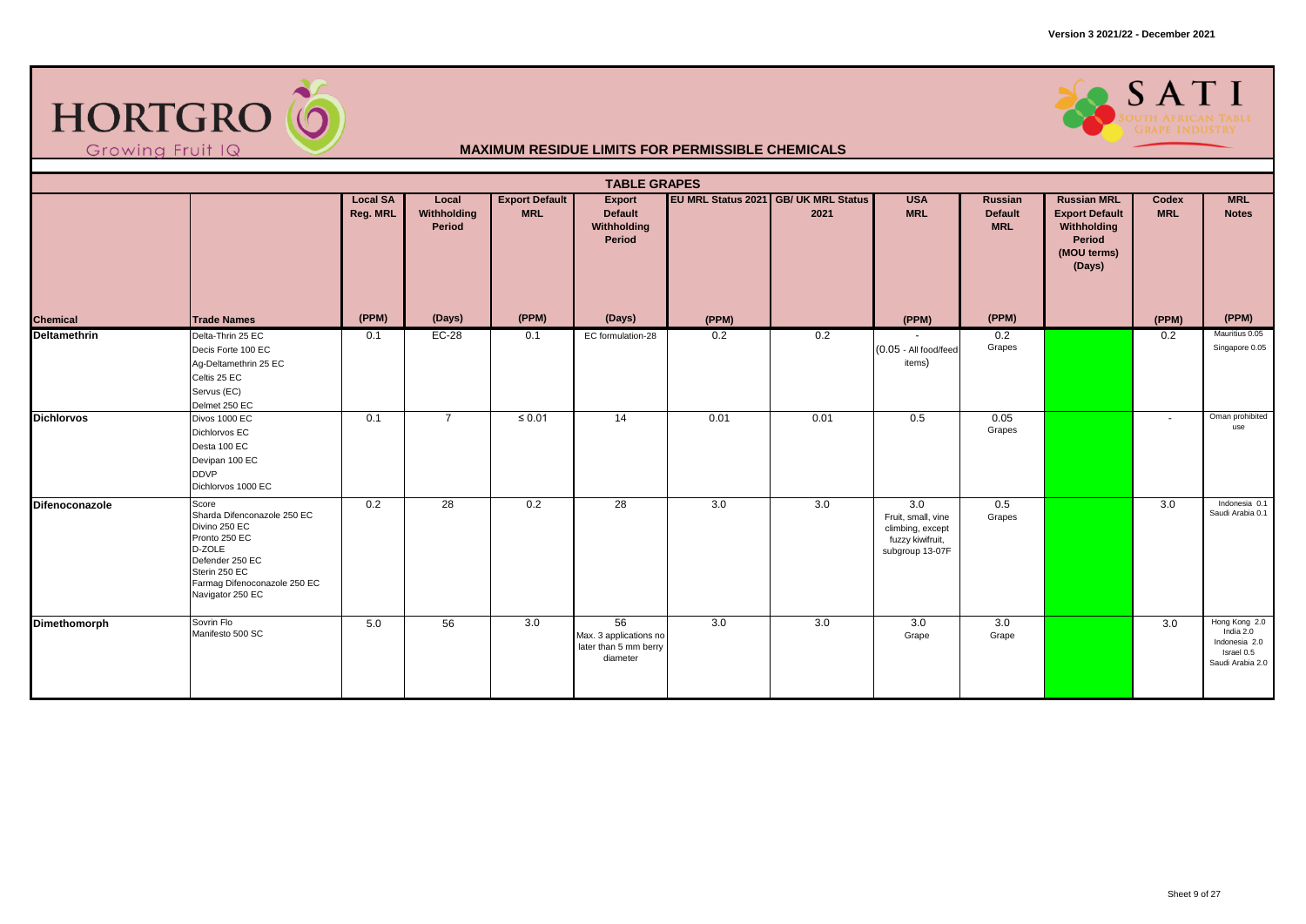



|                   | <b>TABLE GRAPES</b><br><b>Local SA</b><br><b>Export Default</b><br>EU MRL Status 2021 GB/ UK MRL Status<br><b>USA</b><br><b>Russian MRL</b><br><b>MRL</b><br>Local<br>Export<br>Russian<br>Codex |          |                       |             |                                                                   |       |      |                                                                                      |                              |                                                                         |                  |                                                                               |  |  |
|-------------------|--------------------------------------------------------------------------------------------------------------------------------------------------------------------------------------------------|----------|-----------------------|-------------|-------------------------------------------------------------------|-------|------|--------------------------------------------------------------------------------------|------------------------------|-------------------------------------------------------------------------|------------------|-------------------------------------------------------------------------------|--|--|
|                   |                                                                                                                                                                                                  | Reg. MRL | Withholding<br>Period | <b>MRL</b>  | <b>Default</b><br>Withholding<br>Period                           |       | 2021 | <b>MRL</b>                                                                           | <b>Default</b><br><b>MRL</b> | <b>Export Default</b><br>Withholding<br>Period<br>(MOU terms)<br>(Days) | <b>MRL</b>       | <b>Notes</b>                                                                  |  |  |
| <b>Chemical</b>   | <b>Trade Names</b>                                                                                                                                                                               | (PPM)    | (Days)                | (PPM)       | (Days)                                                            | (PPM) |      | (PPM)                                                                                | (PPM)                        |                                                                         | (PPM)            | (PPM)                                                                         |  |  |
| Deltamethrin      | Delta-Thrin 25 EC<br>Decis Forte 100 EC<br>Aq-Deltamethrin 25 EC<br>Celtis 25 EC<br>Servus (EC)<br>Delmet 250 EC                                                                                 | 0.1      | $EC-28$               | 0.1         | EC formulation-28                                                 | 0.2   | 0.2  | (0.05 - All food/feed<br>items)                                                      | 0.2<br>Grapes                |                                                                         | 0.2              | Mauritius 0.05<br>Singapore 0.05                                              |  |  |
| <b>Dichlorvos</b> | Divos 1000 EC<br>Dichlorvos EC<br>Desta 100 EC<br>Devipan 100 EC<br><b>DDVP</b><br>Dichlorvos 1000 EC                                                                                            | 0.1      | $\overline{7}$        | $\leq 0.01$ | 14                                                                | 0.01  | 0.01 | 0.5                                                                                  | 0.05<br>Grapes               |                                                                         | $\sim$           | Oman prohibited<br>use                                                        |  |  |
| Difenoconazole    | Score<br>Sharda Difenconazole 250 EC<br>Divino 250 EC<br>Pronto 250 EC<br>D-ZOLE<br>Defender 250 EC<br>Sterin 250 EC<br>Farmag Difenoconazole 250 EC<br>Navigator 250 EC                         | 0.2      | $\overline{28}$       | 0.2         | $\overline{28}$                                                   | 3.0   | 3.0  | 3.0<br>Fruit, small, vine<br>climbing, except<br>fuzzy kiwifruit,<br>subgroup 13-07F | 0.5<br>Grapes                |                                                                         | $\overline{3.0}$ | Indonesia 0.1<br>Saudi Arabia 0.1                                             |  |  |
| Dimethomorph      | Sovrin Flo<br>Manifesto 500 SC                                                                                                                                                                   | 5.0      | 56                    | 3.0         | 56<br>Max. 3 applications no<br>later than 5 mm berry<br>diameter | 3.0   | 3.0  | 3.0<br>Grape                                                                         | 3.0<br>Grape                 |                                                                         | 3.0              | Hong Kong 2.0<br>India 2.0<br>Indonesia 2.0<br>Israel 0.5<br>Saudi Arabia 2.0 |  |  |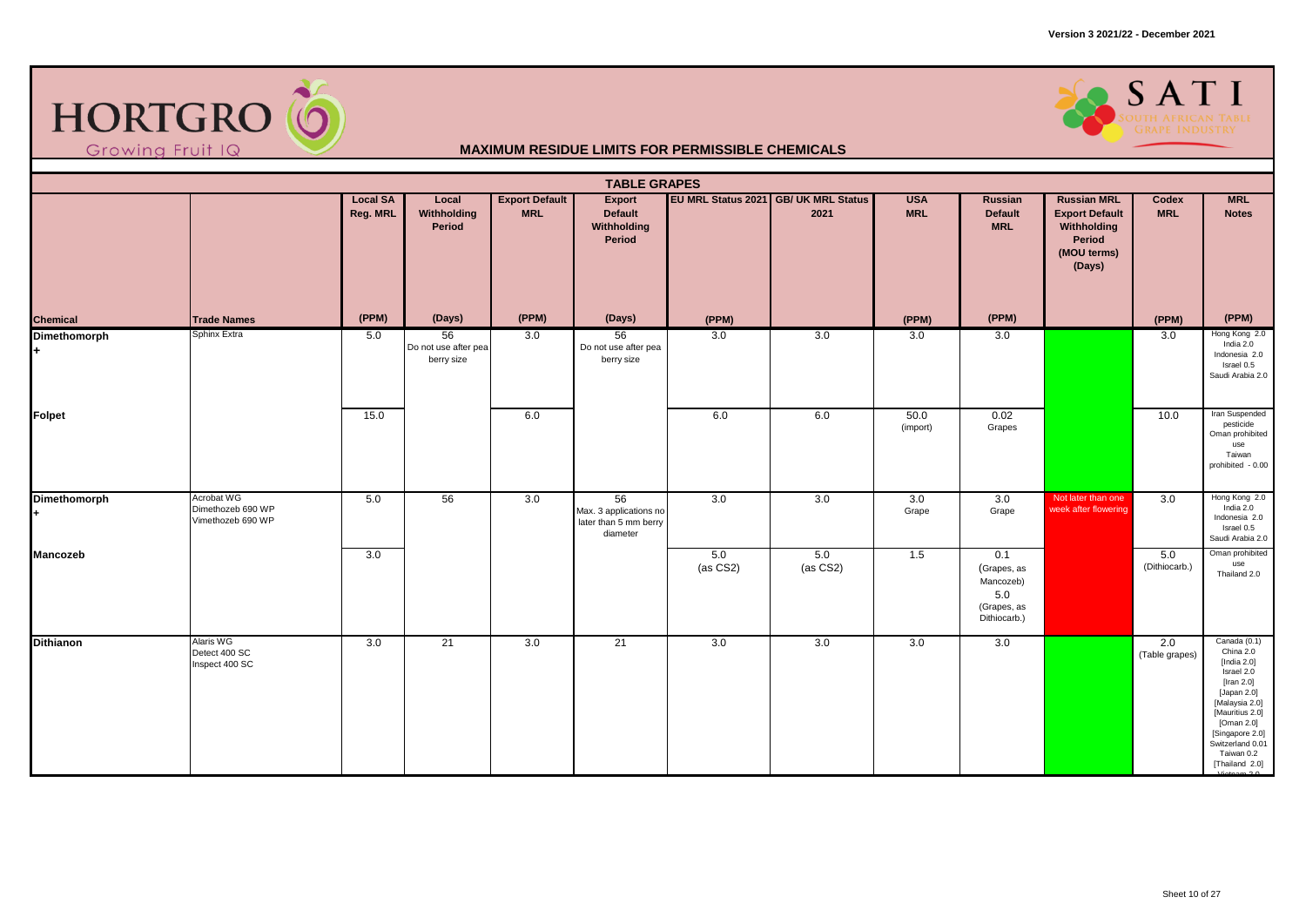

### SATI

|                  | <b>TABLE GRAPES</b><br>EU MRL Status 2021 GB/ UK MRL Status<br><b>Local SA</b><br><b>Export Default</b><br><b>USA</b><br><b>Russian MRL</b><br><b>MRL</b><br>Local<br>Export<br>Russian<br>Codex |          |                                          |            |                                                                   |                 |                 |                  |                                                                       |                                                                         |                       |                                                                                                                                                                                                                     |  |  |
|------------------|--------------------------------------------------------------------------------------------------------------------------------------------------------------------------------------------------|----------|------------------------------------------|------------|-------------------------------------------------------------------|-----------------|-----------------|------------------|-----------------------------------------------------------------------|-------------------------------------------------------------------------|-----------------------|---------------------------------------------------------------------------------------------------------------------------------------------------------------------------------------------------------------------|--|--|
|                  |                                                                                                                                                                                                  | Reg. MRL | Withholding<br>Period                    | <b>MRL</b> | <b>Default</b><br>Withholding<br>Period                           |                 | 2021            | <b>MRL</b>       | <b>Default</b><br><b>MRL</b>                                          | <b>Export Default</b><br>Withholding<br>Period<br>(MOU terms)<br>(Days) | <b>MRL</b>            | <b>Notes</b>                                                                                                                                                                                                        |  |  |
| Chemical         | <b>Trade Names</b>                                                                                                                                                                               | (PPM)    | (Days)                                   | (PPM)      | (Days)                                                            | (PPM)           |                 | (PPM)            | (PPM)                                                                 |                                                                         | (PPM)                 | (PPM)                                                                                                                                                                                                               |  |  |
| Dimethomorph     | Sphinx Extra                                                                                                                                                                                     | 5.0      | 56<br>Do not use after pea<br>berry size | 3.0        | 56<br>Do not use after pea<br>berry size                          | 3.0             | 3.0             | 3.0              | 3.0                                                                   |                                                                         | 3.0                   | Hong Kong 2.0<br>India $2.0$<br>Indonesia 2.0<br>Israel 0.5<br>Saudi Arabia 2.0                                                                                                                                     |  |  |
| Folpet           |                                                                                                                                                                                                  | 15.0     |                                          | 6.0        |                                                                   | 6.0             | 6.0             | 50.0<br>(import) | 0.02<br>Grapes                                                        |                                                                         | 10.0                  | Iran Suspended<br>pesticide<br>Oman prohibited<br>use<br>Taiwan<br>prohibited - 0.00                                                                                                                                |  |  |
| Dimethomorph     | Acrobat WG<br>Dimethozeb 690 WP<br>Vimethozeb 690 WP                                                                                                                                             | 5.0      | 56                                       | 3.0        | 56<br>Max. 3 applications no<br>later than 5 mm berry<br>diameter | 3.0             | 3.0             | 3.0<br>Grape     | 3.0<br>Grape                                                          | Not later than one<br>week after flowering                              | 3.0                   | Hong Kong 2.0<br>India $2.0$<br>Indonesia 2.0<br>Israel 0.5<br>Saudi Arabia 2.0                                                                                                                                     |  |  |
| Mancozeb         |                                                                                                                                                                                                  | 3.0      |                                          |            |                                                                   | 5.0<br>(as CS2) | 5.0<br>(as CS2) | 1.5              | 0.1<br>(Grapes, as<br>Mancozeb)<br>5.0<br>(Grapes, as<br>Dithiocarb.) |                                                                         | 5.0<br>(Dithiocarb.)  | Oman prohibited<br>use<br>Thailand 2.0                                                                                                                                                                              |  |  |
| <b>Dithianon</b> | Alaris WG<br>Detect 400 SC<br>Inspect 400 SC                                                                                                                                                     | 3.0      | $\overline{21}$                          | 3.0        | 21                                                                | 3.0             | 3.0             | 3.0              | 3.0                                                                   |                                                                         | 2.0<br>(Table grapes) | Canada (0.1)<br>China 2.0<br>[India $2.0$ ]<br>Israel 2.0<br>[Iran $2.0$ ]<br>[Japan 2.0]<br>[Malaysia 2.0]<br>[Mauritius 2.0]<br>[Oman 2.0]<br>[Singapore 2.0]<br>Switzerland 0.01<br>Taiwan 0.2<br>[Thailand 2.0] |  |  |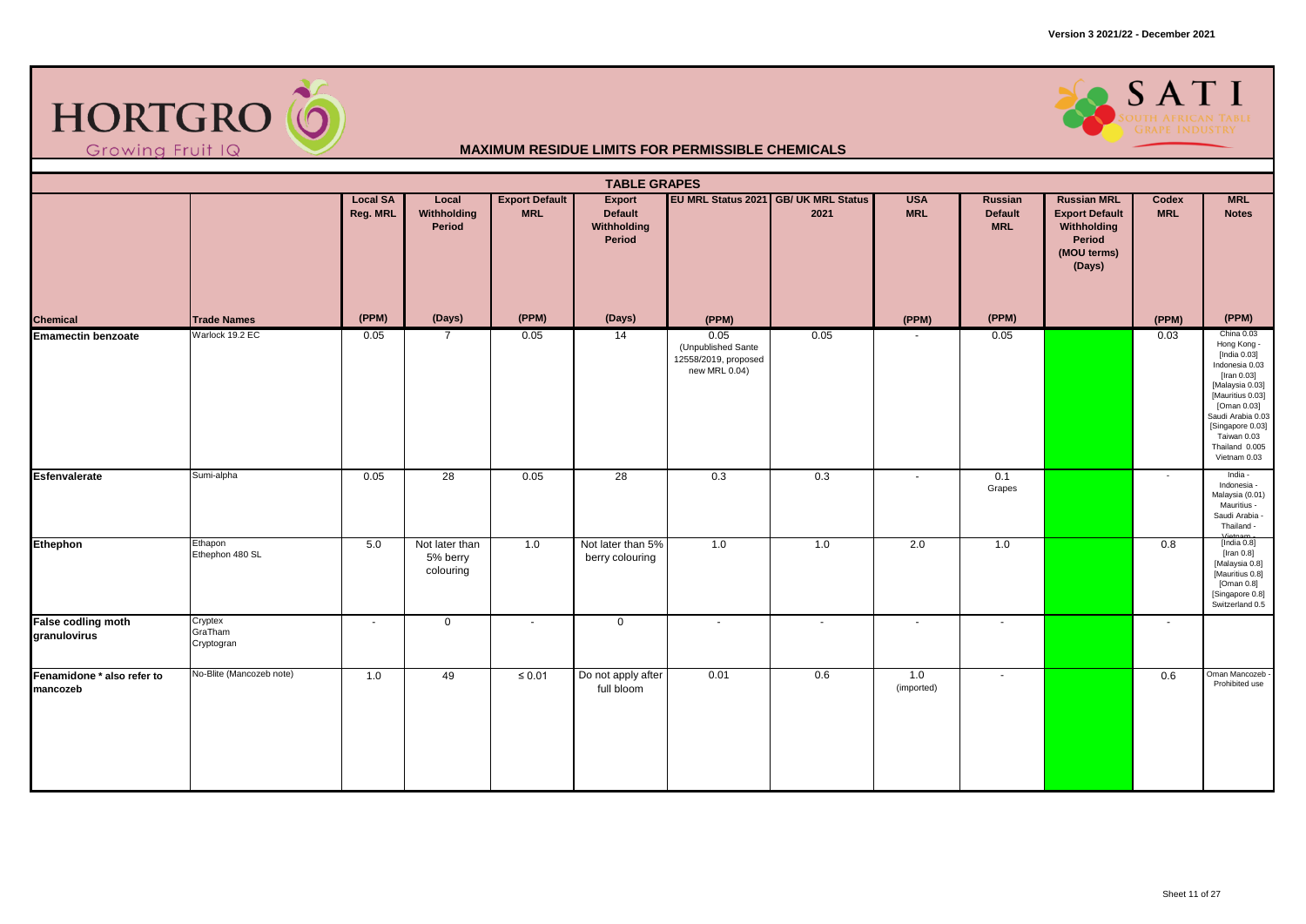



|                                           | <b>TABLE GRAPES</b><br>EU MRL Status 2021 GB/ UK MRL Status<br><b>Local SA</b><br>Local<br><b>Export Default</b><br><b>USA</b><br><b>Russian MRL</b><br><b>MRL</b><br><b>Export</b><br>Russian<br>Codex |          |                                         |             |                                      |                                                                     |        |                   |                              |                                                                         |            |                                                                                                                                                                                                                            |  |  |
|-------------------------------------------|---------------------------------------------------------------------------------------------------------------------------------------------------------------------------------------------------------|----------|-----------------------------------------|-------------|--------------------------------------|---------------------------------------------------------------------|--------|-------------------|------------------------------|-------------------------------------------------------------------------|------------|----------------------------------------------------------------------------------------------------------------------------------------------------------------------------------------------------------------------------|--|--|
|                                           |                                                                                                                                                                                                         | Reg. MRL | Withholding<br>Period                   | <b>MRL</b>  | Default<br>Withholding<br>Period     |                                                                     | 2021   | <b>MRL</b>        | <b>Default</b><br><b>MRL</b> | <b>Export Default</b><br>Withholding<br>Period<br>(MOU terms)<br>(Days) | <b>MRL</b> | <b>Notes</b>                                                                                                                                                                                                               |  |  |
| Chemical                                  | <b>Trade Names</b>                                                                                                                                                                                      | (PPM)    | (Days)                                  | (PPM)       | (Days)                               | (PPM)                                                               |        | (PPM)             | (PPM)                        |                                                                         | (PPM)      | (PPM)                                                                                                                                                                                                                      |  |  |
| <b>Emamectin benzoate</b>                 | Warlock 19.2 EC                                                                                                                                                                                         | 0.05     | $\overline{7}$                          | 0.05        | $\overline{14}$                      | 0.05<br>(Unpublished Sante<br>12558/2019, proposed<br>new MRL 0.04) | 0.05   |                   | 0.05                         |                                                                         | 0.03       | China 0.03<br>Hong Kong -<br>[India 0.03]<br>Indonesia 0.03<br>[Iran 0.03]<br>[Malaysia 0.03]<br>[Mauritius 0.03]<br>[Oman 0.03]<br>Saudi Arabia 0.03<br>[Singapore 0.03]<br>Taiwan 0.03<br>Thailand 0.005<br>Vietnam 0.03 |  |  |
| <b>Esfenvalerate</b>                      | Sumi-alpha                                                                                                                                                                                              | 0.05     | 28                                      | 0.05        | $\overline{28}$                      | 0.3                                                                 | 0.3    | $\sim$            | 0.1<br>Grapes                |                                                                         | $\sim$     | India -<br>Indonesia -<br>Malaysia (0.01)<br>Mauritius -<br>Saudi Arabia -<br>Thailand -<br>Vintner                                                                                                                        |  |  |
| Ethephon                                  | Ethapon<br>Ethephon 480 SL                                                                                                                                                                              | 5.0      | Not later than<br>5% berry<br>colouring | 1.0         | Not later than 5%<br>berry colouring | 1.0                                                                 | 1.0    | 2.0               | 1.0                          |                                                                         | 0.8        | [India 0.8]<br>[Iran $0.8$ ]<br>[Malaysia 0.8]<br>[Mauritius 0.8]<br>$[ \textsf{Oman}\; 0.8] \smallskip 1in \textsf{Singapore} \; 0.8]$<br>Switzerland 0.5                                                                 |  |  |
| <b>False codling moth</b><br>granulovirus | Cryptex<br>GraTham<br>Cryptogran                                                                                                                                                                        | $\sim$   | $\mathbf 0$                             | $\sim$      | $\mathbf 0$                          | $\blacksquare$                                                      | $\sim$ | $\sim$            | $\sim$                       |                                                                         | $\sim$     |                                                                                                                                                                                                                            |  |  |
| Fenamidone * also refer to<br>mancozeb    | No-Blite (Mancozeb note)                                                                                                                                                                                | 1.0      | 49                                      | $\leq 0.01$ | Do not apply after<br>full bloom     | 0.01                                                                | 0.6    | 1.0<br>(imported) | $\blacksquare$               |                                                                         | 0.6        | Oman Mancozeb<br>Prohibited use                                                                                                                                                                                            |  |  |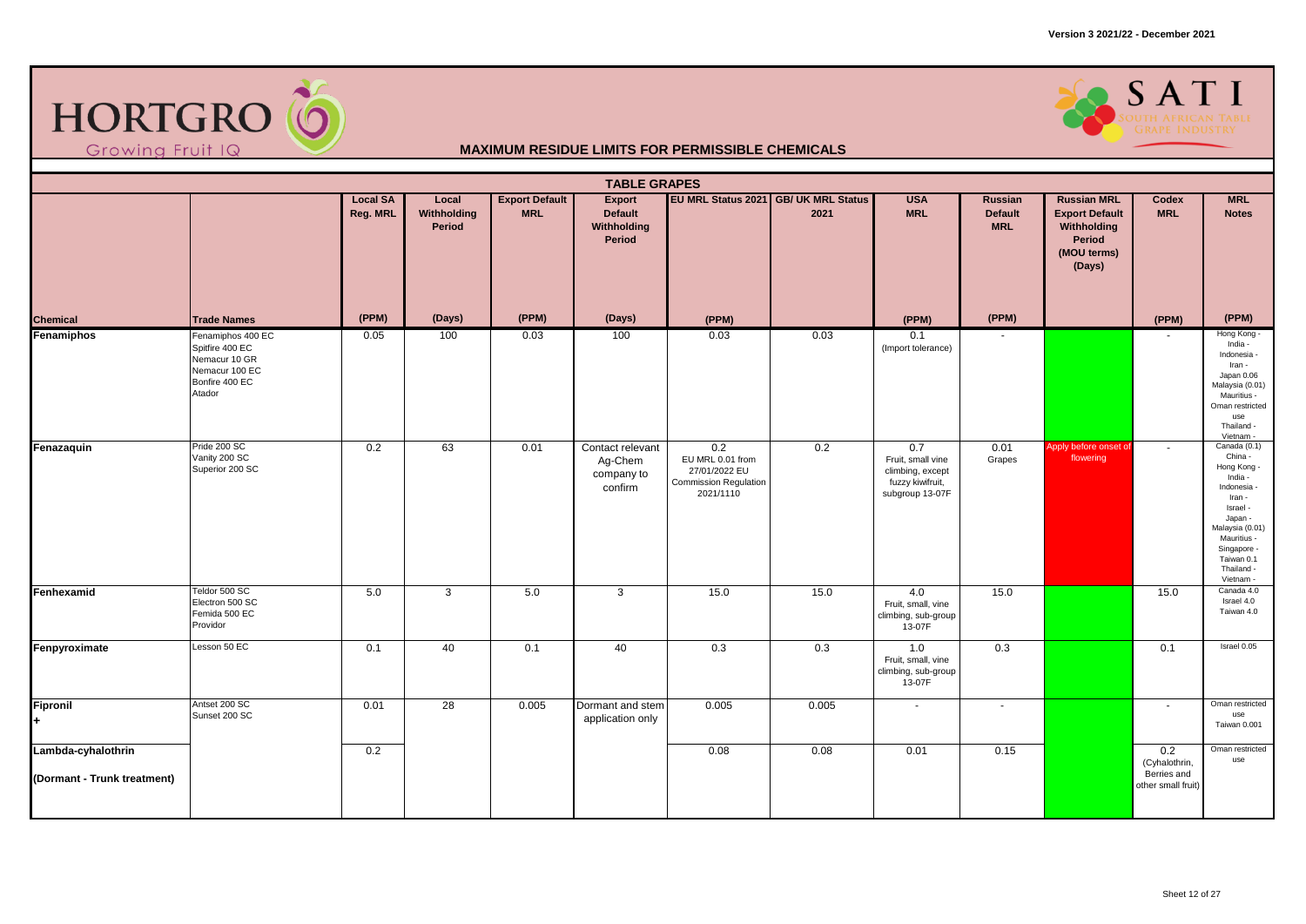



|                                                   | <b>TABLE GRAPES</b><br>EU MRL Status 2021 GB/ UK MRL Status<br><b>Local SA</b><br><b>Export Default</b><br><b>USA</b><br><b>Russian MRL</b><br><b>MRL</b><br>Local<br>Export<br>Russian<br>Codex |          |                       |            |                                                      |                                                                                       |       |                                                                                     |                              |                                                                         |                                                           |                                                                                                                                                                                             |  |  |
|---------------------------------------------------|--------------------------------------------------------------------------------------------------------------------------------------------------------------------------------------------------|----------|-----------------------|------------|------------------------------------------------------|---------------------------------------------------------------------------------------|-------|-------------------------------------------------------------------------------------|------------------------------|-------------------------------------------------------------------------|-----------------------------------------------------------|---------------------------------------------------------------------------------------------------------------------------------------------------------------------------------------------|--|--|
|                                                   |                                                                                                                                                                                                  | Reg. MRL | Withholding<br>Period | <b>MRL</b> | <b>Default</b><br>Withholding<br>Period              |                                                                                       | 2021  | <b>MRL</b>                                                                          | <b>Default</b><br><b>MRL</b> | <b>Export Default</b><br>Withholding<br>Period<br>(MOU terms)<br>(Days) | <b>MRL</b>                                                | <b>Notes</b>                                                                                                                                                                                |  |  |
| <b>Chemical</b>                                   | <b>Trade Names</b>                                                                                                                                                                               | (PPM)    | (Days)                | (PPM)      | (Days)                                               | (PPM)                                                                                 |       | (PPM)                                                                               | (PPM)                        |                                                                         | (PPM)                                                     | (PPM)                                                                                                                                                                                       |  |  |
| Fenamiphos                                        | Fenamiphos 400 EC<br>Spitfire 400 EC<br>Nemacur 10 GR<br>Nemacur 100 EC<br>Bonfire 400 EC<br>Atador                                                                                              | 0.05     | 100                   | 0.03       | 100                                                  | 0.03                                                                                  | 0.03  | 0.1<br>(Import tolerance)                                                           | $\sim$                       |                                                                         |                                                           | Hong Kong -<br>India -<br>Indonesia -<br>Iran -<br>Japan 0.06<br>Malaysia (0.01)<br>Mauritius -<br>Oman restricted<br>use<br>Thailand -<br>Vietnam -                                        |  |  |
| Fenazaquin                                        | Pride 200 SC<br>Vanity 200 SC<br>Superior 200 SC                                                                                                                                                 | 0.2      | 63                    | 0.01       | Contact relevant<br>Ag-Chem<br>company to<br>confirm | 0.2<br>EU MRL 0.01 from<br>27/01/2022 EU<br><b>Commission Regulation</b><br>2021/1110 | 0.2   | 0.7<br>Fruit, small vine<br>climbing, except<br>fuzzy kiwifruit,<br>subgroup 13-07F | 0.01<br>Grapes               | Apply before onset of<br>flowering                                      | $\sim$                                                    | Canada (0.1)<br>China -<br>Hong Kong -<br>India -<br>Indonesia -<br>Iran -<br>Israel -<br>Japan -<br>Malaysia (0.01)<br>Mauritius -<br>Singapore -<br>Taiwan 0.1<br>Thailand -<br>Vietnam - |  |  |
| Fenhexamid                                        | Teldor 500 SC<br>Electron 500 SC<br>Femida 500 EC<br>Providor                                                                                                                                    | 5.0      | 3                     | 5.0        | 3                                                    | 15.0                                                                                  | 15.0  | 4.0<br>Fruit, small, vine<br>climbing, sub-group<br>13-07F                          | 15.0                         |                                                                         | 15.0                                                      | Canada 4.0<br>Israel 4.0<br>Taiwan 4.0                                                                                                                                                      |  |  |
| Fenpyroximate                                     | Lesson 50 EC                                                                                                                                                                                     | 0.1      | 40                    | 0.1        | 40                                                   | 0.3                                                                                   | 0.3   | 1.0<br>Fruit, small, vine<br>climbing, sub-group<br>13-07F                          | 0.3                          |                                                                         | 0.1                                                       | Israel 0.05                                                                                                                                                                                 |  |  |
| <b>Fipronil</b><br>$\ddot{}$                      | Antset 200 SC<br>Sunset 200 SC                                                                                                                                                                   | 0.01     | 28                    | 0.005      | Dormant and stem<br>application only                 | 0.005                                                                                 | 0.005 | $\sim$                                                                              | $\sim$                       |                                                                         | $\sim$                                                    | Oman restricted<br>use<br>Taiwan 0.001                                                                                                                                                      |  |  |
| Lambda-cyhalothrin<br>(Dormant - Trunk treatment) |                                                                                                                                                                                                  | 0.2      |                       |            |                                                      | 0.08                                                                                  | 0.08  | 0.01                                                                                | 0.15                         |                                                                         | 0.2<br>(Cyhalothrin,<br>Berries and<br>other small fruit) | Oman restricted<br>use                                                                                                                                                                      |  |  |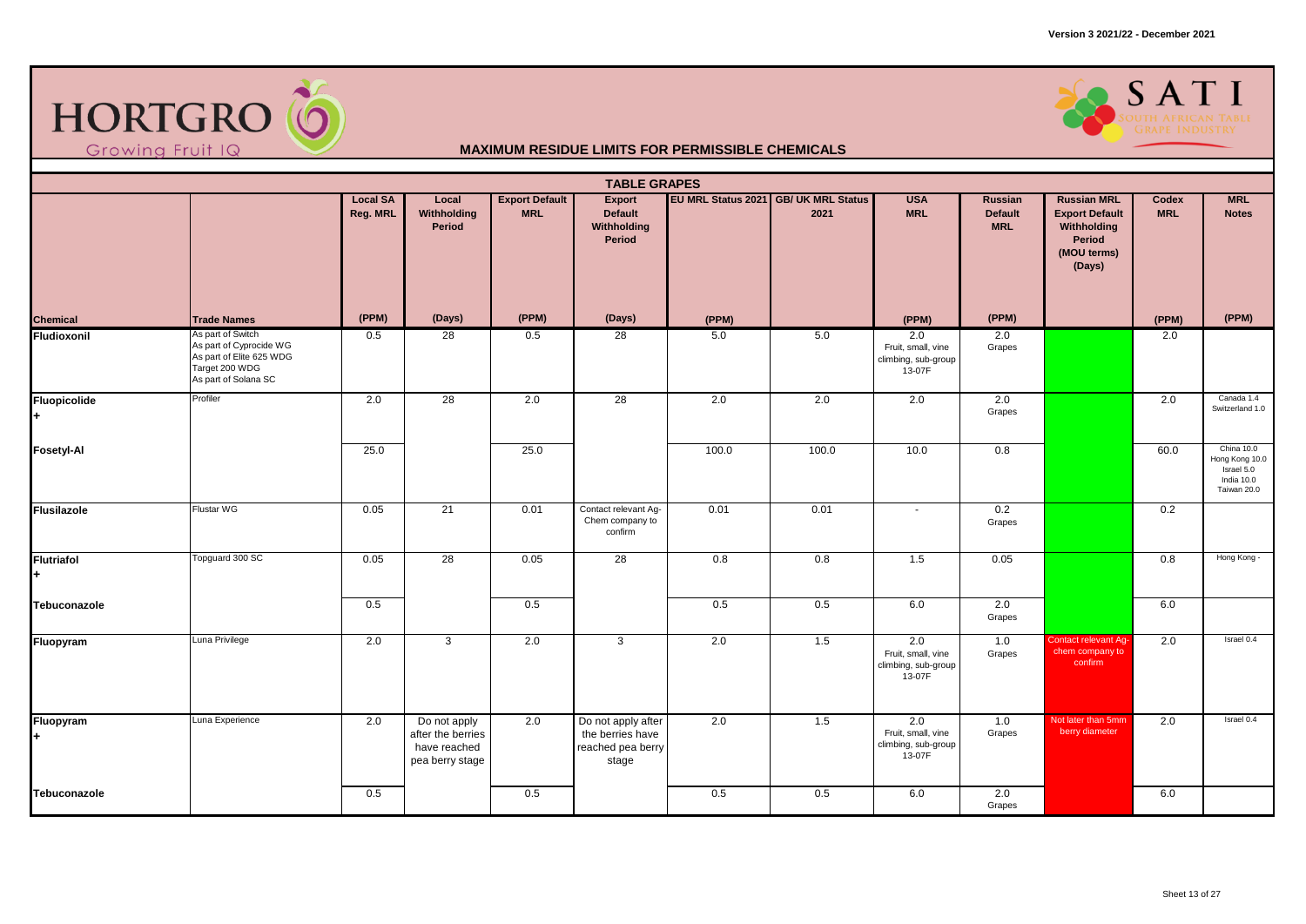



|                         | <b>TABLE GRAPES</b><br>EU MRL Status 2021 GB/ UK MRL Status<br><b>MRL</b><br><b>Local SA</b><br>Local<br><b>Export Default</b><br><b>USA</b><br><b>Russian MRL</b><br>Export<br>Russian<br>Codex |          |                                                                      |            |                                                                      |       |       |                                                            |                              |                                                                         |            |                                                                         |  |  |
|-------------------------|--------------------------------------------------------------------------------------------------------------------------------------------------------------------------------------------------|----------|----------------------------------------------------------------------|------------|----------------------------------------------------------------------|-------|-------|------------------------------------------------------------|------------------------------|-------------------------------------------------------------------------|------------|-------------------------------------------------------------------------|--|--|
|                         |                                                                                                                                                                                                  | Reg. MRL | Withholding<br>Period                                                | <b>MRL</b> | <b>Default</b><br>Withholding<br>Period                              |       | 2021  | <b>MRL</b>                                                 | <b>Default</b><br><b>MRL</b> | <b>Export Default</b><br>Withholding<br>Period<br>(MOU terms)<br>(Days) | <b>MRL</b> | <b>Notes</b>                                                            |  |  |
| Chemical                | <b>Trade Names</b>                                                                                                                                                                               | (PPM)    | (Days)                                                               | (PPM)      | (Days)                                                               | (PPM) |       | (PPM)                                                      | (PPM)                        |                                                                         | (PPM)      | (PPM)                                                                   |  |  |
| Fludioxonil             | As part of Switch<br>As part of Cyprocide WG<br>As part of Elite 625 WDG<br>Target 200 WDG<br>As part of Solana SC                                                                               | 0.5      | 28                                                                   | 0.5        | 28                                                                   | 5.0   | 5.0   | 2.0<br>Fruit, small, vine<br>climbing, sub-group<br>13-07F | 2.0<br>Grapes                |                                                                         | 2.0        |                                                                         |  |  |
| Fluopicolide<br>H.      | Profiler                                                                                                                                                                                         | 2.0      | 28                                                                   | 2.0        | 28                                                                   | 2.0   | 2.0   | 2.0                                                        | 2.0<br>Grapes                |                                                                         | 2.0        | Canada 1.4<br>Switzerland 1.0                                           |  |  |
| <b>Fosetyl-Al</b>       |                                                                                                                                                                                                  | 25.0     |                                                                      | 25.0       |                                                                      | 100.0 | 100.0 | 10.0                                                       | 0.8                          |                                                                         | 60.0       | China 10.0<br>Hong Kong 10.0<br>Israel 5.0<br>India 10.0<br>Taiwan 20.0 |  |  |
| Flusilazole             | <b>Flustar WG</b>                                                                                                                                                                                | 0.05     | 21                                                                   | 0.01       | Contact relevant Ag-<br>Chem company to<br>confirm                   | 0.01  | 0.01  | $\blacksquare$                                             | 0.2<br>Grapes                |                                                                         | 0.2        |                                                                         |  |  |
| <b>Flutriafol</b><br>l+ | Topguard 300 SC                                                                                                                                                                                  | 0.05     | $\overline{28}$                                                      | 0.05       | 28                                                                   | 0.8   | 0.8   | 1.5                                                        | 0.05                         |                                                                         | 0.8        | Hong Kong -                                                             |  |  |
| Tebuconazole            |                                                                                                                                                                                                  | 0.5      |                                                                      | 0.5        |                                                                      | 0.5   | 0.5   | 6.0                                                        | 2.0<br>Grapes                |                                                                         | 6.0        |                                                                         |  |  |
| Fluopyram               | Luna Privilege                                                                                                                                                                                   | 2.0      | 3                                                                    | 2.0        | $\mathbf{3}$                                                         | 2.0   | 1.5   | 2.0<br>Fruit, small, vine<br>climbing, sub-group<br>13-07F | 1.0<br>Grapes                | Contact relevant Ag-<br>chem company to<br>confirm                      | 2.0        | Israel 0.4                                                              |  |  |
| Fluopyram<br>$+$        | Luna Experience                                                                                                                                                                                  | 2.0      | Do not apply<br>after the berries<br>have reached<br>pea berry stage | 2.0        | Do not apply after<br>the berries have<br>reached pea berry<br>stage | 2.0   | 1.5   | 2.0<br>Fruit, small, vine<br>climbing, sub-group<br>13-07F | 1.0<br>Grapes                | Not later than 5mm<br>berry diameter                                    | 2.0        | Israel 0.4                                                              |  |  |
| Tebuconazole            |                                                                                                                                                                                                  | 0.5      |                                                                      | 0.5        |                                                                      | 0.5   | 0.5   | 6.0                                                        | 2.0<br>Grapes                |                                                                         | 6.0        |                                                                         |  |  |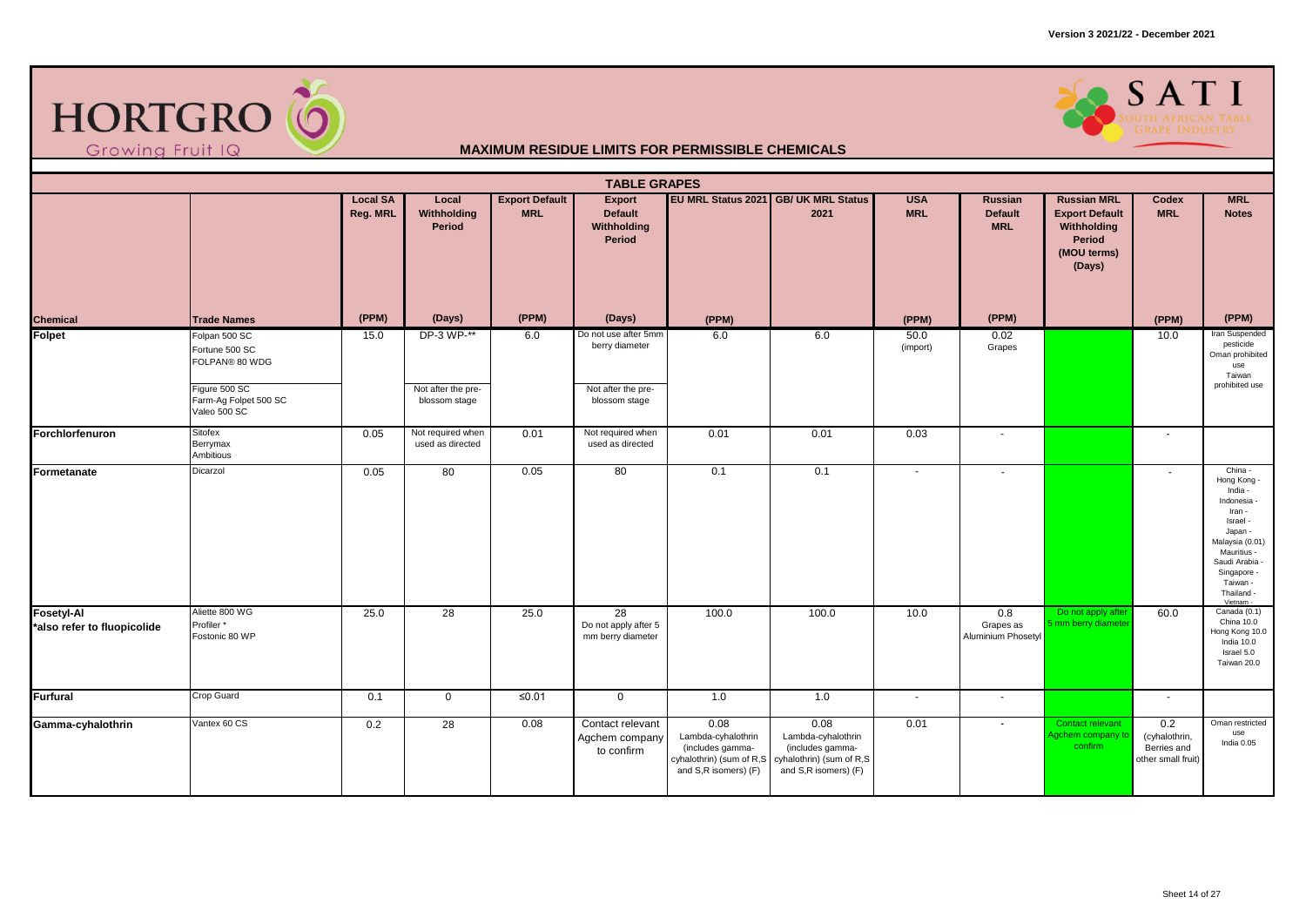



|                                                  | <b>TABLE GRAPES</b><br><b>Export Default</b><br>EU MRL Status 2021 GB/ UK MRL Status<br><b>USA</b><br><b>Russian MRL</b><br><b>MRL</b><br><b>Local SA</b><br>Local<br>Export<br><b>Russian</b><br>Codex |          |                                                   |            |                                                                               |                                                                                                    |                                                                                                    |                  |                                        |                                                                         |                                                           |                                                                                                                                                                                           |  |  |
|--------------------------------------------------|---------------------------------------------------------------------------------------------------------------------------------------------------------------------------------------------------------|----------|---------------------------------------------------|------------|-------------------------------------------------------------------------------|----------------------------------------------------------------------------------------------------|----------------------------------------------------------------------------------------------------|------------------|----------------------------------------|-------------------------------------------------------------------------|-----------------------------------------------------------|-------------------------------------------------------------------------------------------------------------------------------------------------------------------------------------------|--|--|
|                                                  |                                                                                                                                                                                                         | Reg. MRL | Withholding<br>Period                             | <b>MRL</b> | <b>Default</b><br>Withholding<br>Period                                       |                                                                                                    | 2021                                                                                               | <b>MRL</b>       | <b>Default</b><br><b>MRL</b>           | <b>Export Default</b><br>Withholding<br>Period<br>(MOU terms)<br>(Days) | <b>MRL</b>                                                | <b>Notes</b>                                                                                                                                                                              |  |  |
| Chemical                                         | <b>Trade Names</b>                                                                                                                                                                                      | (PPM)    | (Days)                                            | (PPM)      | (Days)                                                                        | (PPM)                                                                                              |                                                                                                    | (PPM)            | (PPM)                                  |                                                                         | (PPM)                                                     | (PPM)                                                                                                                                                                                     |  |  |
| Folpet                                           | Folpan 500 SC<br>Fortune 500 SC<br>FOLPAN® 80 WDG<br>Figure 500 SC<br>Farm-Ag Folpet 500 SC<br>Valeo 500 SC                                                                                             | 15.0     | DP-3 WP-**<br>Not after the pre-<br>blossom stage | 6.0        | Do not use after 5mm<br>berry diameter<br>Not after the pre-<br>blossom stage | 6.0                                                                                                | 6.0                                                                                                | 50.0<br>(import) | 0.02<br>Grapes                         |                                                                         | 10.0                                                      | Iran Suspended<br>pesticide<br>Oman prohibited<br>use<br>Taiwan<br>prohibited use                                                                                                         |  |  |
| Forchlorfenuron                                  | Sitofex<br>Berrymax<br>Ambitious                                                                                                                                                                        | 0.05     | Not required when<br>used as directed             | 0.01       | Not required when<br>used as directed                                         | 0.01                                                                                               | 0.01                                                                                               | 0.03             | $\blacksquare$                         |                                                                         | $\sim$                                                    |                                                                                                                                                                                           |  |  |
| Formetanate                                      | Dicarzol                                                                                                                                                                                                | 0.05     | 80                                                | 0.05       | 80                                                                            | 0.1                                                                                                | 0.1                                                                                                | $\sim$           | $\overline{\phantom{a}}$               |                                                                         | $\sim$                                                    | China -<br>Hong Kong -<br>India -<br>Indonesia<br>Iran -<br>Israel -<br>Japan -<br>Malaysia (0.01)<br>Mauritius -<br>Saudi Arabia -<br>Singapore -<br>Taiwan -<br>Thailand -<br>Vietnam - |  |  |
| <b>Fosetyl-Al</b><br>*also refer to fluopicolide | Aliette 800 WG<br>Profiler*<br>Fostonic 80 WP                                                                                                                                                           | 25.0     | 28                                                | 25.0       | 28<br>Do not apply after 5<br>mm berry diameter                               | 100.0                                                                                              | 100.0                                                                                              | 10.0             | 0.8<br>Grapes as<br>Aluminium Phosetyl | Do not apply afte<br>mm berry diamete                                   | 60.0                                                      | Canada (0.1)<br>China 10.0<br>Hong Kong 10.0<br>India 10.0<br>Israel 5.0<br>Taiwan 20.0                                                                                                   |  |  |
| Furfural                                         | Crop Guard                                                                                                                                                                                              | 0.1      | $\overline{0}$                                    | ≤0.01      | $\mathbf 0$                                                                   | 1.0                                                                                                | 1.0                                                                                                | $\sim$           | $\sim$                                 |                                                                         | $\sim$                                                    |                                                                                                                                                                                           |  |  |
| Gamma-cyhalothrin                                | Vantex 60 CS                                                                                                                                                                                            | 0.2      | 28                                                | 0.08       | Contact relevant<br>Agchem company<br>to confirm                              | 0.08<br>Lambda-cyhalothrin<br>(includes gamma-<br>cyhalothrin) (sum of R,S<br>and S,R isomers) (F) | 0.08<br>Lambda-cyhalothrin<br>(includes gamma-<br>cyhalothrin) (sum of R,S<br>and S,R isomers) (F) | 0.01             | $\overline{\phantom{a}}$               | Contact relevant<br>gchem company to<br>confirm                         | 0.2<br>(cyhalothrin,<br>Berries and<br>other small fruit) | Oman restricted<br>use<br>India 0.05                                                                                                                                                      |  |  |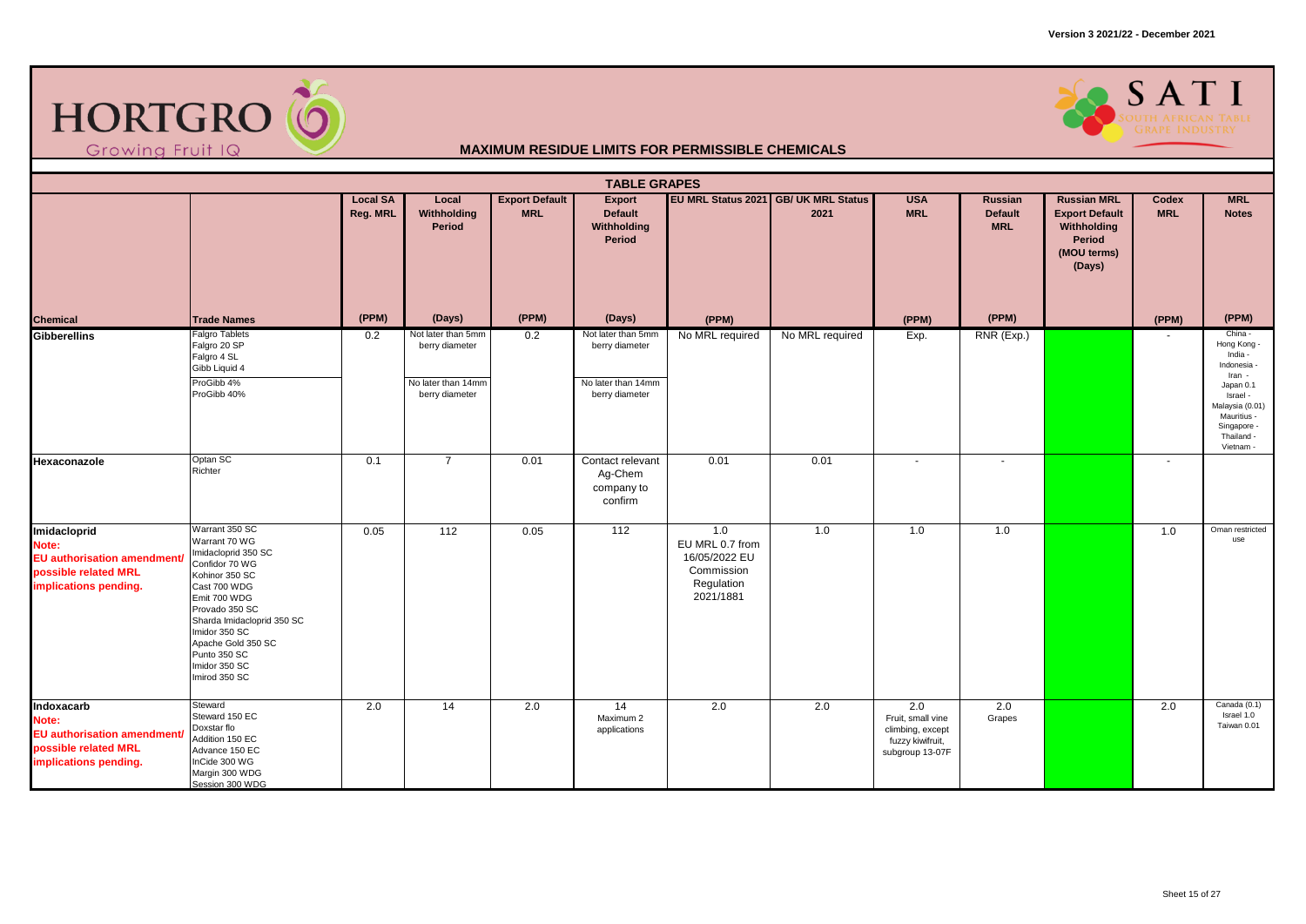



|                                                                                                             |                                                                                                                                                                                                                                                                     |                             |                                                                              |                                     | <b>TABLE GRAPES</b>                                                          |                                                                                  |                                              |                                                                                     |                                         |                                                                                               |                     |                                                                                                                                                               |
|-------------------------------------------------------------------------------------------------------------|---------------------------------------------------------------------------------------------------------------------------------------------------------------------------------------------------------------------------------------------------------------------|-----------------------------|------------------------------------------------------------------------------|-------------------------------------|------------------------------------------------------------------------------|----------------------------------------------------------------------------------|----------------------------------------------|-------------------------------------------------------------------------------------|-----------------------------------------|-----------------------------------------------------------------------------------------------|---------------------|---------------------------------------------------------------------------------------------------------------------------------------------------------------|
|                                                                                                             |                                                                                                                                                                                                                                                                     | <b>Local SA</b><br>Reg. MRL | Local<br>Withholding<br>Period                                               | <b>Export Default</b><br><b>MRL</b> | <b>Export</b><br><b>Default</b><br>Withholding<br>Period                     |                                                                                  | EU MRL Status 2021 GB/ UK MRL Status<br>2021 | <b>USA</b><br><b>MRL</b>                                                            | Russian<br><b>Default</b><br><b>MRL</b> | <b>Russian MRL</b><br><b>Export Default</b><br>Withholding<br>Period<br>(MOU terms)<br>(Days) | Codex<br><b>MRL</b> | <b>MRL</b><br><b>Notes</b>                                                                                                                                    |
| <b>Chemical</b>                                                                                             | <b>Trade Names</b>                                                                                                                                                                                                                                                  | (PPM)                       | (Days)                                                                       | (PPM)                               | (Days)                                                                       | (PPM)                                                                            |                                              | (PPM)                                                                               | (PPM)                                   |                                                                                               | (PPM)               | (PPM)                                                                                                                                                         |
| Gibberellins                                                                                                | <b>Falgro Tablets</b><br>Falgro 20 SP<br>Falgro 4 SL<br>Gibb Liquid 4<br>ProGibb 4%<br>ProGibb 40%                                                                                                                                                                  | 0.2                         | Not later than 5mm<br>berry diameter<br>No later than 14mm<br>berry diameter | 0.2                                 | Not later than 5mm<br>berry diameter<br>No later than 14mm<br>berry diameter | No MRL required                                                                  | No MRL required                              | Exp.                                                                                | RNR (Exp.)                              |                                                                                               |                     | China -<br>Hong Kong -<br>India -<br>Indonesia<br>Iran -<br>Japan 0.1<br>Israel -<br>Malaysia (0.01)<br>Mauritius -<br>Singapore -<br>Thailand -<br>Vietnam - |
| Hexaconazole                                                                                                | Optan SC<br>Richter                                                                                                                                                                                                                                                 | 0.1                         | $\overline{7}$                                                               | 0.01                                | Contact relevant<br>Ag-Chem<br>company to<br>confirm                         | 0.01                                                                             | 0.01                                         | $\sim$                                                                              | $\sim$                                  |                                                                                               | $\sim$              |                                                                                                                                                               |
| Imidacloprid<br>Note:<br><b>EU</b> authorisation amendment<br>possible related MRL<br>implications pending. | Warrant 350 SC<br>Warrant 70 WG<br>Imidacloprid 350 SC<br>Confidor 70 WG<br>Kohinor 350 SC<br>Cast 700 WDG<br>Emit 700 WDG<br>Provado 350 SC<br>Sharda Imidacloprid 350 SC<br>Imidor 350 SC<br>Apache Gold 350 SC<br>Punto 350 SC<br>Imidor 350 SC<br>Imirod 350 SC | 0.05                        | $\frac{112}{2}$                                                              | 0.05                                | 112                                                                          | 1.0<br>EU MRL 0.7 from<br>16/05/2022 EU<br>Commission<br>Regulation<br>2021/1881 | 1.0                                          | 1.0                                                                                 | 1.0                                     |                                                                                               | 1.0                 | Oman restricted<br>use                                                                                                                                        |
| Indoxacarb<br>Note:<br><b>EU authorisation amendment/</b><br>possible related MRL<br>implications pending.  | Steward<br>Steward 150 EC<br>Doxstar flo<br>Addition 150 EC<br>Advance 150 EC<br>InCide 300 WG<br>Margin 300 WDG<br>Session 300 WDG                                                                                                                                 | 2.0                         | 14                                                                           | 2.0                                 | 14<br>Maximum 2<br>applications                                              | 2.0                                                                              | 2.0                                          | 2.0<br>Fruit, small vine<br>climbing, except<br>fuzzy kiwifruit,<br>subgroup 13-07F | 2.0<br>Grapes                           |                                                                                               | 2.0                 | Canada (0.1)<br>Israel 1.0<br>Taiwan 0.01                                                                                                                     |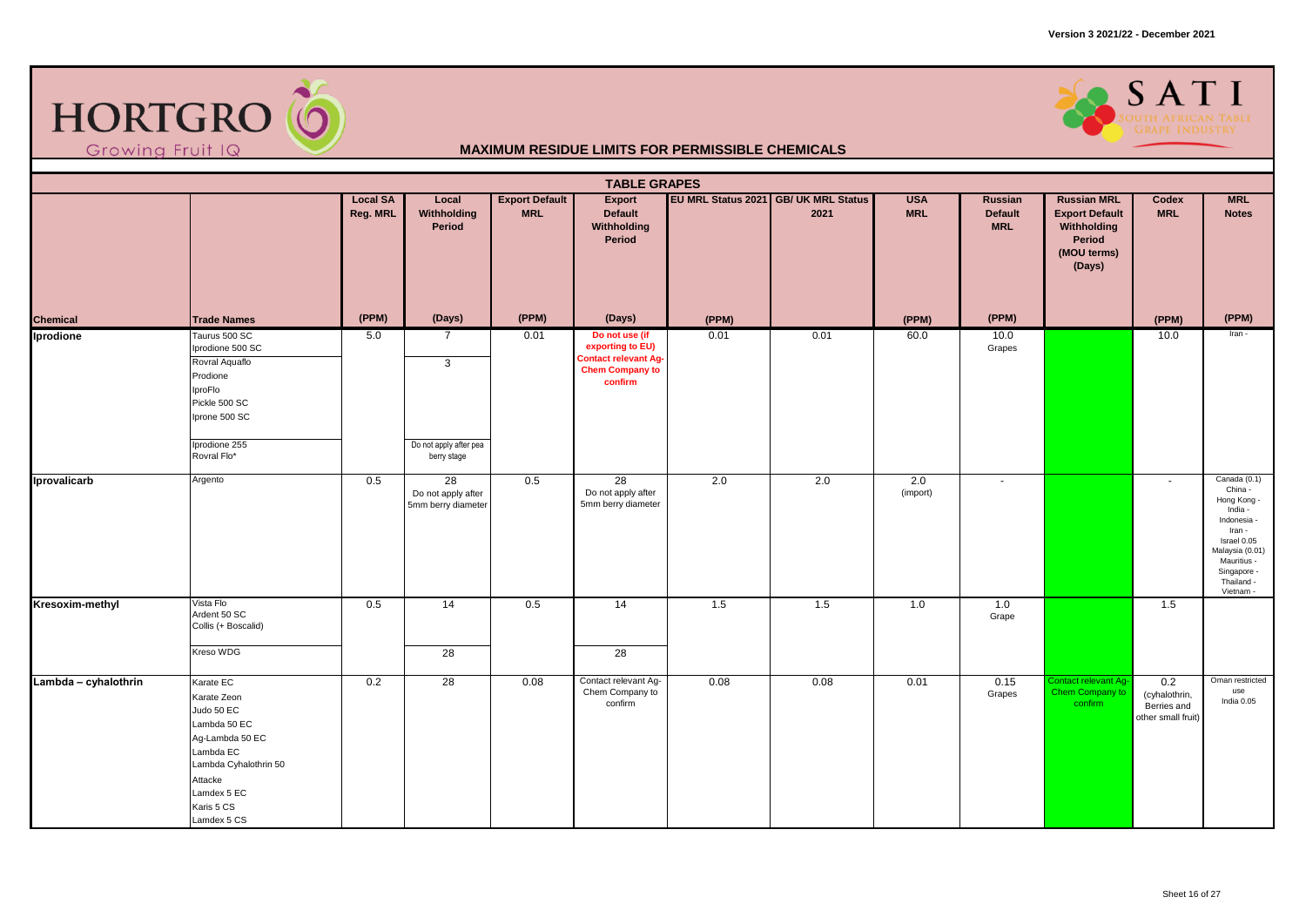



|                      |                                                                                                                                                                        |                             |                                                                         |                                     | <b>TABLE GRAPES</b>                                                                                    |       |                                              |                          |                                         |                                                                                               |                                                           |                                                                                                                                                                       |
|----------------------|------------------------------------------------------------------------------------------------------------------------------------------------------------------------|-----------------------------|-------------------------------------------------------------------------|-------------------------------------|--------------------------------------------------------------------------------------------------------|-------|----------------------------------------------|--------------------------|-----------------------------------------|-----------------------------------------------------------------------------------------------|-----------------------------------------------------------|-----------------------------------------------------------------------------------------------------------------------------------------------------------------------|
|                      |                                                                                                                                                                        | <b>Local SA</b><br>Reg. MRL | Local<br>Withholding<br>Period                                          | <b>Export Default</b><br><b>MRL</b> | Export<br>Default<br>Withholding<br>Period                                                             |       | EU MRL Status 2021 GB/ UK MRL Status<br>2021 | <b>USA</b><br><b>MRL</b> | Russian<br><b>Default</b><br><b>MRL</b> | <b>Russian MRL</b><br><b>Export Default</b><br>Withholding<br>Period<br>(MOU terms)<br>(Days) | Codex<br><b>MRL</b>                                       | <b>MRL</b><br><b>Notes</b>                                                                                                                                            |
| <b>Chemical</b>      | <b>Trade Names</b>                                                                                                                                                     | (PPM)                       | (Days)                                                                  | (PPM)                               | (Days)                                                                                                 | (PPM) |                                              | (PPM)                    | (PPM)                                   |                                                                                               | (PPM)                                                     | (PPM)                                                                                                                                                                 |
| Iprodione            | Taurus 500 SC<br>Iprodione 500 SC<br>Rovral Aquaflo<br>Prodione<br>IproFlo<br>Pickle 500 SC<br>Iprone 500 SC<br>Iprodione 255<br>Rovral Flo*                           | 5.0                         | $\overline{7}$<br>$\mathbf{3}$<br>Do not apply after pea<br>berry stage | 0.01                                | Do not use (if<br>exporting to EU)<br><b>Contact relevant Ag-</b><br><b>Chem Company to</b><br>confirm | 0.01  | 0.01                                         | 60.0                     | 10.0<br>Grapes                          |                                                                                               | 10.0                                                      | Iran -                                                                                                                                                                |
| Iprovalicarb         | Argento                                                                                                                                                                | 0.5                         | $\overline{28}$<br>Do not apply after<br>5mm berry diameter             | 0.5                                 | 28<br>Do not apply after<br>5mm berry diameter                                                         | 2.0   | 2.0                                          | 2.0<br>(import)          | $\sim$                                  |                                                                                               | $\sim$                                                    | Canada (0.1)<br>China -<br>Hong Kong -<br>India -<br>Indonesia -<br>Iran -<br>Israel 0.05<br>Malaysia (0.01)<br>Mauritius -<br>Singapore -<br>Thailand -<br>Vietnam - |
| Kresoxim-methyl      | Vista Flo<br>Ardent 50 SC<br>Collis (+ Boscalid)<br>Kreso WDG                                                                                                          | 0.5                         | 14<br>$\overline{28}$                                                   | 0.5                                 | $\overline{14}$<br>28                                                                                  | 1.5   | 1.5                                          | 1.0                      | 1.0<br>Grape                            |                                                                                               | 1.5                                                       |                                                                                                                                                                       |
| Lambda - cyhalothrin | Karate EC<br>Karate Zeon<br>Judo 50 EC<br>Lambda 50 EC<br>Ag-Lambda 50 EC<br>Lambda EC<br>Lambda Cyhalothrin 50<br>Attacke<br>Lamdex 5 EC<br>Karis 5 CS<br>Lamdex 5 CS | 0.2                         | $\overline{28}$                                                         | 0.08                                | Contact relevant Ag-<br>Chem Company to<br>confirm                                                     | 0.08  | 0.08                                         | 0.01                     | 0.15<br>Grapes                          | Contact relevant Ag<br>Chem Company to<br>confirm                                             | 0.2<br>(cyhalothrin,<br>Berries and<br>other small fruit) | Oman restricted<br>use<br>India 0.05                                                                                                                                  |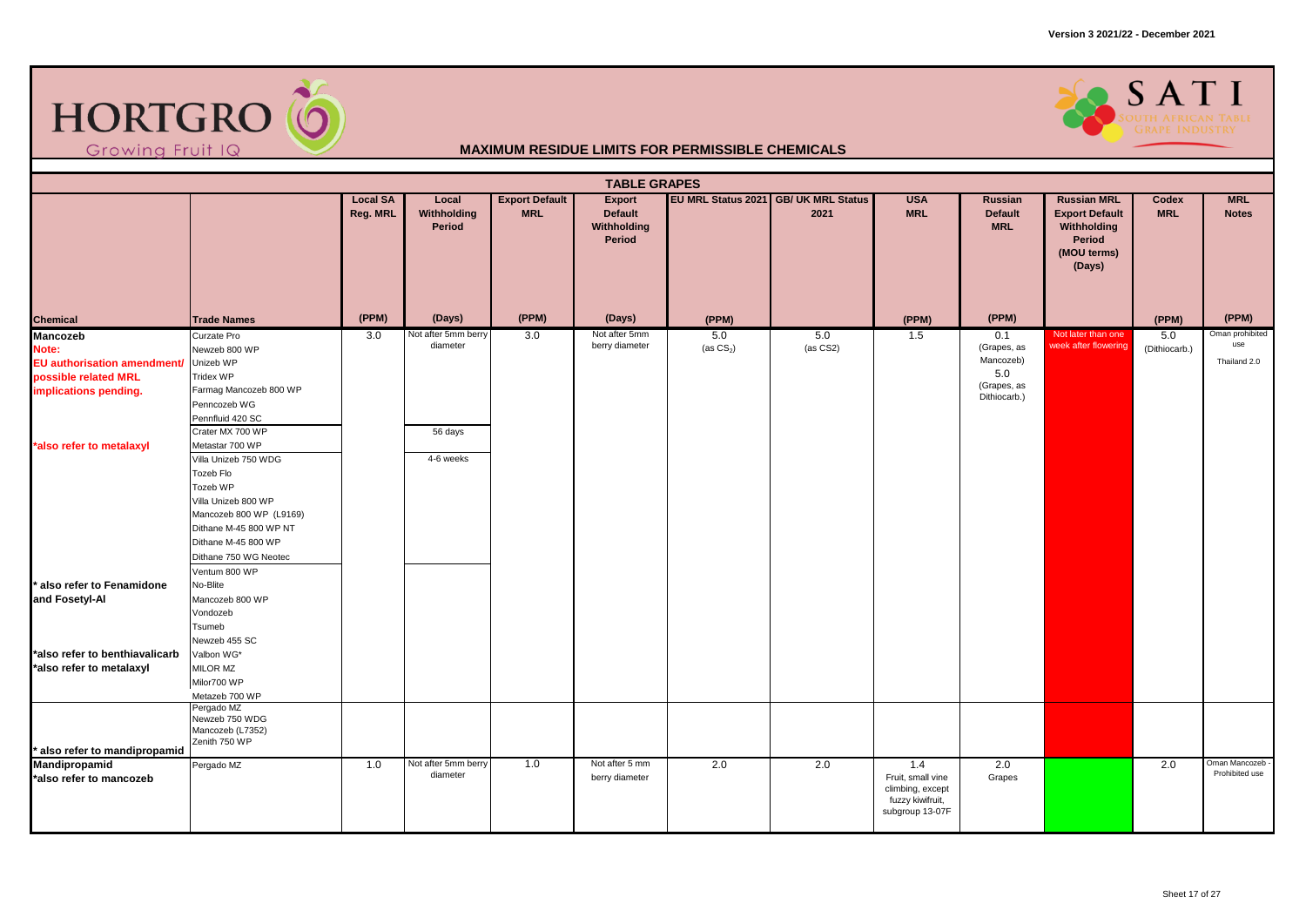



|                                                                                                                                      |                                                                                                                                                                                                                                                                                                                                          |                             |                                                         |                                     | <b>TABLE GRAPES</b>                               |                    |                                              |                                                                              |                                                                       |                                                                                               |                      |                                        |
|--------------------------------------------------------------------------------------------------------------------------------------|------------------------------------------------------------------------------------------------------------------------------------------------------------------------------------------------------------------------------------------------------------------------------------------------------------------------------------------|-----------------------------|---------------------------------------------------------|-------------------------------------|---------------------------------------------------|--------------------|----------------------------------------------|------------------------------------------------------------------------------|-----------------------------------------------------------------------|-----------------------------------------------------------------------------------------------|----------------------|----------------------------------------|
|                                                                                                                                      |                                                                                                                                                                                                                                                                                                                                          | <b>Local SA</b><br>Reg. MRL | Local<br>Withholding<br>Period                          | <b>Export Default</b><br><b>MRL</b> | Export<br><b>Default</b><br>Withholding<br>Period |                    | EU MRL Status 2021 GB/ UK MRL Status<br>2021 | <b>USA</b><br><b>MRL</b>                                                     | Russian<br><b>Default</b><br><b>MRL</b>                               | <b>Russian MRL</b><br><b>Export Default</b><br>Withholding<br>Period<br>(MOU terms)<br>(Days) | Codex<br><b>MRL</b>  | <b>MRL</b><br><b>Notes</b>             |
| <b>Chemical</b>                                                                                                                      | <b>Trade Names</b>                                                                                                                                                                                                                                                                                                                       | (PPM)                       | (Days)                                                  | (PPM)                               | (Days)                                            | (PPM)              |                                              | (PPM)                                                                        | (PPM)                                                                 |                                                                                               | (PPM)                | (PPM)                                  |
| <b>Mancozeb</b><br>Note:<br>EU authorisation amendment/<br>possible related MRL<br>implications pending.<br>*also refer to metalaxyl | Curzate Pro<br>Newzeb 800 WP<br>Unizeb WP<br>Tridex WP<br>Farmag Mancozeb 800 WP<br>Penncozeb WG<br>Pennfluid 420 SC<br>Crater MX 700 WP<br>Metastar 700 WP<br>Villa Unizeb 750 WDG<br>Tozeb Flo<br>Tozeb WP<br>Villa Unizeb 800 WP<br>Mancozeb 800 WP (L9169)<br>Dithane M-45 800 WP NT<br>Dithane M-45 800 WP<br>Dithane 750 WG Neotec | 3.0                         | Not after 5mm berry<br>diameter<br>56 days<br>4-6 weeks | 3.0                                 | Not after 5mm<br>berry diameter                   | 5.0<br>(as $CS2$ ) | 5.0<br>(as CS2)                              | 1.5                                                                          | 0.1<br>(Grapes, as<br>Mancozeb)<br>5.0<br>(Grapes, as<br>Dithiocarb.) | Not later than one<br>week after flowering                                                    | 5.0<br>(Dithiocarb.) | Oman prohibited<br>use<br>Thailand 2.0 |
| * also refer to Fenamidone<br>and Fosetyl-Al<br>*also refer to benthiavalicarb<br>*also refer to metalaxyl                           | Ventum 800 WP<br>No-Blite<br>Mancozeb 800 WP<br>Vondozeb<br>Tsumeb<br>Newzeb 455 SC<br>Valbon WG*<br>MILOR MZ<br>Milor700 WP                                                                                                                                                                                                             |                             |                                                         |                                     |                                                   |                    |                                              |                                                                              |                                                                       |                                                                                               |                      |                                        |
|                                                                                                                                      | Metazeb 700 WP                                                                                                                                                                                                                                                                                                                           |                             |                                                         |                                     |                                                   |                    |                                              |                                                                              |                                                                       |                                                                                               |                      |                                        |
| also refer to mandipropamid<br>Mandipropamid                                                                                         | Pergado MZ<br>Newzeb 750 WDG<br>Mancozeb (L7352)<br>Zenith 750 WP<br>Pergado MZ                                                                                                                                                                                                                                                          | 1.0                         | Not after 5mm berry                                     | 1.0                                 | Not after 5 mm                                    | 2.0                | 2.0                                          | 1.4                                                                          | 2.0                                                                   |                                                                                               | 2.0                  | Oman Mancozeb                          |
| *also refer to mancozeb                                                                                                              |                                                                                                                                                                                                                                                                                                                                          |                             | diameter                                                |                                     | berry diameter                                    |                    |                                              | Fruit, small vine<br>climbing, except<br>fuzzy kiwifruit,<br>subgroup 13-07F | Grapes                                                                |                                                                                               |                      | Prohibited use                         |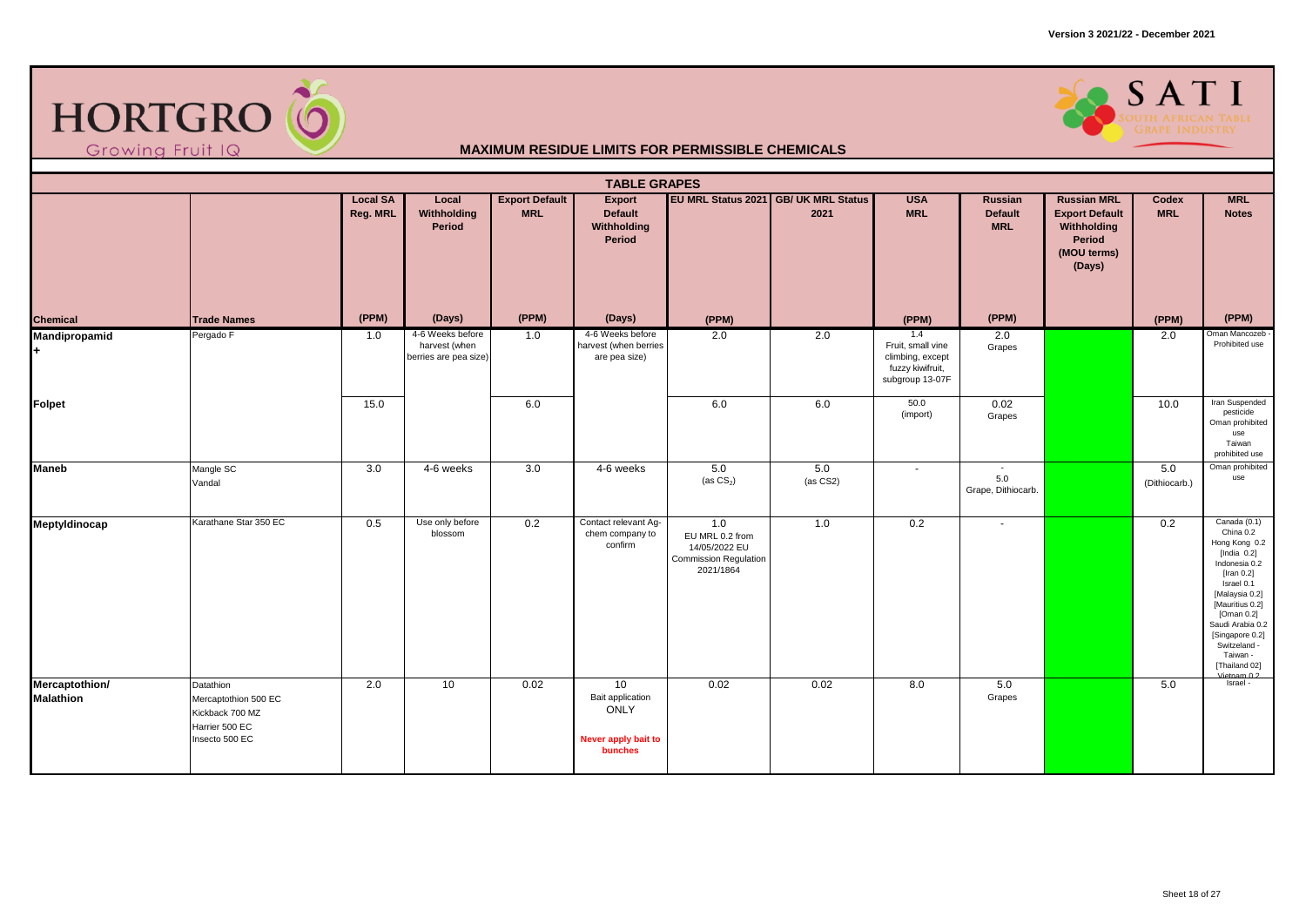



|                                    |                                                                                          |                             |                                                            |                                     | <b>TABLE GRAPES</b>                                                     |                                                                                      |                                              |                                                                                     |                                         |                                                                                               |                      |                                                                                                                                                                                                                                                                    |
|------------------------------------|------------------------------------------------------------------------------------------|-----------------------------|------------------------------------------------------------|-------------------------------------|-------------------------------------------------------------------------|--------------------------------------------------------------------------------------|----------------------------------------------|-------------------------------------------------------------------------------------|-----------------------------------------|-----------------------------------------------------------------------------------------------|----------------------|--------------------------------------------------------------------------------------------------------------------------------------------------------------------------------------------------------------------------------------------------------------------|
|                                    |                                                                                          | <b>Local SA</b><br>Reg. MRL | Local<br>Withholding<br>Period                             | <b>Export Default</b><br><b>MRL</b> | Export<br><b>Default</b><br>Withholding<br>Period                       |                                                                                      | EU MRL Status 2021 GB/ UK MRL Status<br>2021 | <b>USA</b><br><b>MRL</b>                                                            | Russian<br><b>Default</b><br><b>MRL</b> | <b>Russian MRL</b><br><b>Export Default</b><br>Withholding<br>Period<br>(MOU terms)<br>(Days) | Codex<br><b>MRL</b>  | <b>MRL</b><br><b>Notes</b>                                                                                                                                                                                                                                         |
| Chemical                           | <b>Trade Names</b>                                                                       | (PPM)                       | (Days)                                                     | (PPM)                               | (Days)                                                                  | (PPM)                                                                                |                                              | (PPM)                                                                               | (PPM)                                   |                                                                                               | (PPM)                | (PPM)                                                                                                                                                                                                                                                              |
| <b>Mandipropamid</b><br>H.         | Pergado F                                                                                | 1.0                         | 4-6 Weeks before<br>harvest (when<br>berries are pea size) | 1.0                                 | 4-6 Weeks before<br>harvest (when berries<br>are pea size)              | 2.0                                                                                  | 2.0                                          | 1.4<br>Fruit, small vine<br>climbing, except<br>fuzzy kiwifruit,<br>subgroup 13-07F | 2.0<br>Grapes                           |                                                                                               | 2.0                  | Oman Mancozeb<br>Prohibited use                                                                                                                                                                                                                                    |
| Folpet                             |                                                                                          | 15.0                        |                                                            | 6.0                                 |                                                                         | 6.0                                                                                  | 6.0                                          | 50.0<br>(import)                                                                    | 0.02<br>Grapes                          |                                                                                               | 10.0                 | Iran Suspended<br>pesticide<br>Oman prohibited<br>use<br>Taiwan<br>prohibited use                                                                                                                                                                                  |
| <b>Maneb</b>                       | Mangle SC<br>Vandal                                                                      | 3.0                         | 4-6 weeks                                                  | 3.0                                 | 4-6 weeks                                                               | 5.0<br>(as $CS_2$ )                                                                  | 5.0<br>(as CS2)                              | $\overline{\phantom{a}}$                                                            | $\sim$<br>5.0<br>Grape, Dithiocarb.     |                                                                                               | 5.0<br>(Dithiocarb.) | Oman prohibited<br>use                                                                                                                                                                                                                                             |
| Meptyldinocap                      | Karathane Star 350 EC                                                                    | 0.5                         | Use only before<br>blossom                                 | 0.2                                 | Contact relevant Ag-<br>chem company to<br>confirm                      | 1.0<br>EU MRL 0.2 from<br>14/05/2022 EU<br><b>Commission Regulation</b><br>2021/1864 | 1.0                                          | 0.2                                                                                 | $\sim$                                  |                                                                                               | 0.2                  | Canada (0.1)<br>China 0.2<br>Hong Kong 0.2<br>[India $0.2$ ]<br>Indonesia 0.2<br>[Iran $0.2$ ]<br>Israel 0.1<br>[Malaysia 0.2]<br>[Mauritius 0.2]<br>[Oman 0.2]<br>Saudi Arabia 0.2<br>[Singapore 0.2]<br>Switzeland -<br>Taiwan -<br>[Thailand 02]<br>Vietnam 0.2 |
| Mercaptothion/<br><b>Malathion</b> | Datathion<br>Mercaptothion 500 EC<br>Kickback 700 MZ<br>Harrier 500 EC<br>Insecto 500 EC | 2.0                         | 10 <sup>1</sup>                                            | 0.02                                | 10<br>Bait application<br><b>ONLY</b><br>Never apply bait to<br>bunches | 0.02                                                                                 | 0.02                                         | 8.0                                                                                 | 5.0<br>Grapes                           |                                                                                               | 5.0                  | Israel -                                                                                                                                                                                                                                                           |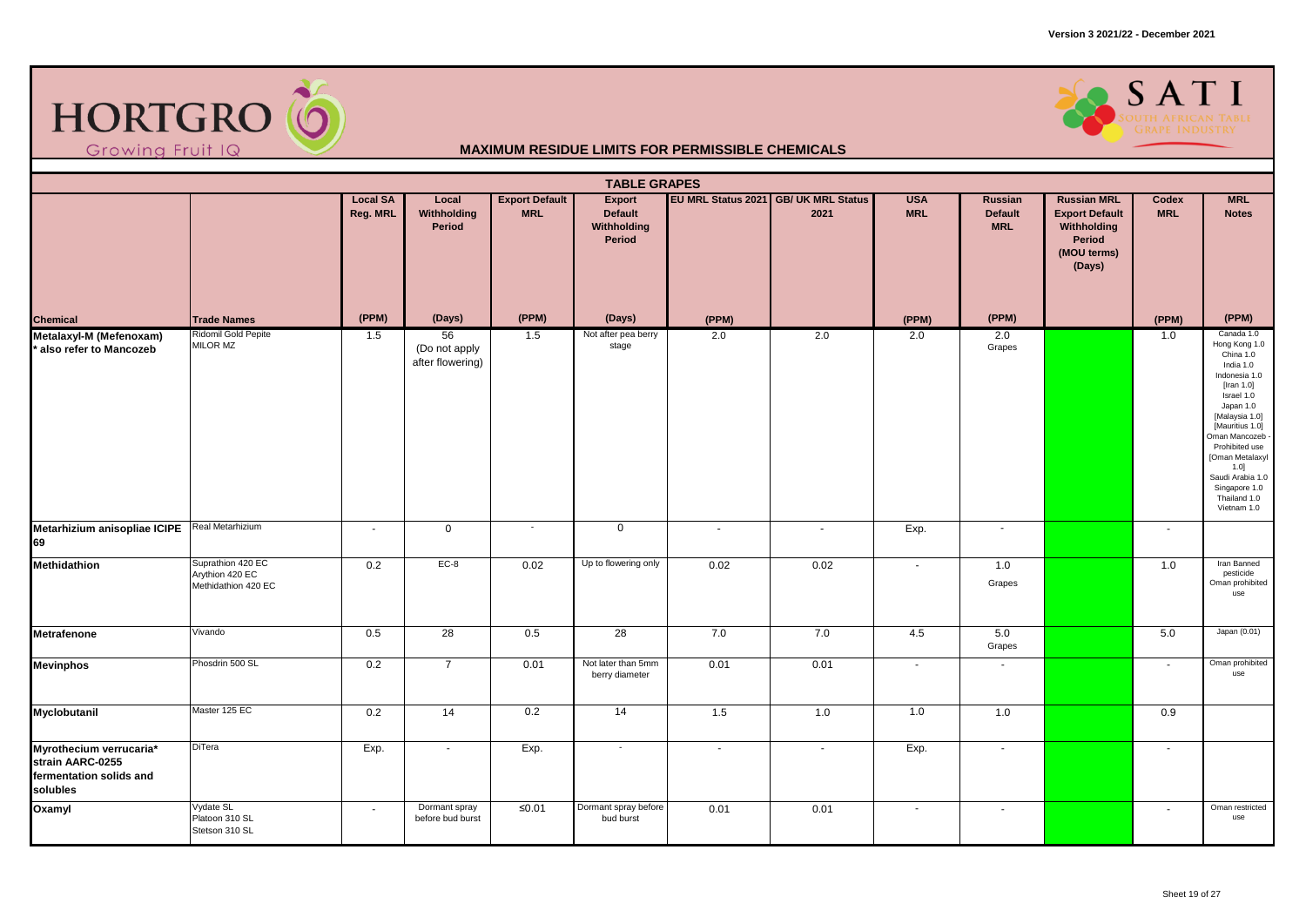



|                                                                                    |                                                             |                             |                                         |                                     | <b>TABLE GRAPES</b>                        |                |                                              |                          |                                         |                                                                                               |                     |                                                                                                                                                                                                                                                                                           |
|------------------------------------------------------------------------------------|-------------------------------------------------------------|-----------------------------|-----------------------------------------|-------------------------------------|--------------------------------------------|----------------|----------------------------------------------|--------------------------|-----------------------------------------|-----------------------------------------------------------------------------------------------|---------------------|-------------------------------------------------------------------------------------------------------------------------------------------------------------------------------------------------------------------------------------------------------------------------------------------|
|                                                                                    |                                                             | <b>Local SA</b><br>Reg. MRL | Local<br>Withholding<br>Period          | <b>Export Default</b><br><b>MRL</b> | Export<br>Default<br>Withholding<br>Period |                | EU MRL Status 2021 GB/ UK MRL Status<br>2021 | <b>USA</b><br><b>MRL</b> | Russian<br><b>Default</b><br><b>MRL</b> | <b>Russian MRL</b><br><b>Export Default</b><br>Withholding<br>Period<br>(MOU terms)<br>(Days) | Codex<br><b>MRL</b> | <b>MRL</b><br><b>Notes</b>                                                                                                                                                                                                                                                                |
| Chemical<br>Metalaxyl-M (Mefenoxam)                                                | <b>Trade Names</b>                                          | (PPM)                       | (Days)                                  | (PPM)                               | (Days)                                     | (PPM)          |                                              | (PPM)                    | (PPM)                                   |                                                                                               | (PPM)               | (PPM)                                                                                                                                                                                                                                                                                     |
| * also refer to Mancozeb                                                           | Ridomil Gold Pepite<br>MILOR MZ                             | 1.5                         | 56<br>(Do not apply<br>after flowering) | 1.5                                 | Not after pea berry<br>stage               | 2.0            | 2.0                                          | 2.0                      | 2.0<br>Grapes                           |                                                                                               | 1.0                 | Canada 1.0<br>Hong Kong 1.0<br>China 1.0<br>India 1.0<br>Indonesia 1.0<br>[Iran $1.0$ ]<br>Israel 1.0<br>Japan 1.0<br>[Malaysia 1.0]<br>[Mauritius 1.0]<br>Oman Mancozeb<br>Prohibited use<br>[Oman Metalaxyl<br>1.0]<br>Saudi Arabia 1.0<br>Singapore 1.0<br>Thailand 1.0<br>Vietnam 1.0 |
| Metarhizium anisopliae ICIPE Real Metarhizium<br>69                                |                                                             | $\sim$                      | $\mathbf 0$                             | $\overline{\phantom{a}}$            | $\mathbf 0$                                | $\blacksquare$ | $\sim$                                       | Exp.                     | $\sim$                                  |                                                                                               | $\sim$              |                                                                                                                                                                                                                                                                                           |
| <b>Methidathion</b>                                                                | Suprathion 420 EC<br>Arythion 420 EC<br>Methidathion 420 EC | 0.2                         | $EC-8$                                  | 0.02                                | Up to flowering only                       | 0.02           | 0.02                                         | $\mathbf{r}$             | 1.0<br>Grapes                           |                                                                                               | 1.0                 | Iran Banned<br>pesticide<br>Oman prohibited<br>use                                                                                                                                                                                                                                        |
| Metrafenone                                                                        | Vivando                                                     | 0.5                         | $\overline{28}$                         | 0.5                                 | $\overline{28}$                            | 7.0            | 7.0                                          | 4.5                      | 5.0<br>Grapes                           |                                                                                               | 5.0                 | Japan (0.01)                                                                                                                                                                                                                                                                              |
| <b>Mevinphos</b>                                                                   | Phosdrin 500 SL                                             | 0.2                         | $\overline{7}$                          | 0.01                                | Not later than 5mm<br>berry diameter       | 0.01           | 0.01                                         | $\mathbf{r}$             | $\omega$                                |                                                                                               | $\sim$              | Oman prohibited<br>use                                                                                                                                                                                                                                                                    |
| Myclobutanil                                                                       | Master 125 EC                                               | 0.2                         | $\overline{14}$                         | 0.2                                 | 14                                         | 1.5            | 1.0                                          | 1.0                      | 1.0                                     |                                                                                               | 0.9                 |                                                                                                                                                                                                                                                                                           |
| Myrothecium verrucaria*<br>strain AARC-0255<br>fermentation solids and<br>solubles | DiTera                                                      | Exp.                        | $\sim$                                  | Exp.                                | $\sim$                                     | $\sim$         | $\sim$                                       | Exp.                     | $\sim$                                  |                                                                                               | $\sim$              |                                                                                                                                                                                                                                                                                           |
| Oxamyl                                                                             | Vydate SL<br>Platoon 310 SL<br>Stetson 310 SL               | $\sim$                      | Dormant spray<br>before bud burst       | $≤0.01$                             | Dormant spray before<br>bud burst          | 0.01           | 0.01                                         | $\sim$                   | $\sim$                                  |                                                                                               | $\sim$              | Oman restricted<br>use                                                                                                                                                                                                                                                                    |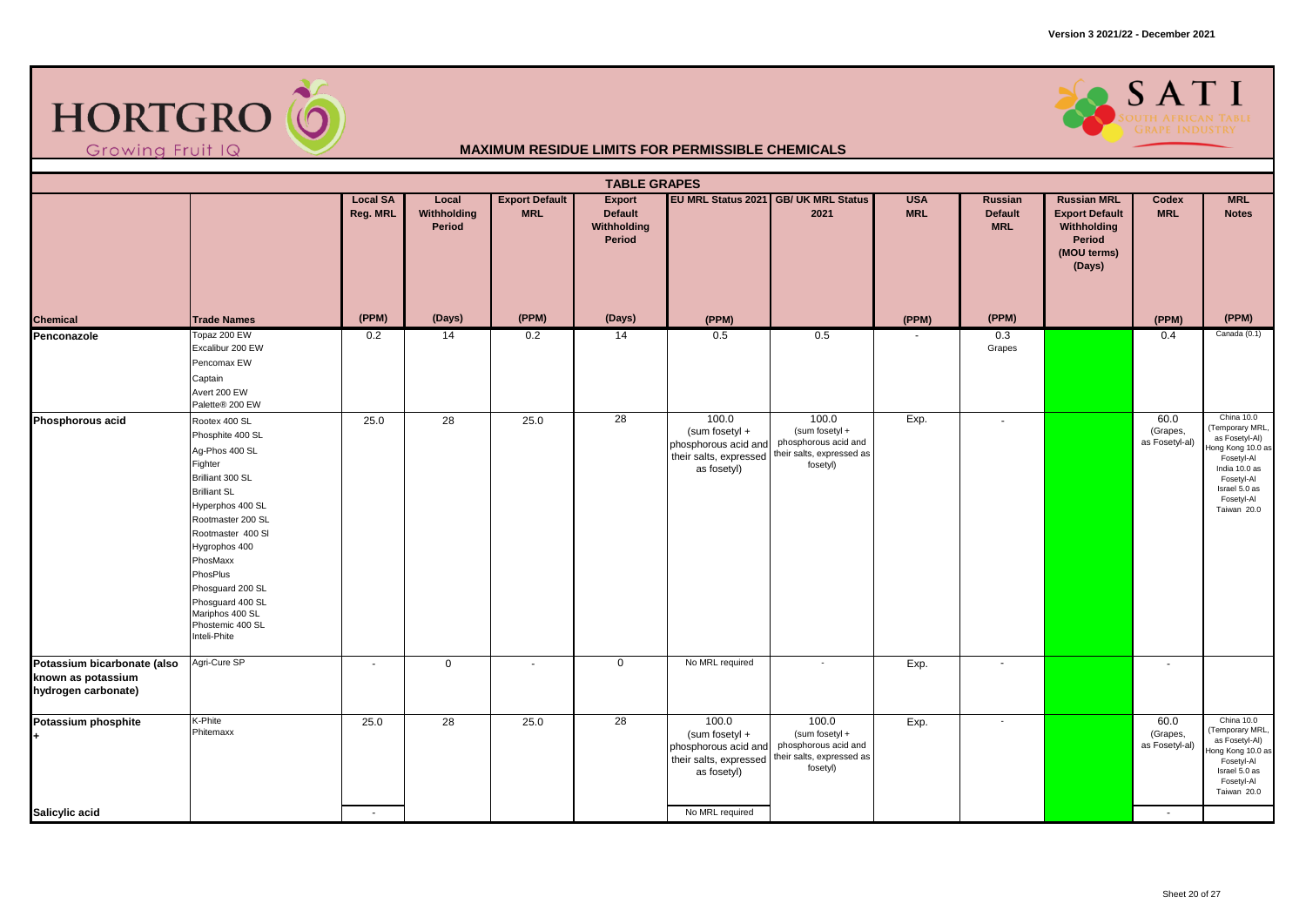



|                                                                          | <b>TABLE GRAPES</b><br><b>Export Default</b><br>EU MRL Status 2021 GB/ UK MRL Status<br><b>MRL</b><br><b>Local SA</b><br>Local<br><b>Export</b><br><b>USA</b><br>Russian<br><b>Russian MRL</b><br>Codex                                                                                                         |                |                       |                          |                                         |                                                                                          |                                                                                          |            |                              |                                                                         |                                    |                                                                                                                                                                 |  |  |
|--------------------------------------------------------------------------|-----------------------------------------------------------------------------------------------------------------------------------------------------------------------------------------------------------------------------------------------------------------------------------------------------------------|----------------|-----------------------|--------------------------|-----------------------------------------|------------------------------------------------------------------------------------------|------------------------------------------------------------------------------------------|------------|------------------------------|-------------------------------------------------------------------------|------------------------------------|-----------------------------------------------------------------------------------------------------------------------------------------------------------------|--|--|
|                                                                          |                                                                                                                                                                                                                                                                                                                 | Reg. MRL       | Withholding<br>Period | <b>MRL</b>               | <b>Default</b><br>Withholding<br>Period |                                                                                          | 2021                                                                                     | <b>MRL</b> | <b>Default</b><br><b>MRL</b> | <b>Export Default</b><br>Withholding<br>Period<br>(MOU terms)<br>(Days) | <b>MRL</b>                         | <b>Notes</b>                                                                                                                                                    |  |  |
| Chemical                                                                 | <b>Trade Names</b>                                                                                                                                                                                                                                                                                              | (PPM)          | (Days)                | (PPM)                    | (Days)                                  | (PPM)                                                                                    |                                                                                          | (PPM)      | (PPM)                        |                                                                         | (PPM)                              | (PPM)                                                                                                                                                           |  |  |
| Penconazole                                                              | Topaz 200 EW<br>Excalibur 200 EW<br>Pencomax EW<br>Captain<br>Avert 200 EW<br>Palette® 200 EW                                                                                                                                                                                                                   | 0.2            | 14                    | 0.2                      | 14                                      | 0.5                                                                                      | 0.5                                                                                      |            | 0.3<br>Grapes                |                                                                         | 0.4                                | Canada (0.1)                                                                                                                                                    |  |  |
| Phosphorous acid                                                         | Rootex 400 SL<br>Phosphite 400 SL<br>Ag-Phos 400 SL<br>Fighter<br>Brilliant 300 SL<br><b>Brilliant SL</b><br>Hyperphos 400 SL<br>Rootmaster 200 SL<br>Rootmaster 400 SI<br>Hygrophos 400<br>PhosMaxx<br>PhosPlus<br>Phosguard 200 SL<br>Phosguard 400 SL<br>Mariphos 400 SL<br>Phostemic 400 SL<br>Inteli-Phite | 25.0           | 28                    | 25.0                     | 28                                      | 100.0<br>(sum fosetyl +<br>phosphorous acid and<br>their salts, expressed<br>as fosetyl) | 100.0<br>(sum fosetyl +<br>phosphorous acid and<br>their salts, expressed as<br>fosetyl) | Exp.       | $\sim$                       |                                                                         | 60.0<br>(Grapes,<br>as Fosetyl-al) | China 10.0<br>(Temporary MRL,<br>as Fosetyl-Al)<br>Hong Kong 10.0 as<br>Fosetyl-Al<br>India 10.0 as<br>Fosetyl-Al<br>Israel 5.0 as<br>Fosetyl-Al<br>Taiwan 20.0 |  |  |
| Potassium bicarbonate (also<br>known as potassium<br>hydrogen carbonate) | Agri-Cure SP                                                                                                                                                                                                                                                                                                    | $\blacksquare$ | 0                     | $\overline{\phantom{a}}$ | 0                                       | No MRL required                                                                          | $\sim$                                                                                   | Exp.       | $\overline{\phantom{a}}$     |                                                                         | $\overline{\phantom{a}}$           |                                                                                                                                                                 |  |  |
| Potassium phosphite                                                      | K-Phite<br>Phitemaxx                                                                                                                                                                                                                                                                                            | 25.0           | $\overline{28}$       | 25.0                     | $\overline{28}$                         | 100.0<br>(sum fosetyl +<br>phosphorous acid and<br>their salts, expressed<br>as fosetyl) | 100.0<br>(sum fosetyl +<br>phosphorous acid and<br>their salts, expressed as<br>fosetyl) | Exp.       | $\sim$                       |                                                                         | 60.0<br>(Grapes,<br>as Fosetyl-al) | China 10.0<br>(Temporary MRL,<br>as Fosetyl-Al)<br>Hong Kong 10.0 as<br>Fosetyl-Al<br>Israel 5.0 as<br>Fosetyl-Al<br>Taiwan 20.0                                |  |  |
| Salicylic acid                                                           |                                                                                                                                                                                                                                                                                                                 | $\sim$         |                       |                          |                                         | No MRL required                                                                          |                                                                                          |            |                              |                                                                         | $\sim$                             |                                                                                                                                                                 |  |  |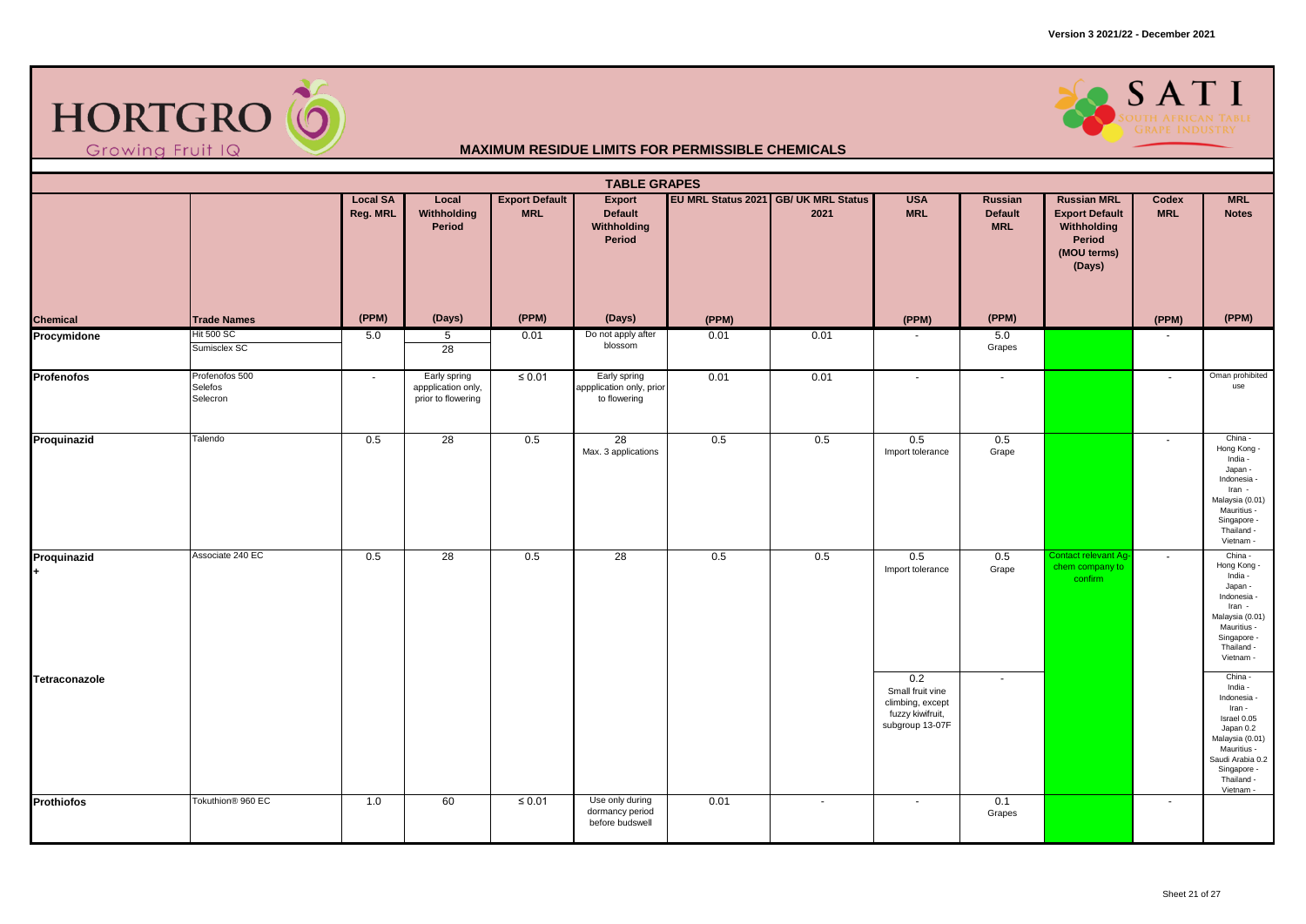



|                   | <b>TABLE GRAPES</b><br>EU MRL Status 2021 GB/ UK MRL Status<br><b>Local SA</b><br><b>Export Default</b><br><b>USA</b><br><b>Russian MRL</b><br><b>MRL</b><br>Local<br>Export<br>Russian<br>Codex |          |                                                          |             |                                                          |       |                          |                                                                                    |                              |                                                                         |            |                                                                                                                                                                         |  |  |
|-------------------|--------------------------------------------------------------------------------------------------------------------------------------------------------------------------------------------------|----------|----------------------------------------------------------|-------------|----------------------------------------------------------|-------|--------------------------|------------------------------------------------------------------------------------|------------------------------|-------------------------------------------------------------------------|------------|-------------------------------------------------------------------------------------------------------------------------------------------------------------------------|--|--|
|                   |                                                                                                                                                                                                  | Reg. MRL | Withholding<br>Period                                    | <b>MRL</b>  | <b>Default</b><br>Withholding<br>Period                  |       | 2021                     | <b>MRL</b>                                                                         | <b>Default</b><br><b>MRL</b> | <b>Export Default</b><br>Withholding<br>Period<br>(MOU terms)<br>(Days) | <b>MRL</b> | <b>Notes</b>                                                                                                                                                            |  |  |
| Chemical          | <b>Trade Names</b>                                                                                                                                                                               | (PPM)    | (Days)                                                   | (PPM)       | (Days)                                                   | (PPM) |                          | (PPM)                                                                              | (PPM)                        |                                                                         | (PPM)      | (PPM)                                                                                                                                                                   |  |  |
| Procymidone       | <b>Hit 500 SC</b><br>Sumisclex SC                                                                                                                                                                | 5.0      | $\overline{5}$<br>28                                     | 0.01        | Do not apply after<br>blossom                            | 0.01  | 0.01                     |                                                                                    | 5.0<br>Grapes                |                                                                         |            |                                                                                                                                                                         |  |  |
| <b>Profenofos</b> | Profenofos 500<br>Selefos<br>Selecron                                                                                                                                                            | $\sim$   | Early spring<br>appplication only,<br>prior to flowering | $\leq 0.01$ | Early spring<br>appplication only, prior<br>to flowering | 0.01  | 0.01                     | $\blacksquare$                                                                     | $\sim$                       |                                                                         | $\sim$     | Oman prohibited<br>use                                                                                                                                                  |  |  |
| Proquinazid       | Talendo                                                                                                                                                                                          | 0.5      | 28                                                       | 0.5         | 28<br>Max. 3 applications                                | 0.5   | 0.5                      | 0.5<br>Import tolerance                                                            | 0.5<br>Grape                 |                                                                         | $\sim$     | China -<br>Hong Kong -<br>India -<br>Japan -<br>Indonesia -<br>Iran -<br>Malaysia (0.01)<br>Mauritius -<br>Singapore -<br>Thailand -<br>Vietnam -                       |  |  |
| Proquinazid       | Associate 240 EC                                                                                                                                                                                 | 0.5      | 28                                                       | 0.5         | $\overline{28}$                                          | 0.5   | 0.5                      | 0.5<br>Import tolerance                                                            | 0.5<br>Grape                 | Contact relevant Ag-<br>chem company to<br>confirm                      | $\sim$     | China -<br>Hong Kong -<br>India -<br>Japan -<br>Indonesia -<br>Iran -<br>Malaysia (0.01)<br>Mauritius -<br>Singapore -<br>Thailand -<br>Vietnam                         |  |  |
| Tetraconazole     |                                                                                                                                                                                                  |          |                                                          |             |                                                          |       |                          | 0.2<br>Small fruit vine<br>climbing, except<br>fuzzy kiwifruit,<br>subgroup 13-07F | $\sim$                       |                                                                         |            | China -<br>India -<br>Indonesia -<br>Iran -<br>Israel 0.05<br>Japan 0.2<br>Malaysia (0.01)<br>Mauritius -<br>Saudi Arabia 0.2<br>Singapore -<br>Thailand -<br>Vietnam - |  |  |
| Prothiofos        | Tokuthion <sup>®</sup> 960 EC                                                                                                                                                                    | 1.0      | 60                                                       | $\leq 0.01$ | Use only during<br>dormancy period<br>before budswell    | 0.01  | $\overline{\phantom{a}}$ | $\blacksquare$                                                                     | 0.1<br>Grapes                |                                                                         | $\sim$     |                                                                                                                                                                         |  |  |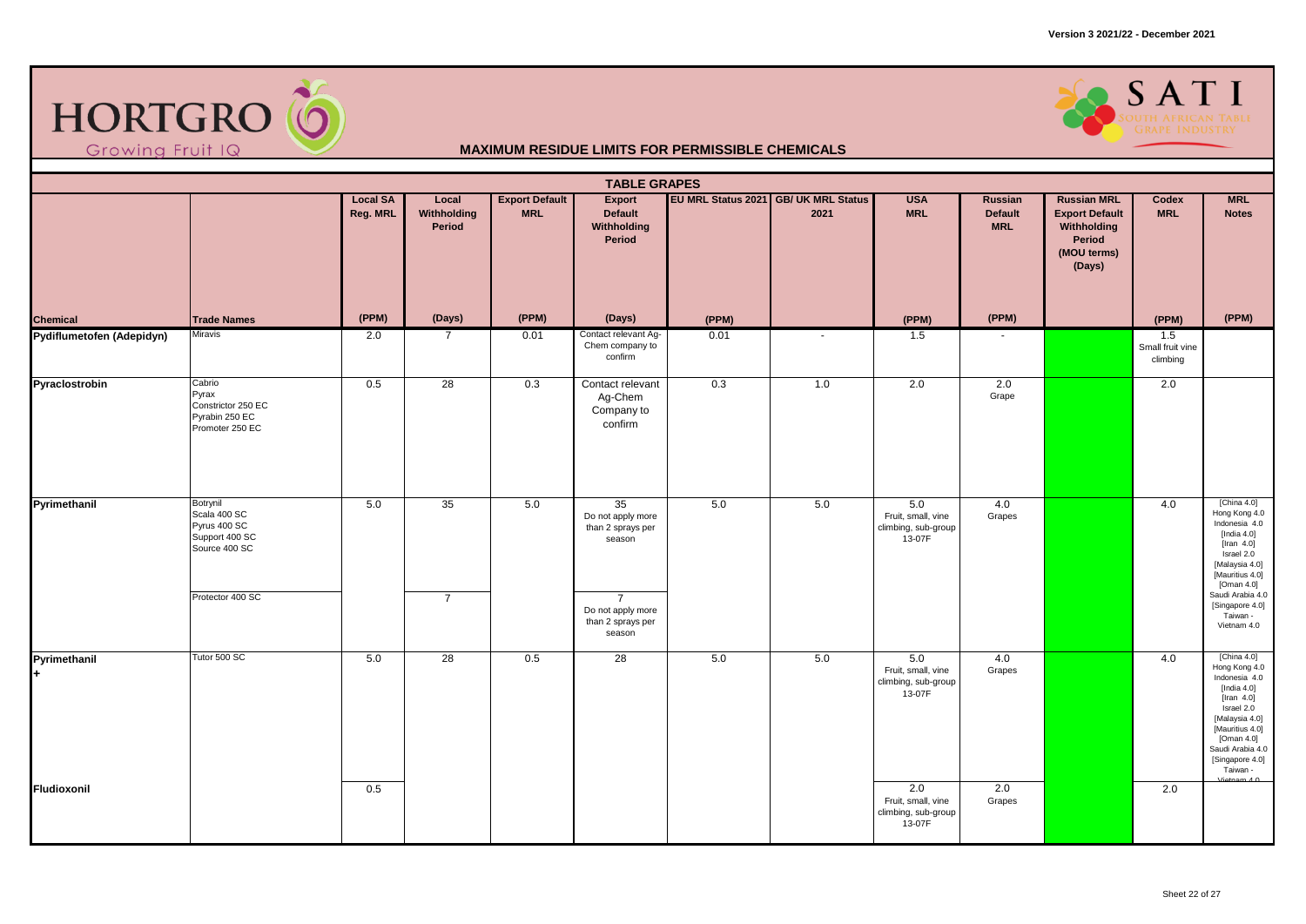



|                           | <b>TABLE GRAPES</b><br>EU MRL Status 2021 GB/ UK MRL Status<br><b>Local SA</b><br><b>Export Default</b><br><b>USA</b><br><b>Russian MRL</b><br><b>MRL</b><br>Local<br>Export<br>Russian<br>Codex |          |                       |            |                                                                                                                              |       |        |                                                            |                              |                                                                         |                                     |                                                                                                                                                                                                                           |  |  |
|---------------------------|--------------------------------------------------------------------------------------------------------------------------------------------------------------------------------------------------|----------|-----------------------|------------|------------------------------------------------------------------------------------------------------------------------------|-------|--------|------------------------------------------------------------|------------------------------|-------------------------------------------------------------------------|-------------------------------------|---------------------------------------------------------------------------------------------------------------------------------------------------------------------------------------------------------------------------|--|--|
|                           |                                                                                                                                                                                                  | Reg. MRL | Withholding<br>Period | <b>MRL</b> | Default<br>Withholding<br>Period                                                                                             |       | 2021   | <b>MRL</b>                                                 | <b>Default</b><br><b>MRL</b> | <b>Export Default</b><br>Withholding<br>Period<br>(MOU terms)<br>(Days) | <b>MRL</b>                          | <b>Notes</b>                                                                                                                                                                                                              |  |  |
| <b>Chemical</b>           | <b>Trade Names</b>                                                                                                                                                                               | (PPM)    | (Days)                | (PPM)      | (Days)                                                                                                                       | (PPM) |        | (PPM)                                                      | (PPM)                        |                                                                         | (PPM)                               | (PPM)                                                                                                                                                                                                                     |  |  |
| Pydiflumetofen (Adepidyn) | Miravis                                                                                                                                                                                          | 2.0      | $\overline{7}$        | 0.01       | Contact relevant Ag-<br>Chem company to<br>confirm                                                                           | 0.01  | $\sim$ | 1.5                                                        | $\sim$                       |                                                                         | 1.5<br>Small fruit vine<br>climbing |                                                                                                                                                                                                                           |  |  |
| Pyraclostrobin            | Cabrio<br>Pyrax<br>Constrictor 250 EC<br>Pyrabin 250 EC<br>Promoter 250 EC                                                                                                                       | 0.5      | 28                    | 0.3        | Contact relevant<br>Ag-Chem<br>Company to<br>confirm                                                                         | 0.3   | 1.0    | 2.0                                                        | 2.0<br>Grape                 |                                                                         | 2.0                                 |                                                                                                                                                                                                                           |  |  |
| Pyrimethanil              | Botrynil<br>Scala 400 SC<br>Pyrus 400 SC<br>Support 400 SC<br>Source 400 SC<br>Protector 400 SC                                                                                                  | 5.0      | 35<br>$\overline{7}$  | 5.0        | 35<br>Do not apply more<br>than 2 sprays per<br>season<br>$\overline{7}$<br>Do not apply more<br>than 2 sprays per<br>season | 5.0   | 5.0    | 5.0<br>Fruit, small, vine<br>climbing, sub-group<br>13-07F | 4.0<br>Grapes                |                                                                         | 4.0                                 | [China $4.0$ ]<br>Hong Kong 4.0<br>Indonesia 4.0<br>[India $4.0$ ]<br>[Iran $4.0$ ]<br>Israel 2.0<br>[Malaysia 4.0]<br>[Mauritius 4.0]<br>[Oman $4.0$ ]<br>Saudi Arabia 4.0<br>[Singapore 4.0]<br>Taiwan -<br>Vietnam 4.0 |  |  |
| Pyrimethanil<br>÷.        | Tutor 500 SC                                                                                                                                                                                     | 5.0      | $\overline{28}$       | 0.5        | 28                                                                                                                           | 5.0   | 5.0    | 5.0<br>Fruit, small, vine<br>climbing, sub-group<br>13-07F | 4.0<br>Grapes                |                                                                         | 4.0                                 | [China 4.0]<br>Hong Kong 4.0<br>Indonesia 4.0<br>[India $4.0$ ]<br>[Iran $4.0$ ]<br>Israel 2.0<br>[Malaysia 4.0]<br>[Mauritius 4.0]<br>[Oman 4.0]<br>Saudi Arabia 4.0<br>[Singapore 4.0]<br>Taiwan -<br>Vietnam $4.0$     |  |  |
| Fludioxonil               |                                                                                                                                                                                                  | 0.5      |                       |            |                                                                                                                              |       |        | 2.0<br>Fruit, small, vine<br>climbing, sub-group<br>13-07F | 2.0<br>Grapes                |                                                                         | 2.0                                 |                                                                                                                                                                                                                           |  |  |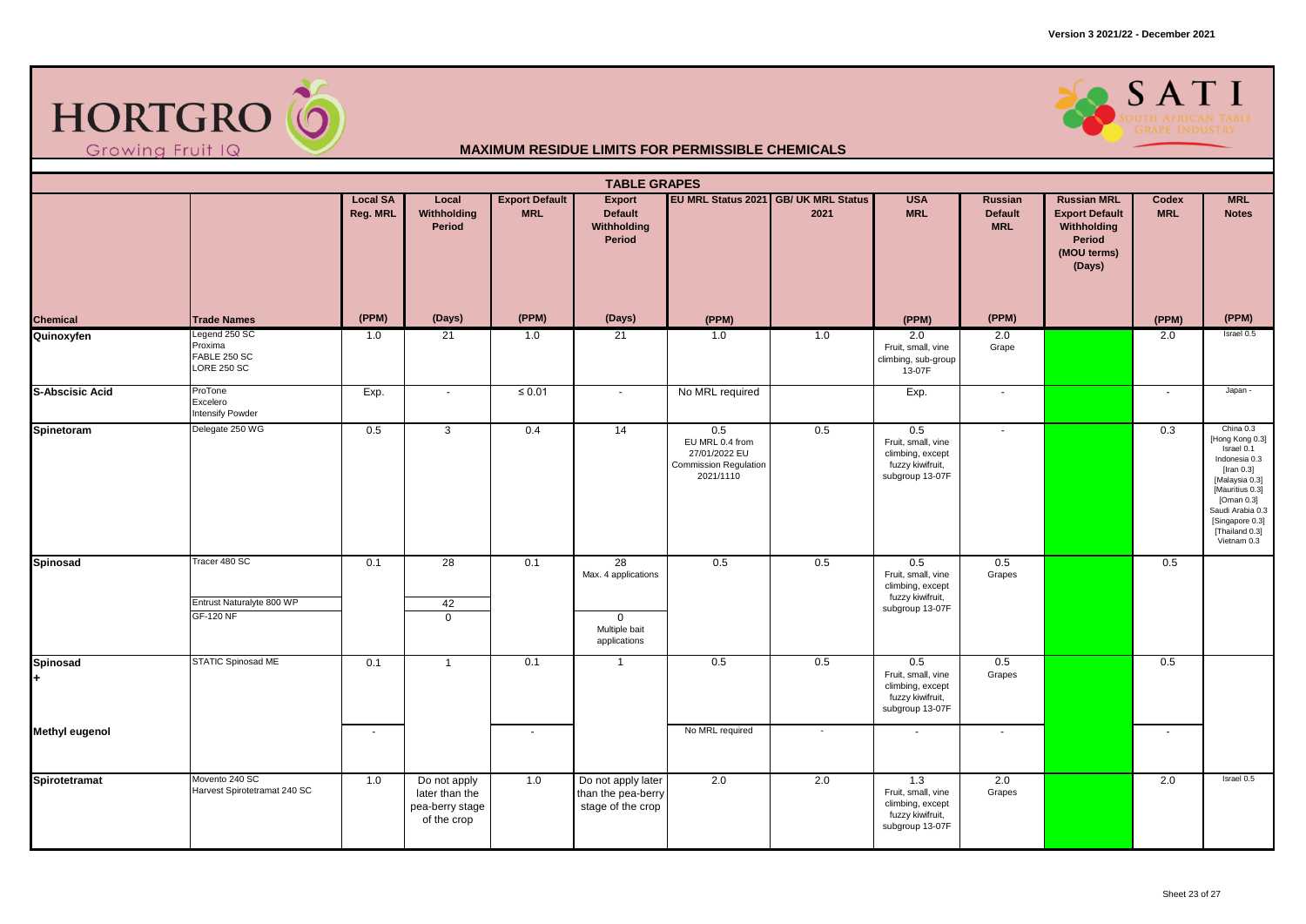



|                        |                                                                |                             |                                                                  |                                     | <b>TABLE GRAPES</b>                                                       |                                                                               |                                              |                                                                                      |                                         |                                                                                               |                       |                                                                                                                                                                                                         |
|------------------------|----------------------------------------------------------------|-----------------------------|------------------------------------------------------------------|-------------------------------------|---------------------------------------------------------------------------|-------------------------------------------------------------------------------|----------------------------------------------|--------------------------------------------------------------------------------------|-----------------------------------------|-----------------------------------------------------------------------------------------------|-----------------------|---------------------------------------------------------------------------------------------------------------------------------------------------------------------------------------------------------|
|                        |                                                                | <b>Local SA</b><br>Reg. MRL | Local<br>Withholding<br>Period                                   | <b>Export Default</b><br><b>MRL</b> | Export<br><b>Default</b><br>Withholding<br>Period                         |                                                                               | EU MRL Status 2021 GB/ UK MRL Status<br>2021 | <b>USA</b><br><b>MRL</b>                                                             | Russian<br><b>Default</b><br><b>MRL</b> | <b>Russian MRL</b><br><b>Export Default</b><br>Withholding<br>Period<br>(MOU terms)<br>(Days) | Codex<br><b>MRL</b>   | <b>MRL</b><br><b>Notes</b>                                                                                                                                                                              |
| Chemical               | <b>Trade Names</b>                                             | (PPM)                       | (Days)                                                           | (PPM)                               | (Days)                                                                    | (PPM)                                                                         |                                              | (PPM)                                                                                | (PPM)                                   |                                                                                               | (PPM)                 | (PPM)                                                                                                                                                                                                   |
| Quinoxyfen             | Legend 250 SC<br>Proxima<br>FABLE 250 SC<br><b>LORE 250 SC</b> | 1.0                         | 21                                                               | 1.0                                 | 21                                                                        | 1.0                                                                           | 1.0                                          | 2.0<br>Fruit, small, vine<br>climbing, sub-group<br>13-07F                           | 2.0<br>Grape                            |                                                                                               | 2.0                   | Israel 0.5                                                                                                                                                                                              |
| <b>S-Abscisic Acid</b> | ProTone<br>Excelero<br>Intensify Powder                        | Exp.                        | $\blacksquare$                                                   | $\leq 0.01$                         | $\sim$                                                                    | No MRL required                                                               |                                              | Exp.                                                                                 | $\sim$                                  |                                                                                               | $\tilde{\phantom{a}}$ | Japan -                                                                                                                                                                                                 |
| Spinetoram             | Delegate 250 WG                                                | 0.5                         | 3                                                                | 0.4                                 | 14                                                                        | 0.5<br>EU MRL 0.4 from<br>27/01/2022 EU<br>Commission Regulation<br>2021/1110 | 0.5                                          | 0.5<br>Fruit, small, vine<br>climbing, except<br>fuzzy kiwifruit,<br>subgroup 13-07F | $\sim$                                  |                                                                                               | 0.3                   | China 0.3<br>[Hong Kong 0.3]<br>Israel 0.1<br>Indonesia 0.3<br>[Iran $0.3$ ]<br>[Malaysia 0.3]<br>[Mauritius 0.3]<br>[Oman 0.3]<br>Saudi Arabia 0.3<br>[Singapore 0.3]<br>[Thailand 0.3]<br>Vietnam 0.3 |
| Spinosad               | Tracer 480 SC<br>Entrust Naturalyte 800 WP<br><b>GF-120 NF</b> | 0.1                         | $\overline{28}$<br>42<br>$\mathbf 0$                             | 0.1                                 | 28<br>Max. 4 applications<br>$\mathbf 0$<br>Multiple bait<br>applications | 0.5                                                                           | 0.5                                          | 0.5<br>Fruit, small, vine<br>climbing, except<br>fuzzy kiwifruit,<br>subgroup 13-07F | 0.5<br>Grapes                           |                                                                                               | 0.5                   |                                                                                                                                                                                                         |
| Spinosad<br>H.         | STATIC Spinosad ME                                             | 0.1                         | $\overline{1}$                                                   | 0.1                                 | $\overline{1}$                                                            | 0.5                                                                           | 0.5                                          | 0.5<br>Fruit, small, vine<br>climbing, except<br>fuzzy kiwifruit,<br>subgroup 13-07F | 0.5<br>Grapes                           |                                                                                               | 0.5                   |                                                                                                                                                                                                         |
| <b>Methyl eugenol</b>  |                                                                | $\sim$                      |                                                                  | $\sim$                              |                                                                           | No MRL required                                                               | $\sim$                                       | $\sim$                                                                               | $\sim$                                  |                                                                                               | $\sim$                |                                                                                                                                                                                                         |
| Spirotetramat          | Movento 240 SC<br>Harvest Spirotetramat 240 SC                 | 1.0                         | Do not apply<br>later than the<br>pea-berry stage<br>of the crop | 1.0                                 | Do not apply later<br>than the pea-berry<br>stage of the crop             | 2.0                                                                           | 2.0                                          | 1.3<br>Fruit, small, vine<br>climbing, except<br>fuzzy kiwifruit,<br>subgroup 13-07F | 2.0<br>Grapes                           |                                                                                               | 2.0                   | Israel 0.5                                                                                                                                                                                              |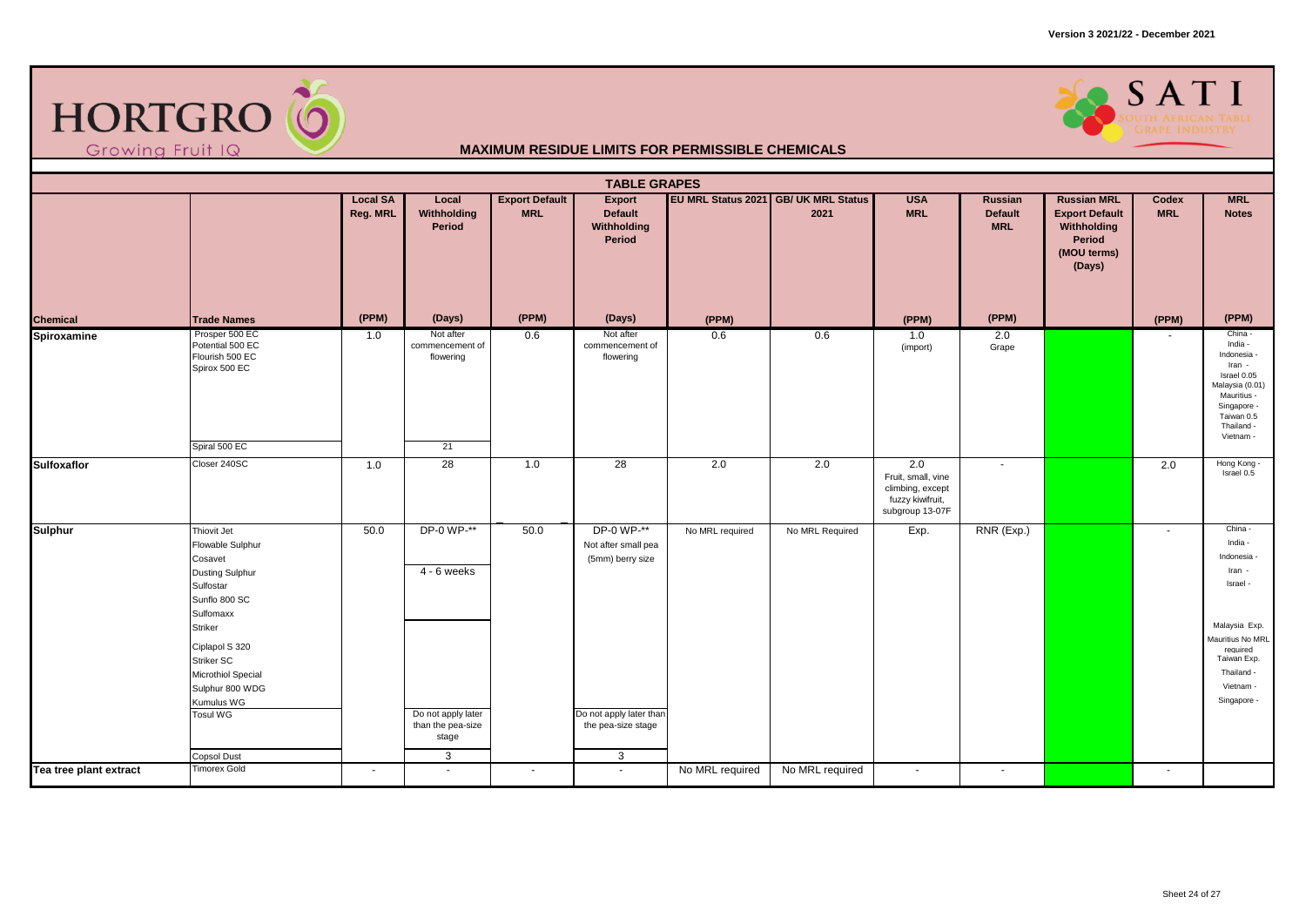

### SATI

|                        |                                                                                                                                                                                                                                                                   |                             |                                                                                      |                                     | <b>TABLE GRAPES</b>                                                                                         |                 |                                              |                                                                                      |                                         |                                                                                               |                          |                                                                                                                                                                   |
|------------------------|-------------------------------------------------------------------------------------------------------------------------------------------------------------------------------------------------------------------------------------------------------------------|-----------------------------|--------------------------------------------------------------------------------------|-------------------------------------|-------------------------------------------------------------------------------------------------------------|-----------------|----------------------------------------------|--------------------------------------------------------------------------------------|-----------------------------------------|-----------------------------------------------------------------------------------------------|--------------------------|-------------------------------------------------------------------------------------------------------------------------------------------------------------------|
|                        |                                                                                                                                                                                                                                                                   | <b>Local SA</b><br>Reg. MRL | Local<br>Withholding<br>Period                                                       | <b>Export Default</b><br><b>MRL</b> | Export<br><b>Default</b><br>Withholding<br>Period                                                           |                 | EU MRL Status 2021 GB/ UK MRL Status<br>2021 | <b>USA</b><br><b>MRL</b>                                                             | Russian<br><b>Default</b><br><b>MRL</b> | <b>Russian MRL</b><br><b>Export Default</b><br>Withholding<br>Period<br>(MOU terms)<br>(Days) | Codex<br><b>MRL</b>      | <b>MRL</b><br><b>Notes</b>                                                                                                                                        |
| <b>Chemical</b>        | <b>Trade Names</b>                                                                                                                                                                                                                                                | (PPM)                       | (Days)                                                                               | (PPM)                               | (Days)                                                                                                      | (PPM)           |                                              | (PPM)                                                                                | (PPM)                                   |                                                                                               | (PPM)                    | (PPM)                                                                                                                                                             |
| Spiroxamine            | Prosper 500 EC<br>Potential 500 EC<br>Flourish 500 EC<br>Spirox 500 EC                                                                                                                                                                                            | 1.0                         | Not after<br>commencement of<br>flowering                                            | 0.6                                 | Not after<br>commencement of<br>flowering                                                                   | 0.6             | 0.6                                          | 1.0<br>(import)                                                                      | 2.0<br>Grape                            |                                                                                               |                          | China -<br>India -<br>Indonesia -<br>Iran -<br>Israel 0.05<br>Malaysia (0.01)<br>Mauritius -<br>Singapore -<br>Taiwan 0.5<br>Thailand -<br>Vietnam -              |
|                        | Spiral 500 EC                                                                                                                                                                                                                                                     |                             | 21                                                                                   |                                     |                                                                                                             |                 |                                              |                                                                                      |                                         |                                                                                               |                          |                                                                                                                                                                   |
| <b>Sulfoxaflor</b>     | Closer 240SC                                                                                                                                                                                                                                                      | 1.0                         | $\overline{28}$                                                                      | 1.0                                 | $\overline{28}$                                                                                             | 2.0             | 2.0                                          | 2.0<br>Fruit, small, vine<br>climbing, except<br>fuzzy kiwifruit,<br>subgroup 13-07F | $\sim$                                  |                                                                                               | 2.0                      | Hong Kong -<br>Israel 0.5                                                                                                                                         |
| <b>Sulphur</b>         | Thiovit Jet<br>Flowable Sulphur<br>Cosavet<br><b>Dusting Sulphur</b><br>Sulfostar<br>Sunflo 800 SC<br>Sulfomaxx<br><b>Striker</b><br>Ciplapol S 320<br>Striker SC<br>Microthiol Special<br>Sulphur 800 WDG<br>Kumulus WG<br><b>Tosul WG</b><br><b>Copsol Dust</b> | 50.0                        | DP-0 WP-**<br>$4 - 6$ weeks<br>Do not apply later<br>than the pea-size<br>stage<br>3 | 50.0                                | DP-0 WP-**<br>Not after small pea<br>(5mm) berry size<br>Do not apply later than<br>the pea-size stage<br>3 | No MRL required | No MRL Required                              | Exp.                                                                                 | RNR (Exp.)                              |                                                                                               | $\overline{\phantom{a}}$ | China -<br>India -<br>Indonesia -<br>Iran -<br>Israel -<br>Malaysia Exp.<br>Mauritius No MRL<br>required<br>Taiwan Exp.<br>Thailand -<br>Vietnam -<br>Singapore - |
| Tea tree plant extract | <b>Timorex Gold</b>                                                                                                                                                                                                                                               | $\sim$                      | $\sim$                                                                               | $\sim$                              | $\sim$                                                                                                      | No MRL required | No MRL required                              | $\overline{\phantom{a}}$                                                             | $\sim$                                  |                                                                                               | $\sim$                   |                                                                                                                                                                   |
|                        |                                                                                                                                                                                                                                                                   |                             |                                                                                      |                                     |                                                                                                             |                 |                                              |                                                                                      |                                         |                                                                                               |                          |                                                                                                                                                                   |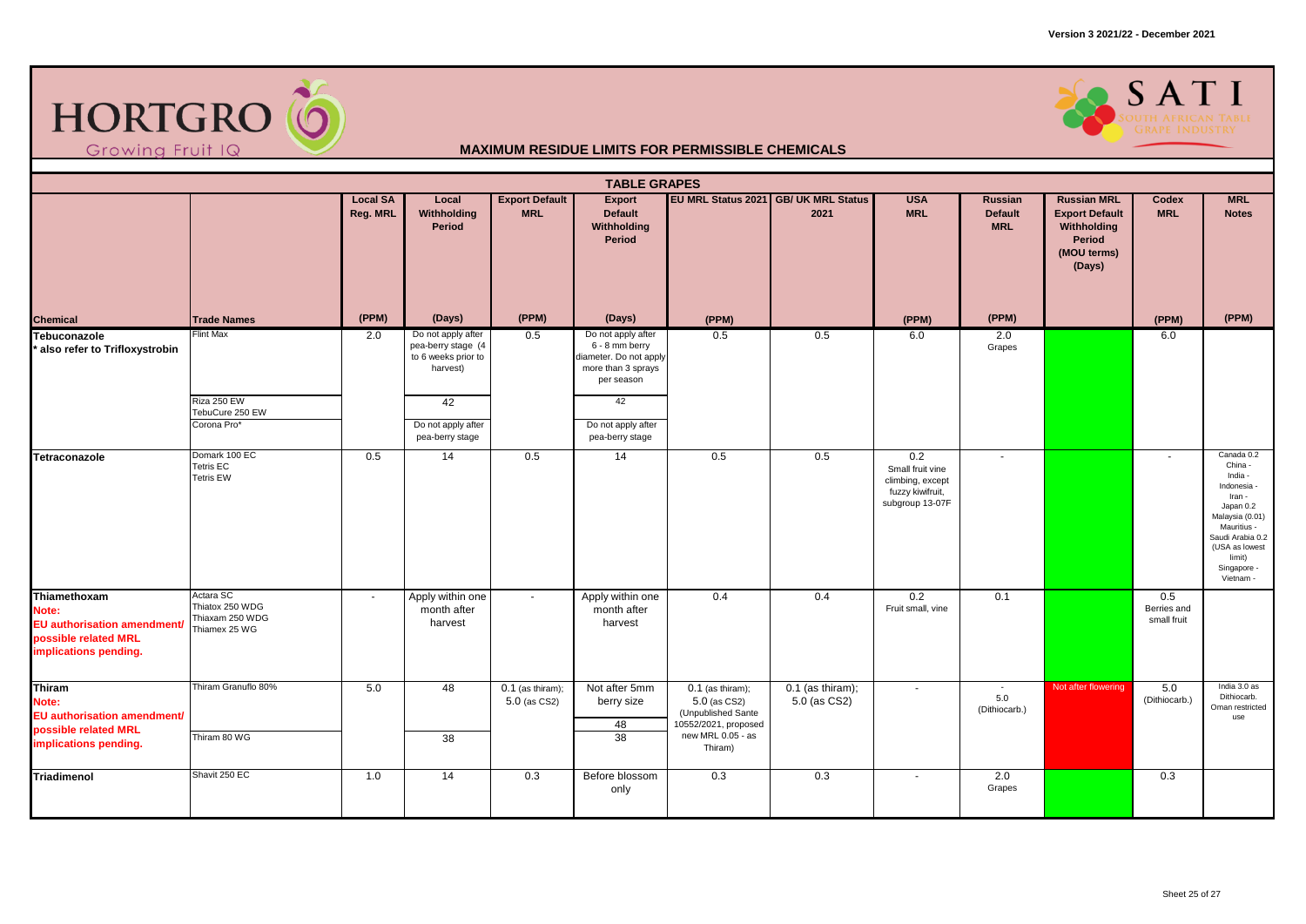



| <b>TABLE GRAPES</b>                                                                                          |                                                                  |                             |                                                                             |                                     |                                                                                                    |                                                                                                                    |                                               |                                                                                    |                                                  |                                                                                               |                                   |                                                                                                                                                                                      |
|--------------------------------------------------------------------------------------------------------------|------------------------------------------------------------------|-----------------------------|-----------------------------------------------------------------------------|-------------------------------------|----------------------------------------------------------------------------------------------------|--------------------------------------------------------------------------------------------------------------------|-----------------------------------------------|------------------------------------------------------------------------------------|--------------------------------------------------|-----------------------------------------------------------------------------------------------|-----------------------------------|--------------------------------------------------------------------------------------------------------------------------------------------------------------------------------------|
|                                                                                                              |                                                                  | <b>Local SA</b><br>Reg. MRL | Local<br>Withholding<br>Period                                              | <b>Export Default</b><br><b>MRL</b> | Export<br><b>Default</b><br>Withholding<br>Period                                                  |                                                                                                                    | EU MRL Status 2021 GB/ UK MRL Status<br>2021  | <b>USA</b><br><b>MRL</b>                                                           | Russian<br><b>Default</b><br><b>MRL</b>          | <b>Russian MRL</b><br><b>Export Default</b><br>Withholding<br>Period<br>(MOU terms)<br>(Days) | <b>Codex</b><br><b>MRL</b>        | <b>MRL</b><br><b>Notes</b>                                                                                                                                                           |
| <b>Chemical</b>                                                                                              | <b>Trade Names</b>                                               | (PPM)                       | (Days)                                                                      | (PPM)                               | (Days)                                                                                             | (PPM)                                                                                                              |                                               | (PPM)                                                                              | (PPM)                                            |                                                                                               | (PPM)                             | (PPM)                                                                                                                                                                                |
| Tebuconazole<br>also refer to Trifloxystrobin                                                                | <b>Flint Max</b>                                                 | 2.0                         | Do not apply after<br>pea-berry stage (4<br>to 6 weeks prior to<br>harvest) | 0.5                                 | Do not apply after<br>6 - 8 mm berry<br>diameter. Do not apply<br>more than 3 sprays<br>per season | 0.5                                                                                                                | 0.5                                           | 6.0                                                                                | 2.0<br>Grapes                                    |                                                                                               | 6.0                               |                                                                                                                                                                                      |
|                                                                                                              | Riza 250 EW<br>TebuCure 250 EW<br>Corona Pro*                    |                             | 42<br>Do not apply after<br>pea-berry stage                                 |                                     | 42<br>Do not apply after<br>pea-berry stage                                                        |                                                                                                                    |                                               |                                                                                    |                                                  |                                                                                               |                                   |                                                                                                                                                                                      |
| Tetraconazole                                                                                                | Domark 100 EC<br><b>Tetris EC</b><br><b>Tetris EW</b>            | 0.5                         | 14                                                                          | 0.5                                 | 14                                                                                                 | 0.5                                                                                                                | 0.5                                           | 0.2<br>Small fruit vine<br>climbing, except<br>fuzzy kiwifruit,<br>subgroup 13-07F | $\sim$                                           |                                                                                               | $\sim$                            | Canada 0.2<br>China -<br>India -<br>Indonesia -<br>Iran -<br>Japan 0.2<br>Malaysia (0.01)<br>Mauritius -<br>Saudi Arabia 0.2<br>(USA as lowest<br>limit)<br>Singapore -<br>Vietnam - |
| Thiamethoxam<br>Note:<br><b>EU</b> authorisation amendment/<br>possible related MRL<br>implications pending. | Actara SC<br>Thiatox 250 WDG<br>Thiaxam 250 WDG<br>Thiamex 25 WG | $\sim$                      | Apply within one<br>month after<br>harvest                                  | $\sim$                              | Apply within one<br>month after<br>harvest                                                         | 0.4                                                                                                                | 0.4                                           | 0.2<br>Fruit small, vine                                                           | 0.1                                              |                                                                                               | 0.5<br>Berries and<br>small fruit |                                                                                                                                                                                      |
| Thiram<br>Note:<br>EU authorisation amendment/<br>possible related MRL<br>implications pending.              | Thiram Granuflo 80%<br>Thiram 80 WG                              | 5.0                         | 48<br>38                                                                    | $0.1$ (as thiram);<br>5.0 (as CS2)  | Not after 5mm<br>berry size<br>48<br>$\overline{38}$                                               | $0.1$ (as thiram);<br>$5.0$ (as CS2)<br>(Unpublished Sante<br>10552/2021, proposed<br>new MRL 0.05 - as<br>Thiram) | $\overline{0.1}$ (as thiram);<br>5.0 (as CS2) | $\sim$                                                                             | $\overline{\phantom{a}}$<br>5.0<br>(Dithiocarb.) | Not after flowering                                                                           | 5.0<br>(Dithiocarb.)              | India $3.0$ as<br>Dithiocarb.<br>Oman restricted<br>use                                                                                                                              |
| Triadimenol                                                                                                  | Shavit 250 EC                                                    | 1.0                         | 14                                                                          | 0.3                                 | Before blossom<br>only                                                                             | $\overline{0.3}$                                                                                                   | 0.3                                           | $\blacksquare$                                                                     | 2.0<br>Grapes                                    |                                                                                               | 0.3                               |                                                                                                                                                                                      |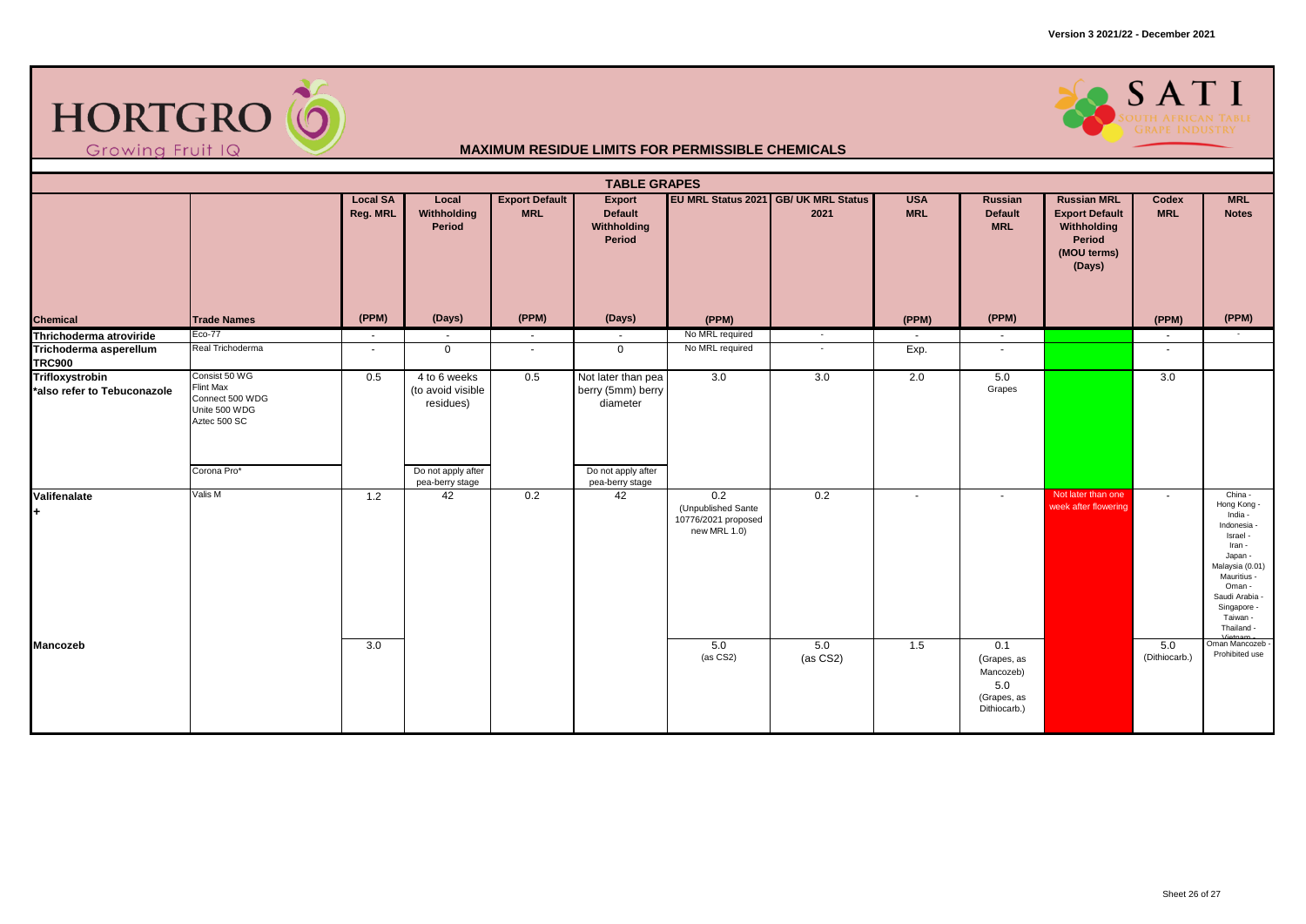

# SOUTH AFRICAN TABLE

| <b>TABLE GRAPES</b>                                   |                                                                                       |                             |                                                |                                     |                                                     |                                                                  |                                              |                          |                                                                       |                                                                                               |                      |                                                                                                                                                                                          |
|-------------------------------------------------------|---------------------------------------------------------------------------------------|-----------------------------|------------------------------------------------|-------------------------------------|-----------------------------------------------------|------------------------------------------------------------------|----------------------------------------------|--------------------------|-----------------------------------------------------------------------|-----------------------------------------------------------------------------------------------|----------------------|------------------------------------------------------------------------------------------------------------------------------------------------------------------------------------------|
|                                                       |                                                                                       | <b>Local SA</b><br>Reg. MRL | Local<br>Withholding<br>Period                 | <b>Export Default</b><br><b>MRL</b> | Export<br>Default<br>Withholding<br>Period          |                                                                  | EU MRL Status 2021 GB/ UK MRL Status<br>2021 | <b>USA</b><br><b>MRL</b> | Russian<br><b>Default</b><br><b>MRL</b>                               | <b>Russian MRL</b><br><b>Export Default</b><br>Withholding<br>Period<br>(MOU terms)<br>(Days) | Codex<br><b>MRL</b>  | <b>MRL</b><br><b>Notes</b>                                                                                                                                                               |
| <b>Chemical</b>                                       | <b>Trade Names</b>                                                                    | (PPM)                       | (Days)                                         | (PPM)                               | (Days)                                              | (PPM)                                                            |                                              | (PPM)                    | (PPM)                                                                 |                                                                                               | (PPM)                | (PPM)                                                                                                                                                                                    |
| Thrichoderma atroviride                               | Eco-77                                                                                | $\sim$                      | $\sim$                                         | $\sim$                              | $\sim$                                              | No MRL required                                                  | $\sim$                                       | $\sim$                   | $\sim$                                                                |                                                                                               | $\sim$               | $\sim$                                                                                                                                                                                   |
| Trichoderma asperellum<br><b>TRC900</b>               | Real Trichoderma                                                                      | $\sim$                      | $\mathbf{0}$                                   | $\overline{\phantom{a}}$            | $\mathbf{0}$                                        | No MRL required                                                  |                                              | Exp.                     | $\overline{\phantom{a}}$                                              |                                                                                               | $\sim$               |                                                                                                                                                                                          |
| <b>Trifloxystrobin</b><br>*also refer to Tebuconazole | Consist 50 WG<br><b>Flint Max</b><br>Connect 500 WDG<br>Unite 500 WDG<br>Aztec 500 SC | 0.5                         | 4 to 6 weeks<br>(to avoid visible<br>residues) | 0.5                                 | Not later than pea<br>berry (5mm) berry<br>diameter | 3.0                                                              | 3.0                                          | 2.0                      | 5.0<br>Grapes                                                         |                                                                                               | 3.0                  |                                                                                                                                                                                          |
|                                                       | Corona Pro*                                                                           |                             | Do not apply after<br>pea-berry stage          |                                     | Do not apply after<br>pea-berry stage               |                                                                  |                                              |                          |                                                                       |                                                                                               |                      |                                                                                                                                                                                          |
| Valifenalate<br>l+                                    | Valis M                                                                               | 1.2                         | 42                                             | 0.2                                 | 42                                                  | 0.2<br>(Unpublished Sante<br>10776/2021 proposed<br>new MRL 1.0) | 0.2                                          | $\overline{\phantom{a}}$ | $\sim$                                                                | Not later than one<br>week after flowering                                                    | $\sim$               | China -<br>Hong Kong -<br>India -<br>Indonesia -<br>Israel -<br>Iran -<br>Japan -<br>Malaysia (0.01)<br>Mauritius -<br>Oman -<br>Saudi Arabia -<br>Singapore -<br>Taiwan -<br>Thailand - |
| <b>Mancozeb</b>                                       |                                                                                       | 3.0                         |                                                |                                     |                                                     | 5.0<br>$(as CS2)$                                                | 5.0<br>(as CS2)                              | 1.5                      | 0.1<br>(Grapes, as<br>Mancozeb)<br>5.0<br>(Grapes, as<br>Dithiocarb.) |                                                                                               | 5.0<br>(Dithiocarb.) | Oman Mancozeb<br>Prohibited use                                                                                                                                                          |